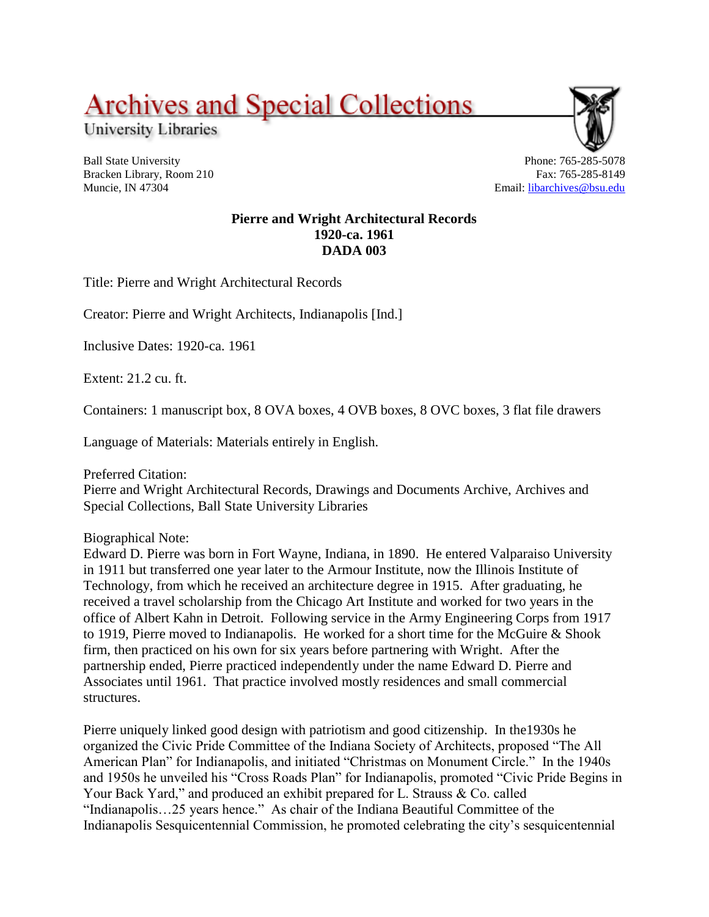**Archives and Special Collections** 

University Libraries

Ball State University Bracken Library, Room 210 Muncie, IN 47304

Phone: 765-285-5078 Fax: 765-285-8149 Email: [libarchives@bsu.edu](mailto:libarchives@bsu.edu)

### **Pierre and Wright Architectural Records 1920-ca. 1961 DADA 003**

Title: Pierre and Wright Architectural Records

Creator: Pierre and Wright Architects, Indianapolis [Ind.]

Inclusive Dates: 1920-ca. 1961

Extent: 21.2 cu. ft.

Containers: 1 manuscript box, 8 OVA boxes, 4 OVB boxes, 8 OVC boxes, 3 flat file drawers

Language of Materials: Materials entirely in English.

Preferred Citation:

Pierre and Wright Architectural Records, Drawings and Documents Archive, Archives and Special Collections, Ball State University Libraries

Biographical Note:

Edward D. Pierre was born in Fort Wayne, Indiana, in 1890. He entered Valparaiso University in 1911 but transferred one year later to the Armour Institute, now the Illinois Institute of Technology, from which he received an architecture degree in 1915. After graduating, he received a travel scholarship from the Chicago Art Institute and worked for two years in the office of Albert Kahn in Detroit. Following service in the Army Engineering Corps from 1917 to 1919, Pierre moved to Indianapolis. He worked for a short time for the McGuire & Shook firm, then practiced on his own for six years before partnering with Wright. After the partnership ended, Pierre practiced independently under the name Edward D. Pierre and Associates until 1961. That practice involved mostly residences and small commercial structures.

Pierre uniquely linked good design with patriotism and good citizenship. In the1930s he organized the Civic Pride Committee of the Indiana Society of Architects, proposed "The All American Plan" for Indianapolis, and initiated "Christmas on Monument Circle." In the 1940s and 1950s he unveiled his "Cross Roads Plan" for Indianapolis, promoted "Civic Pride Begins in Your Back Yard," and produced an exhibit prepared for L. Strauss & Co. called "Indianapolis…25 years hence." As chair of the Indiana Beautiful Committee of the Indianapolis Sesquicentennial Commission, he promoted celebrating the city's sesquicentennial

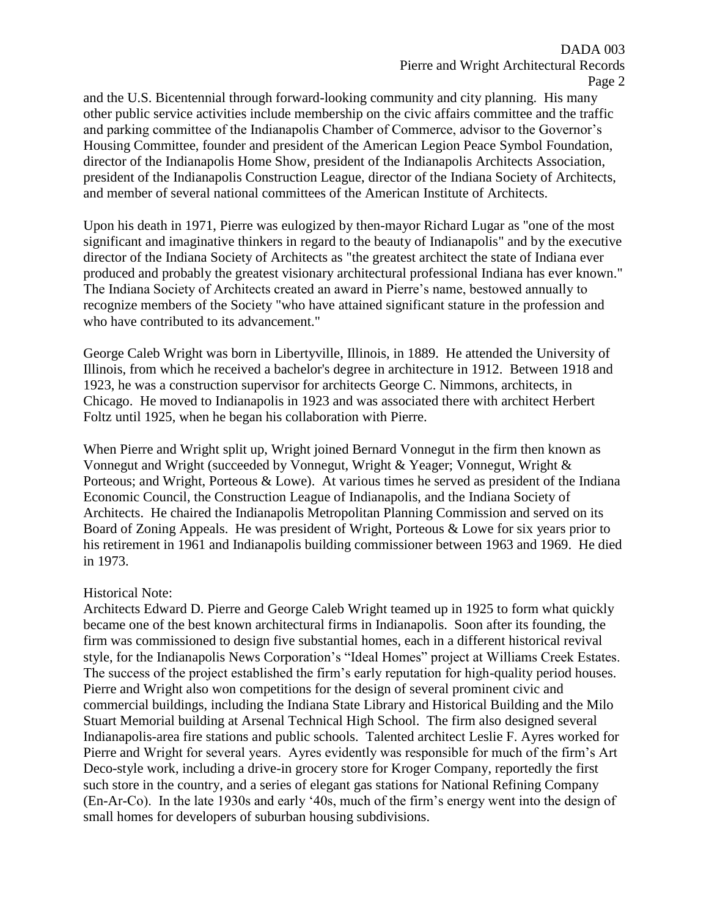and the U.S. Bicentennial through forward-looking community and city planning. His many other public service activities include membership on the civic affairs committee and the traffic and parking committee of the Indianapolis Chamber of Commerce, advisor to the Governor's Housing Committee, founder and president of the American Legion Peace Symbol Foundation, director of the Indianapolis Home Show, president of the Indianapolis Architects Association, president of the Indianapolis Construction League, director of the Indiana Society of Architects, and member of several national committees of the American Institute of Architects.

Upon his death in 1971, Pierre was eulogized by then-mayor Richard Lugar as "one of the most significant and imaginative thinkers in regard to the beauty of Indianapolis" and by the executive director of the Indiana Society of Architects as "the greatest architect the state of Indiana ever produced and probably the greatest visionary architectural professional Indiana has ever known." The Indiana Society of Architects created an award in Pierre's name, bestowed annually to recognize members of the Society "who have attained significant stature in the profession and who have contributed to its advancement."

George Caleb Wright was born in Libertyville, Illinois, in 1889. He attended the University of Illinois, from which he received a bachelor's degree in architecture in 1912. Between 1918 and 1923, he was a construction supervisor for architects George C. Nimmons, architects, in Chicago. He moved to Indianapolis in 1923 and was associated there with architect Herbert Foltz until 1925, when he began his collaboration with Pierre.

When Pierre and Wright split up, Wright joined Bernard Vonnegut in the firm then known as Vonnegut and Wright (succeeded by Vonnegut, Wright & Yeager; Vonnegut, Wright & Porteous; and Wright, Porteous & Lowe). At various times he served as president of the Indiana Economic Council, the Construction League of Indianapolis, and the Indiana Society of Architects. He chaired the Indianapolis Metropolitan Planning Commission and served on its Board of Zoning Appeals. He was president of Wright, Porteous & Lowe for six years prior to his retirement in 1961 and Indianapolis building commissioner between 1963 and 1969. He died in 1973.

### Historical Note:

Architects Edward D. Pierre and George Caleb Wright teamed up in 1925 to form what quickly became one of the best known architectural firms in Indianapolis. Soon after its founding, the firm was commissioned to design five substantial homes, each in a different historical revival style, for the Indianapolis News Corporation's "Ideal Homes" project at Williams Creek Estates. The success of the project established the firm's early reputation for high-quality period houses. Pierre and Wright also won competitions for the design of several prominent civic and commercial buildings, including the Indiana State Library and Historical Building and the Milo Stuart Memorial building at Arsenal Technical High School. The firm also designed several Indianapolis-area fire stations and public schools. Talented architect Leslie F. Ayres worked for Pierre and Wright for several years. Ayres evidently was responsible for much of the firm's Art Deco-style work, including a drive-in grocery store for Kroger Company, reportedly the first such store in the country, and a series of elegant gas stations for National Refining Company (En-Ar-Co). In the late 1930s and early '40s, much of the firm's energy went into the design of small homes for developers of suburban housing subdivisions.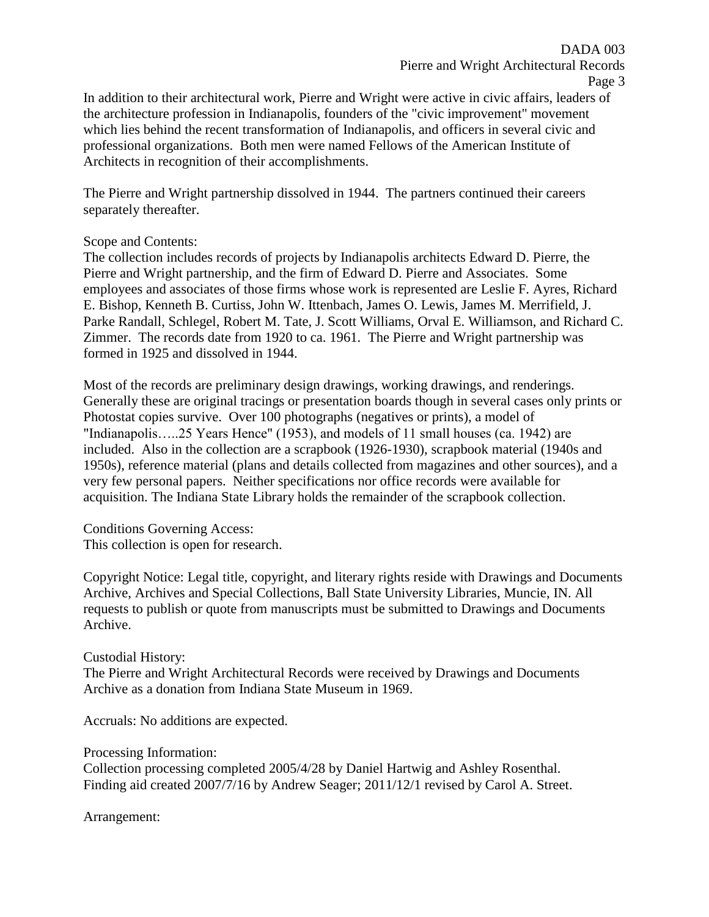In addition to their architectural work, Pierre and Wright were active in civic affairs, leaders of the architecture profession in Indianapolis, founders of the "civic improvement" movement which lies behind the recent transformation of Indianapolis, and officers in several civic and professional organizations. Both men were named Fellows of the American Institute of Architects in recognition of their accomplishments.

The Pierre and Wright partnership dissolved in 1944. The partners continued their careers separately thereafter.

### Scope and Contents:

The collection includes records of projects by Indianapolis architects Edward D. Pierre, the Pierre and Wright partnership, and the firm of Edward D. Pierre and Associates. Some employees and associates of those firms whose work is represented are Leslie F. Ayres, Richard E. Bishop, Kenneth B. Curtiss, John W. Ittenbach, James O. Lewis, James M. Merrifield, J. Parke Randall, Schlegel, Robert M. Tate, J. Scott Williams, Orval E. Williamson, and Richard C. Zimmer. The records date from 1920 to ca. 1961. The Pierre and Wright partnership was formed in 1925 and dissolved in 1944.

Most of the records are preliminary design drawings, working drawings, and renderings. Generally these are original tracings or presentation boards though in several cases only prints or Photostat copies survive. Over 100 photographs (negatives or prints), a model of "Indianapolis…..25 Years Hence" (1953), and models of 11 small houses (ca. 1942) are included. Also in the collection are a scrapbook (1926-1930), scrapbook material (1940s and 1950s), reference material (plans and details collected from magazines and other sources), and a very few personal papers. Neither specifications nor office records were available for acquisition. The Indiana State Library holds the remainder of the scrapbook collection.

Conditions Governing Access: This collection is open for research.

Copyright Notice: Legal title, copyright, and literary rights reside with Drawings and Documents Archive, Archives and Special Collections, Ball State University Libraries, Muncie, IN. All requests to publish or quote from manuscripts must be submitted to Drawings and Documents Archive.

### Custodial History:

The Pierre and Wright Architectural Records were received by Drawings and Documents Archive as a donation from Indiana State Museum in 1969.

Accruals: No additions are expected.

Processing Information:

Collection processing completed 2005/4/28 by Daniel Hartwig and Ashley Rosenthal. Finding aid created 2007/7/16 by Andrew Seager; 2011/12/1 revised by Carol A. Street.

Arrangement: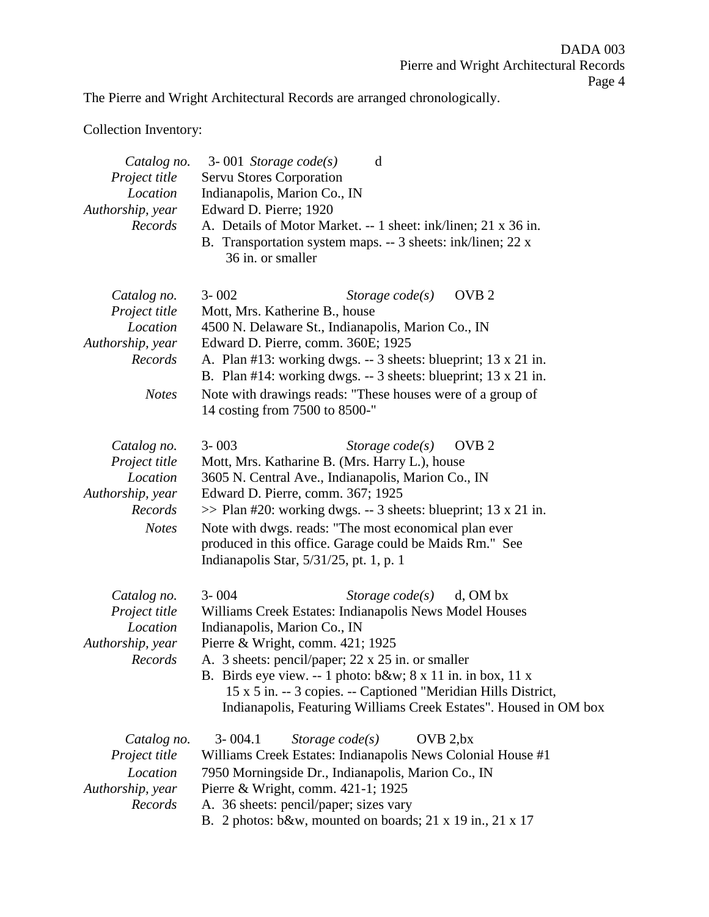The Pierre and Wright Architectural Records are arranged chronologically.

# Collection Inventory:

| Catalog no.<br>Project title<br>Location<br>Authorship, year<br>Records                 | $3 - 001$ Storage code(s)<br>d<br><b>Servu Stores Corporation</b><br>Indianapolis, Marion Co., IN<br>Edward D. Pierre; 1920<br>A. Details of Motor Market. -- 1 sheet: ink/linen; 21 x 36 in.<br>B. Transportation system maps. -- 3 sheets: ink/linen; 22 x<br>36 in. or smaller                                                                                                                                                      |
|-----------------------------------------------------------------------------------------|----------------------------------------------------------------------------------------------------------------------------------------------------------------------------------------------------------------------------------------------------------------------------------------------------------------------------------------------------------------------------------------------------------------------------------------|
| Catalog no.<br>Project title<br>Location<br>Authorship, year<br>Records<br><b>Notes</b> | OVB <sub>2</sub><br>$3 - 002$<br>Storage $code(s)$<br>Mott, Mrs. Katherine B., house<br>4500 N. Delaware St., Indianapolis, Marion Co., IN<br>Edward D. Pierre, comm. 360E; 1925<br>A. Plan #13: working dwgs. -- 3 sheets: blueprint; 13 x 21 in.<br>B. Plan #14: working dwgs. $-3$ sheets: blueprint; 13 x 21 in.<br>Note with drawings reads: "These houses were of a group of<br>14 costing from 7500 to 8500-"                   |
| Catalog no.<br>Project title<br>Location<br>Authorship, year<br>Records<br><b>Notes</b> | $3 - 003$<br>OVB <sub>2</sub><br>Storage $code(s)$<br>Mott, Mrs. Katharine B. (Mrs. Harry L.), house<br>3605 N. Central Ave., Indianapolis, Marion Co., IN<br>Edward D. Pierre, comm. 367; 1925<br>$\gg$ Plan #20: working dwgs. -- 3 sheets: blueprint; 13 x 21 in.<br>Note with dwgs. reads: "The most economical plan ever<br>produced in this office. Garage could be Maids Rm." See<br>Indianapolis Star, $5/31/25$ , pt. 1, p. 1 |
| Catalog no.<br>Project title<br>Location<br>Authorship, year<br>Records                 | $3 - 004$<br>Storage $code(s)$<br>d, OM bx<br>Williams Creek Estates: Indianapolis News Model Houses<br>Indianapolis, Marion Co., IN<br>Pierre & Wright, comm. 421; 1925<br>A. 3 sheets: pencil/paper; 22 x 25 in. or smaller<br>B. Birds eye view. -- 1 photo: $b&w$ ; 8 x 11 in. in box, 11 x<br>15 x 5 in. -- 3 copies. -- Captioned "Meridian Hills District,<br>Indianapolis, Featuring Williams Creek Estates". Housed in OM box |
| Catalog no.<br>Project title<br>Location<br>Authorship, year<br>Records                 | $3 - 004.1$<br>Storage $code(s)$<br>OVB 2, bx<br>Williams Creek Estates: Indianapolis News Colonial House #1<br>7950 Morningside Dr., Indianapolis, Marion Co., IN<br>Pierre & Wright, comm. 421-1; 1925<br>A. 36 sheets: pencil/paper; sizes vary<br>B. 2 photos: b&w, mounted on boards; $21 \times 19$ in., $21 \times 17$                                                                                                          |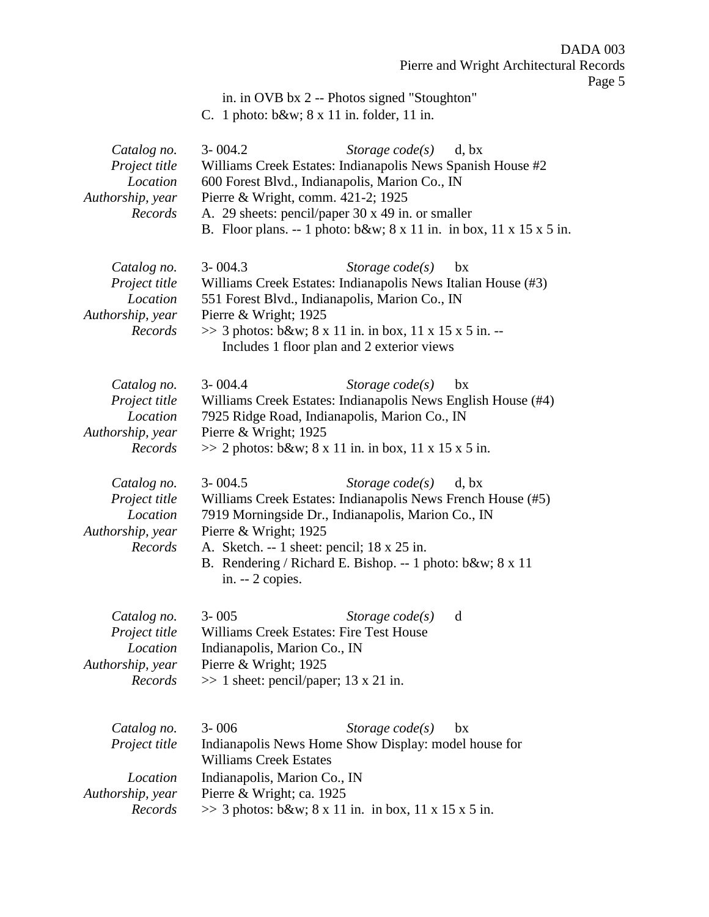in. in OVB bx 2 -- Photos signed "Stoughton"

C. 1 photo: b&w; 8 x 11 in. folder, 11 in.

| Catalog no.<br>Project title<br>Location<br>Authorship, year<br>Records | $3 - 004.2$<br>Williams Creek Estates: Indianapolis News Spanish House #2<br>600 Forest Blvd., Indianapolis, Marion Co., IN<br>Pierre & Wright, comm. 421-2; 1925<br>A. 29 sheets: pencil/paper 30 x 49 in. or smaller                                                                    | Storage $code(s)$<br>d, bx<br>B. Floor plans. -- 1 photo: $b\&w$ ; $8 \times 11$ in. in box, $11 \times 15 \times 5$ in. |
|-------------------------------------------------------------------------|-------------------------------------------------------------------------------------------------------------------------------------------------------------------------------------------------------------------------------------------------------------------------------------------|--------------------------------------------------------------------------------------------------------------------------|
| Catalog no.<br>Project title<br>Location<br>Authorship, year<br>Records | $3 - 004.3$<br>Williams Creek Estates: Indianapolis News Italian House (#3)<br>551 Forest Blvd., Indianapolis, Marion Co., IN<br>Pierre & Wright; 1925<br>$\gg$ 3 photos: b&w 8 x 11 in. in box, 11 x 15 x 5 in. --<br>Includes 1 floor plan and 2 exterior views                         | Storage $code(s)$<br>bx                                                                                                  |
| Catalog no.<br>Project title<br>Location<br>Authorship, year<br>Records | $3 - 004.4$<br>Williams Creek Estates: Indianapolis News English House (#4)<br>7925 Ridge Road, Indianapolis, Marion Co., IN<br>Pierre & Wright; 1925<br>$\gg$ 2 photos: b&w 8 x 11 in. in box, 11 x 15 x 5 in.                                                                           | Storage $code(s)$<br>bx                                                                                                  |
| Catalog no.<br>Project title<br>Location<br>Authorship, year<br>Records | $3 - 004.5$<br>Williams Creek Estates: Indianapolis News French House (#5)<br>7919 Morningside Dr., Indianapolis, Marion Co., IN<br>Pierre & Wright; $1925$<br>A. Sketch. -- 1 sheet: pencil; 18 x 25 in.<br>B. Rendering / Richard E. Bishop. -- 1 photo: b&w 8 x 11<br>in. $-2$ copies. | Storage $code(s)$<br>d, bx                                                                                               |
| Catalog no.<br>Project title<br>Location<br>Authorship, year<br>Records | $3 - 005$<br>Williams Creek Estates: Fire Test House<br>Indianapolis, Marion Co., IN<br>Pierre & Wright; 1925<br>$\gg$ 1 sheet: pencil/paper; 13 x 21 in.                                                                                                                                 | Storage $code(s)$<br>d                                                                                                   |
| Catalog no.<br>Project title<br>Location<br>Authorship, year<br>Records | $3 - 006$<br>Indianapolis News Home Show Display: model house for<br><b>Williams Creek Estates</b><br>Indianapolis, Marion Co., IN<br>Pierre & Wright; ca. 1925<br>$\gg$ 3 photos: b&w 8 x 11 in. in box, 11 x 15 x 5 in.                                                                 | Storage $code(s)$<br>bx                                                                                                  |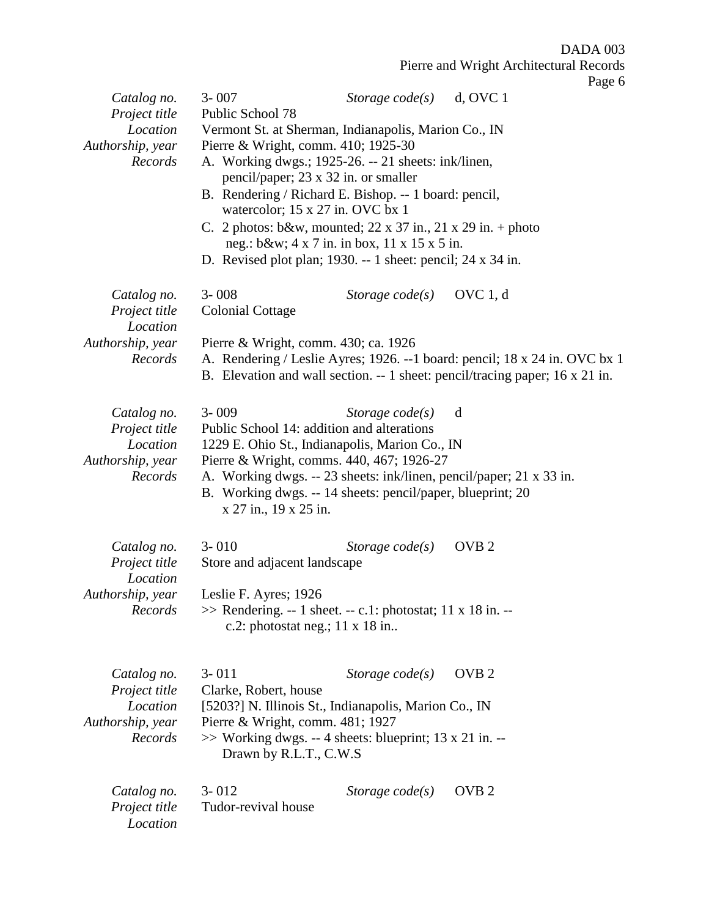|                                                                         |                                                                                                  |                                                                                                                                                                                                                                                                                                                                                                                                                                                    | Page 6                                                                                                                                                     |
|-------------------------------------------------------------------------|--------------------------------------------------------------------------------------------------|----------------------------------------------------------------------------------------------------------------------------------------------------------------------------------------------------------------------------------------------------------------------------------------------------------------------------------------------------------------------------------------------------------------------------------------------------|------------------------------------------------------------------------------------------------------------------------------------------------------------|
| Catalog no.<br>Project title                                            | $3 - 007$<br>Public School 78                                                                    | Storage $code(s)$ d, OVC 1                                                                                                                                                                                                                                                                                                                                                                                                                         |                                                                                                                                                            |
| Location<br>Authorship, year<br>Records                                 | Pierre & Wright, comm. 410; 1925-30                                                              | Vermont St. at Sherman, Indianapolis, Marion Co., IN<br>A. Working dwgs.; 1925-26. -- 21 sheets: ink/linen,<br>pencil/paper; 23 x 32 in. or smaller<br>B. Rendering / Richard E. Bishop. -- 1 board: pencil,<br>watercolor; 15 x 27 in. OVC bx 1<br>C. 2 photos: b&w, mounted; $22 \times 37$ in., $21 \times 29$ in. + photo<br>neg.: b&w 4 x 7 in. in box, 11 x 15 x 5 in.<br>D. Revised plot plan; 1930. -- 1 sheet: pencil; $24 \times 34$ in. |                                                                                                                                                            |
| Catalog no.<br>Project title<br>Location                                | $3 - 008$<br><b>Colonial Cottage</b>                                                             | Storage $code(s)$ OVC 1, d                                                                                                                                                                                                                                                                                                                                                                                                                         |                                                                                                                                                            |
| Authorship, year<br>Records                                             | Pierre & Wright, comm. 430; ca. 1926                                                             |                                                                                                                                                                                                                                                                                                                                                                                                                                                    | A. Rendering / Leslie Ayres; 1926. --1 board: pencil; 18 x 24 in. OVC bx 1<br>B. Elevation and wall section. -- 1 sheet: pencil/tracing paper; 16 x 21 in. |
| Catalog no.<br>Project title<br>Location<br>Authorship, year<br>Records | $3 - 009$<br>x 27 in., 19 x 25 in.                                                               | Storage $code(s)$<br>Public School 14: addition and alterations<br>1229 E. Ohio St., Indianapolis, Marion Co., IN<br>Pierre & Wright, comms. 440, 467; 1926-27<br>A. Working dwgs. -- 23 sheets: ink/linen, pencil/paper; 21 x 33 in.<br>B. Working dwgs. -- 14 sheets: pencil/paper, blueprint; 20                                                                                                                                                | d                                                                                                                                                          |
| Catalog no.<br>Project title<br>Location                                | $3 - 010$<br>Store and adjacent landscape                                                        | Storage $code(s)$                                                                                                                                                                                                                                                                                                                                                                                                                                  | OVB <sub>2</sub>                                                                                                                                           |
| Authorship, year<br>Records                                             | Leslie F. Ayres; 1926<br>c.2: photostat neg.; $11 \times 18$ in                                  | $\gg$ Rendering. -- 1 sheet. -- c.1: photostat; 11 x 18 in. --                                                                                                                                                                                                                                                                                                                                                                                     |                                                                                                                                                            |
| Catalog no.<br>Project title<br>Location<br>Authorship, year<br>Records | $3 - 011$<br>Clarke, Robert, house<br>Pierre & Wright, comm. 481; 1927<br>Drawn by R.L.T., C.W.S | Storage $code(s)$<br>[5203?] N. Illinois St., Indianapolis, Marion Co., IN<br>>> Working dwgs. -- 4 sheets: blueprint; 13 x 21 in. --                                                                                                                                                                                                                                                                                                              | OVB <sub>2</sub>                                                                                                                                           |
| Catalog no.<br>Project title<br>Location                                | $3 - 012$<br>Tudor-revival house                                                                 | Storage $code(s)$                                                                                                                                                                                                                                                                                                                                                                                                                                  | OVB <sub>2</sub>                                                                                                                                           |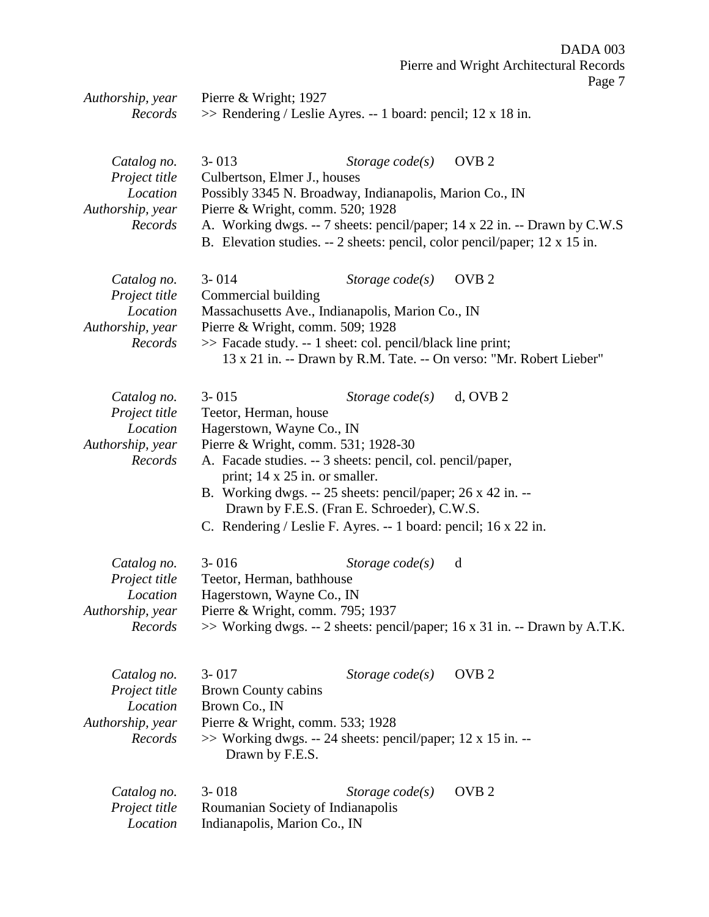| Authorship, year             | Pierre & Wright; 1927                                                                       |                   |                                                                               |
|------------------------------|---------------------------------------------------------------------------------------------|-------------------|-------------------------------------------------------------------------------|
| Records                      | $\gg$ Rendering / Leslie Ayres. -- 1 board: pencil; 12 x 18 in.                             |                   |                                                                               |
|                              |                                                                                             |                   |                                                                               |
| Catalog no.<br>Project title | $3 - 013$<br>Culbertson, Elmer J., houses                                                   | Storage $code(s)$ | OVB <sub>2</sub>                                                              |
| Location<br>Authorship, year | Possibly 3345 N. Broadway, Indianapolis, Marion Co., IN<br>Pierre & Wright, comm. 520; 1928 |                   |                                                                               |
| Records                      |                                                                                             |                   | A. Working dwgs. -- 7 sheets: pencil/paper; 14 x 22 in. -- Drawn by C.W.S     |
|                              |                                                                                             |                   | B. Elevation studies. $-2$ sheets: pencil, color pencil/paper; 12 x 15 in.    |
| Catalog no.<br>Project title | $3 - 014$<br>Commercial building                                                            | Storage $code(s)$ | OVB <sub>2</sub>                                                              |
| Location<br>Authorship, year | Massachusetts Ave., Indianapolis, Marion Co., IN<br>Pierre & Wright, comm. 509; 1928        |                   |                                                                               |
| Records                      | >> Facade study. -- 1 sheet: col. pencil/black line print;                                  |                   |                                                                               |
|                              |                                                                                             |                   | 13 x 21 in. -- Drawn by R.M. Tate. -- On verso: "Mr. Robert Lieber"           |
|                              |                                                                                             |                   |                                                                               |
| Catalog no.                  | $3 - 015$                                                                                   | Storage $code(s)$ | $d$ , OVB 2                                                                   |
| Project title                | Teetor, Herman, house                                                                       |                   |                                                                               |
| Location                     | Hagerstown, Wayne Co., IN                                                                   |                   |                                                                               |
| Authorship, year             | Pierre & Wright, comm. 531; 1928-30                                                         |                   |                                                                               |
| Records                      | A. Facade studies. -- 3 sheets: pencil, col. pencil/paper,                                  |                   |                                                                               |
|                              | print; 14 x 25 in. or smaller.                                                              |                   |                                                                               |
|                              | B. Working dwgs. -- 25 sheets: pencil/paper; 26 x 42 in. --                                 |                   |                                                                               |
|                              | Drawn by F.E.S. (Fran E. Schroeder), C.W.S.                                                 |                   |                                                                               |
|                              | C. Rendering / Leslie F. Ayres. -- 1 board: pencil; 16 x 22 in.                             |                   |                                                                               |
| Catalog no.                  | $3 - 016$                                                                                   | Storage $code(s)$ | d                                                                             |
| Project title                | Teetor, Herman, bathhouse                                                                   |                   |                                                                               |
| Location                     | Hagerstown, Wayne Co., IN                                                                   |                   |                                                                               |
| Authorship, year             | Pierre & Wright, comm. 795; 1937                                                            |                   |                                                                               |
| Records                      |                                                                                             |                   | $\gg$ Working dwgs. -- 2 sheets: pencil/paper; 16 x 31 in. -- Drawn by A.T.K. |
|                              |                                                                                             |                   |                                                                               |
| Catalog no.                  | $3 - 017$                                                                                   | Storage $code(s)$ | OVB <sub>2</sub>                                                              |
| Project title                | Brown County cabins                                                                         |                   |                                                                               |
| Location                     | Brown Co., IN                                                                               |                   |                                                                               |
| Authorship, year             | Pierre & Wright, comm. 533; 1928                                                            |                   |                                                                               |
| Records                      | $\gg$ Working dwgs. -- 24 sheets: pencil/paper; 12 x 15 in. --<br>Drawn by F.E.S.           |                   |                                                                               |
|                              |                                                                                             |                   |                                                                               |
| Catalog no.<br>Project title | $3 - 018$<br>Roumanian Society of Indianapolis                                              | Storage $code(s)$ | OVB <sub>2</sub>                                                              |
| Location                     | Indianapolis, Marion Co., IN                                                                |                   |                                                                               |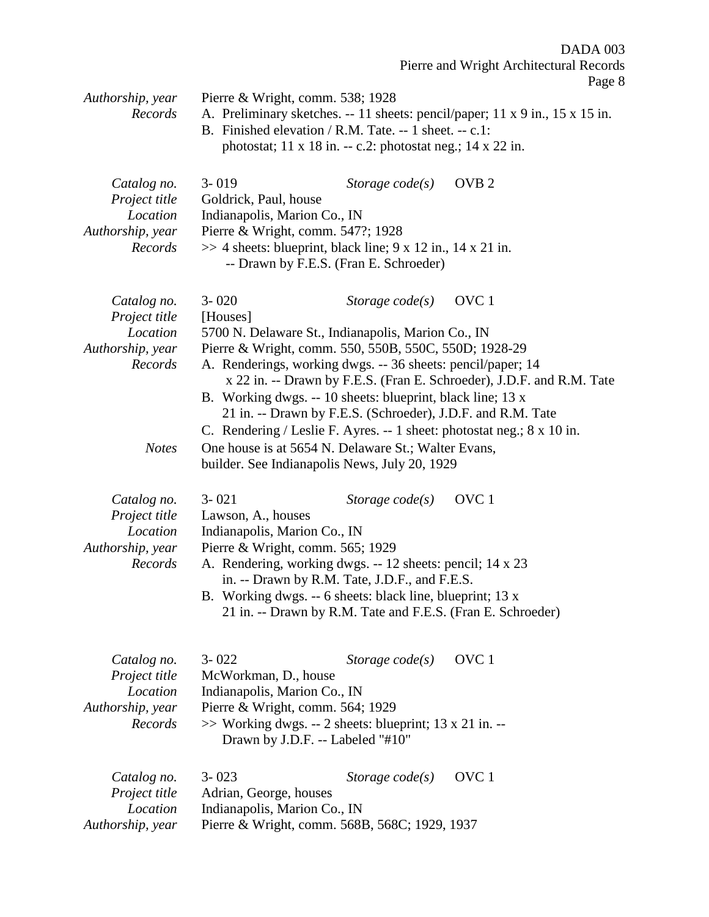|                             |                                                                                                                                                                            |                   |                  | $\log_{10}$ |
|-----------------------------|----------------------------------------------------------------------------------------------------------------------------------------------------------------------------|-------------------|------------------|-------------|
| Authorship, year<br>Records | Pierre & Wright, comm. 538; 1928<br>A. Preliminary sketches. -- 11 sheets: pencil/paper; 11 x 9 in., 15 x 15 in.<br>B. Finished elevation / R.M. Tate. -- 1 sheet. -- c.1: |                   |                  |             |
|                             | photostat; $11 \times 18$ in. -- c.2: photostat neg.; $14 \times 22$ in.                                                                                                   |                   |                  |             |
|                             |                                                                                                                                                                            |                   |                  |             |
| Catalog no.                 | $3 - 019$                                                                                                                                                                  | Storage $code(s)$ | OVB <sub>2</sub> |             |
| Project title               | Goldrick, Paul, house                                                                                                                                                      |                   |                  |             |
| Location                    | Indianapolis, Marion Co., IN                                                                                                                                               |                   |                  |             |
| Authorship, year            | Pierre & Wright, comm. 547?; 1928                                                                                                                                          |                   |                  |             |
| Records                     | $\gg$ 4 sheets: blueprint, black line; 9 x 12 in., 14 x 21 in.                                                                                                             |                   |                  |             |
|                             | -- Drawn by F.E.S. (Fran E. Schroeder)                                                                                                                                     |                   |                  |             |
|                             |                                                                                                                                                                            |                   |                  |             |
| Catalog no.                 | $3 - 020$                                                                                                                                                                  | Storage $code(s)$ | OVC <sub>1</sub> |             |
| Project title               | [Houses]                                                                                                                                                                   |                   |                  |             |
| Location                    | 5700 N. Delaware St., Indianapolis, Marion Co., IN                                                                                                                         |                   |                  |             |
| Authorship, year            | Pierre & Wright, comm. 550, 550B, 550C, 550D; 1928-29                                                                                                                      |                   |                  |             |
| Records                     | A. Renderings, working dwgs. -- 36 sheets: pencil/paper; 14                                                                                                                |                   |                  |             |
|                             | x 22 in. -- Drawn by F.E.S. (Fran E. Schroeder), J.D.F. and R.M. Tate                                                                                                      |                   |                  |             |
|                             | B. Working dwgs. -- 10 sheets: blueprint, black line; 13 x                                                                                                                 |                   |                  |             |
|                             | 21 in. -- Drawn by F.E.S. (Schroeder), J.D.F. and R.M. Tate                                                                                                                |                   |                  |             |
|                             | C. Rendering / Leslie F. Ayres. -- 1 sheet: photostat neg.; 8 x 10 in.                                                                                                     |                   |                  |             |
| <b>Notes</b>                | One house is at 5654 N. Delaware St.; Walter Evans,                                                                                                                        |                   |                  |             |
|                             | builder. See Indianapolis News, July 20, 1929                                                                                                                              |                   |                  |             |
|                             |                                                                                                                                                                            |                   |                  |             |
|                             | $3 - 021$                                                                                                                                                                  |                   | OVC <sub>1</sub> |             |
| Catalog no.                 |                                                                                                                                                                            | Storage $code(s)$ |                  |             |
| Project title               | Lawson, A., houses                                                                                                                                                         |                   |                  |             |
| Location                    | Indianapolis, Marion Co., IN                                                                                                                                               |                   |                  |             |
| Authorship, year<br>Records | Pierre & Wright, comm. 565; 1929<br>A. Rendering, working dwgs. -- 12 sheets: pencil; 14 x 23                                                                              |                   |                  |             |
|                             | in. -- Drawn by R.M. Tate, J.D.F., and F.E.S.                                                                                                                              |                   |                  |             |
|                             | B. Working dwgs. -- 6 sheets: black line, blueprint; 13 x                                                                                                                  |                   |                  |             |
|                             | 21 in. -- Drawn by R.M. Tate and F.E.S. (Fran E. Schroeder)                                                                                                                |                   |                  |             |
|                             |                                                                                                                                                                            |                   |                  |             |
|                             |                                                                                                                                                                            |                   |                  |             |
| Catalog no.                 | $3 - 022$                                                                                                                                                                  | Storage $code(s)$ | OVC <sub>1</sub> |             |
| Project title               | McWorkman, D., house                                                                                                                                                       |                   |                  |             |
| Location                    | Indianapolis, Marion Co., IN                                                                                                                                               |                   |                  |             |
| Authorship, year            | Pierre & Wright, comm. 564; 1929                                                                                                                                           |                   |                  |             |
| Records                     | $\gg$ Working dwgs. -- 2 sheets: blueprint; 13 x 21 in. --                                                                                                                 |                   |                  |             |
|                             | Drawn by J.D.F. -- Labeled "#10"                                                                                                                                           |                   |                  |             |
|                             |                                                                                                                                                                            |                   |                  |             |
|                             |                                                                                                                                                                            |                   |                  |             |
| Catalog no.                 | $3 - 023$                                                                                                                                                                  | Storage $code(s)$ | OVC <sub>1</sub> |             |
| Project title               | Adrian, George, houses                                                                                                                                                     |                   |                  |             |
| Location                    | Indianapolis, Marion Co., IN                                                                                                                                               |                   |                  |             |
| Authorship, year            | Pierre & Wright, comm. 568B, 568C; 1929, 1937                                                                                                                              |                   |                  |             |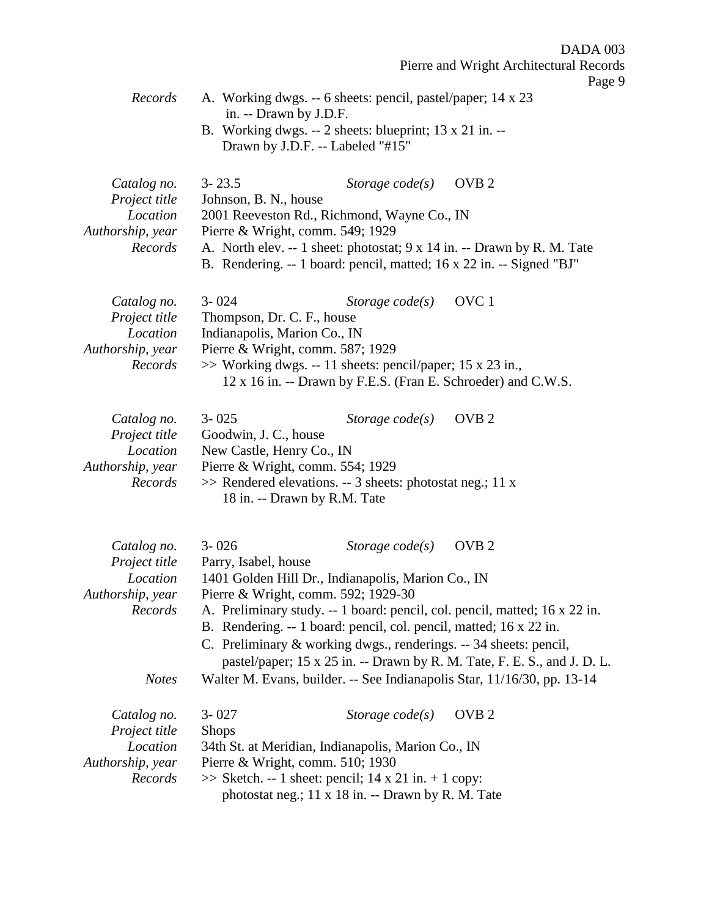$03<sup>°</sup>$ Pierre and Wright Architectural Records e 9

| DADA 0                                  |  |
|-----------------------------------------|--|
| Pierre and Wright Architectural Recor   |  |
| Page                                    |  |
| 6 sheets: pencil, pastel/paper; 14 x 23 |  |

- *Records* A. Working dwgs. -- 6 sheets: pencil, pastel/pap in. -- Drawn by J.D.F.
	- B. Working dwgs. -- 2 sheets: blueprint; 13 x 21 in. -- Drawn by J.D.F. -- Labeled "#15"

| Catalog no.      | $3 - 23.5$                                                           | Storage code(s) OVB 2 |                                                                         |
|------------------|----------------------------------------------------------------------|-----------------------|-------------------------------------------------------------------------|
| Project title    | Johnson, B. N., house                                                |                       |                                                                         |
| Location         | 2001 Reeveston Rd., Richmond, Wayne Co., IN                          |                       |                                                                         |
| Authorship, year | Pierre & Wright, comm. 549; 1929                                     |                       |                                                                         |
| Records          |                                                                      |                       | A. North elev. -- 1 sheet: photostat; 9 x 14 in. -- Drawn by R. M. Tate |
|                  | B. Rendering. -- 1 board: pencil, matted; 16 x 22 in. -- Signed "BJ" |                       |                                                                         |

| $3 - 024$ | Storage code(s) OVC 1 |                                                                                                                                                                                                                                    |
|-----------|-----------------------|------------------------------------------------------------------------------------------------------------------------------------------------------------------------------------------------------------------------------------|
|           |                       |                                                                                                                                                                                                                                    |
|           |                       |                                                                                                                                                                                                                                    |
|           |                       |                                                                                                                                                                                                                                    |
|           |                       |                                                                                                                                                                                                                                    |
|           |                       |                                                                                                                                                                                                                                    |
|           |                       | Thompson, Dr. C. F., house<br>Indianapolis, Marion Co., IN<br>Pierre & Wright, comm. $587$ ; 1929<br>$\gg$ Working dwgs. -- 11 sheets: pencil/paper; 15 x 23 in.,<br>12 x 16 in. -- Drawn by F.E.S. (Fran E. Schroeder) and C.W.S. |

| Catalog no.      | $3 - 025$                                                    | Storage code(s) OVB 2 |  |
|------------------|--------------------------------------------------------------|-----------------------|--|
| Project title    | Goodwin, J. C., house                                        |                       |  |
| Location         | New Castle, Henry Co., IN                                    |                       |  |
| Authorship, year | Pierre & Wright, comm. 554; 1929                             |                       |  |
| Records          | $\gg$ Rendered elevations. -- 3 sheets: photostat neg.; 11 x |                       |  |
|                  | 18 in. -- Drawn by R.M. Tate                                 |                       |  |

| Catalog no.<br>Project title | $3 - 026$<br>Parry, Isabel, house                                                                                                             | Storage $code(s)$ | OVB <sub>2</sub>                                                           |
|------------------------------|-----------------------------------------------------------------------------------------------------------------------------------------------|-------------------|----------------------------------------------------------------------------|
| Location                     | 1401 Golden Hill Dr., Indianapolis, Marion Co., IN                                                                                            |                   |                                                                            |
| Authorship, year             | Pierre & Wright, comm. 592; 1929-30                                                                                                           |                   |                                                                            |
| Records                      |                                                                                                                                               |                   | A. Preliminary study. -- 1 board: pencil, col. pencil, matted; 16 x 22 in. |
|                              | B. Rendering. -- 1 board: pencil, col. pencil, matted; 16 x 22 in.                                                                            |                   |                                                                            |
|                              | C. Preliminary & working dwgs., renderings. -- 34 sheets: pencil,<br>pastel/paper; 15 x 25 in. -- Drawn by R. M. Tate, F. E. S., and J. D. L. |                   |                                                                            |
|                              |                                                                                                                                               |                   |                                                                            |
| <b>Notes</b>                 |                                                                                                                                               |                   | Walter M. Evans, builder. -- See Indianapolis Star, 11/16/30, pp. 13-14    |
| Catalog no.<br>Project title | $3 - 027$<br><b>Shops</b>                                                                                                                     | Storage $code(s)$ | OVB <sub>2</sub>                                                           |
| Location                     | 34th St. at Meridian, Indianapolis, Marion Co., IN                                                                                            |                   |                                                                            |
| Authorship, year             | Pierre & Wright, comm. 510; 1930                                                                                                              |                   |                                                                            |
|                              |                                                                                                                                               |                   |                                                                            |

*Records* >> Sketch. -- 1 sheet: pencil; 14 x 21 in. + 1 copy: photostat neg.; 11 x 18 in. -- Drawn by R. M. Tate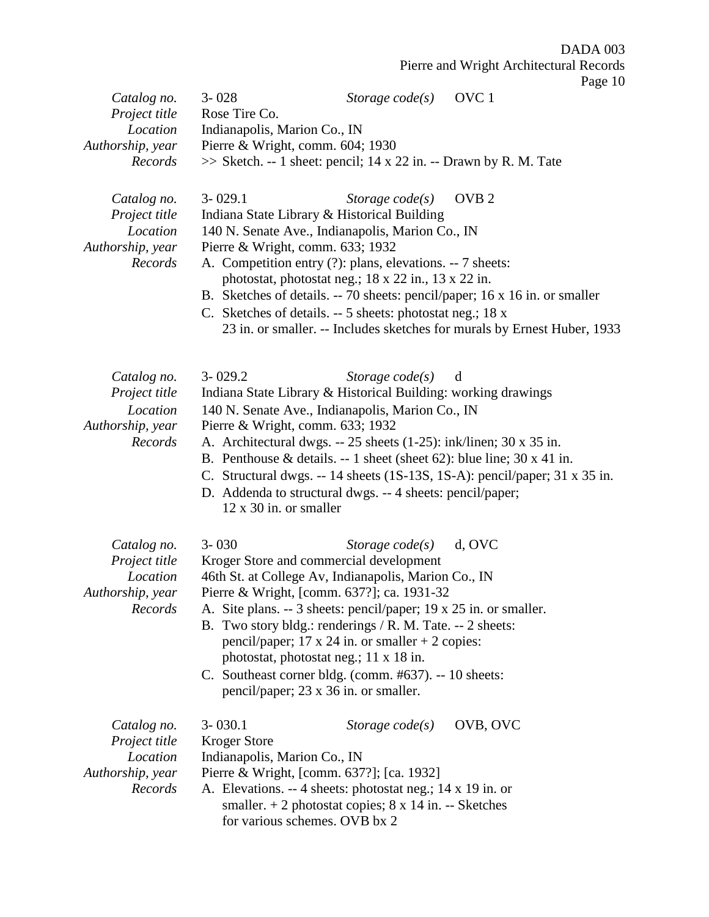|                              | $3 - 028$                        |                                                                                                                 | OVC <sub>1</sub> | $1 \mu_{\rm SU}$ $1$ |
|------------------------------|----------------------------------|-----------------------------------------------------------------------------------------------------------------|------------------|----------------------|
| Catalog no.<br>Project title | Rose Tire Co.                    | Storage $code(s)$                                                                                               |                  |                      |
| Location                     | Indianapolis, Marion Co., IN     |                                                                                                                 |                  |                      |
| Authorship, year             | Pierre & Wright, comm. 604; 1930 |                                                                                                                 |                  |                      |
| Records                      |                                  | >> Sketch. -- 1 sheet: pencil; 14 x 22 in. -- Drawn by R. M. Tate                                               |                  |                      |
|                              |                                  |                                                                                                                 |                  |                      |
| Catalog no.                  | $3 - 029.1$                      | Storage $code(s)$                                                                                               | OVB <sub>2</sub> |                      |
| Project title                |                                  | Indiana State Library & Historical Building                                                                     |                  |                      |
| Location                     |                                  | 140 N. Senate Ave., Indianapolis, Marion Co., IN                                                                |                  |                      |
| Authorship, year             | Pierre & Wright, comm. 633; 1932 |                                                                                                                 |                  |                      |
| Records                      |                                  | A. Competition entry (?): plans, elevations. -- 7 sheets:                                                       |                  |                      |
|                              |                                  | photostat, photostat neg.; 18 x 22 in., 13 x 22 in.                                                             |                  |                      |
|                              |                                  | B. Sketches of details. -- 70 sheets: pencil/paper; 16 x 16 in. or smaller                                      |                  |                      |
|                              |                                  | C. Sketches of details. -- 5 sheets: photostat neg.; 18 x                                                       |                  |                      |
|                              |                                  | 23 in. or smaller. -- Includes sketches for murals by Ernest Huber, 1933                                        |                  |                      |
|                              |                                  |                                                                                                                 |                  |                      |
| Catalog no.                  | $3 - 029.2$                      | Storage $code(s)$                                                                                               | d                |                      |
| Project title                |                                  | Indiana State Library & Historical Building: working drawings                                                   |                  |                      |
| Location                     |                                  | 140 N. Senate Ave., Indianapolis, Marion Co., IN                                                                |                  |                      |
| Authorship, year<br>Records  | Pierre & Wright, comm. 633; 1932 | A. Architectural dwgs. -- 25 sheets (1-25): ink/linen; 30 x 35 in.                                              |                  |                      |
|                              |                                  | B. Penthouse & details. -- 1 sheet (sheet 62): blue line; $30 \times 41$ in.                                    |                  |                      |
|                              |                                  | C. Structural dwgs. -- 14 sheets (1S-13S, 1S-A): pencil/paper; 31 x 35 in.                                      |                  |                      |
|                              |                                  | D. Addenda to structural dwgs. -- 4 sheets: pencil/paper;                                                       |                  |                      |
|                              | $12 \times 30$ in. or smaller    |                                                                                                                 |                  |                      |
|                              |                                  |                                                                                                                 |                  |                      |
| Catalog no.                  | $3 - 030$                        | Storage $code(s)$                                                                                               | d, OVC           |                      |
| Project title                |                                  | Kroger Store and commercial development                                                                         |                  |                      |
| Location                     |                                  | 46th St. at College Av, Indianapolis, Marion Co., IN                                                            |                  |                      |
| Authorship, year<br>Records  |                                  | Pierre & Wright, [comm. 637?]; ca. 1931-32<br>A. Site plans. -- 3 sheets: pencil/paper; 19 x 25 in. or smaller. |                  |                      |
|                              |                                  | B. Two story bldg.: renderings / R. M. Tate. -- 2 sheets:                                                       |                  |                      |
|                              |                                  | pencil/paper; 17 x 24 in. or smaller $+ 2$ copies:                                                              |                  |                      |
|                              |                                  | photostat, photostat neg.; 11 x 18 in.                                                                          |                  |                      |
|                              |                                  | C. Southeast corner bldg. (comm. #637). -- 10 sheets:                                                           |                  |                      |
|                              |                                  | pencil/paper; 23 x 36 in. or smaller.                                                                           |                  |                      |
| Catalog no.                  | $3 - 030.1$                      | Storage $code(s)$                                                                                               | OVB, OVC         |                      |
| Project title                | <b>Kroger Store</b>              |                                                                                                                 |                  |                      |
| Location                     | Indianapolis, Marion Co., IN     |                                                                                                                 |                  |                      |
| Authorship, year             |                                  | Pierre & Wright, [comm. 637?]; [ca. 1932]                                                                       |                  |                      |
| Records                      |                                  | A. Elevations. -- 4 sheets: photostat neg.; 14 x 19 in. or                                                      |                  |                      |
|                              |                                  | smaller. $+ 2$ photostat copies; $8 \times 14$ in. -- Sketches                                                  |                  |                      |
|                              |                                  | for various schemes. OVB bx 2                                                                                   |                  |                      |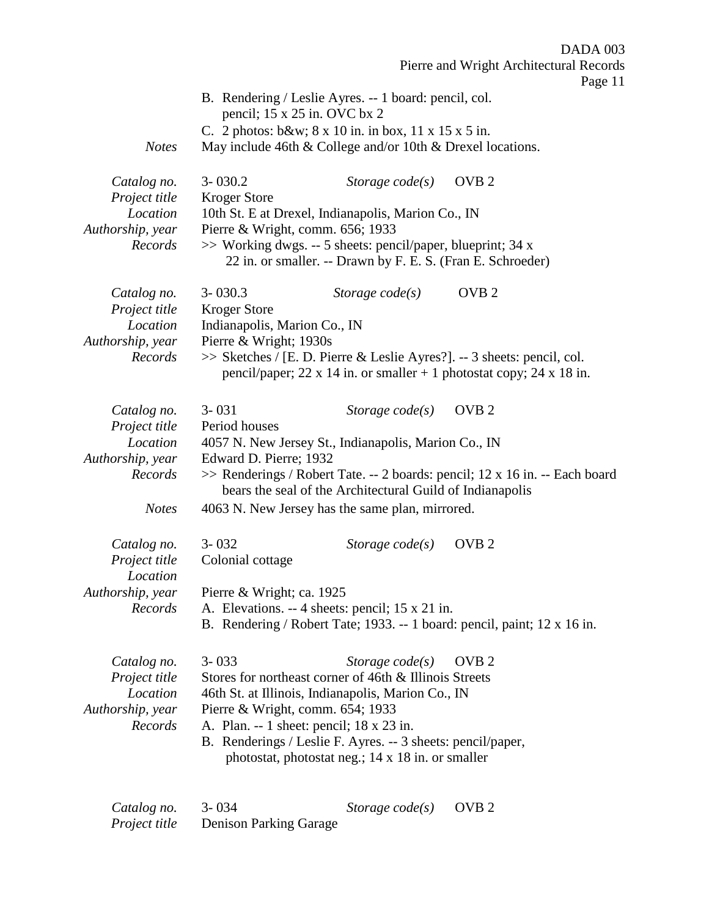|                                                                                         |                                                                                              |                                                                                                                                                                                                                                                                                                                                       | DADA 003<br>Pierre and Wright Architectural Records                                             |
|-----------------------------------------------------------------------------------------|----------------------------------------------------------------------------------------------|---------------------------------------------------------------------------------------------------------------------------------------------------------------------------------------------------------------------------------------------------------------------------------------------------------------------------------------|-------------------------------------------------------------------------------------------------|
| <b>Notes</b>                                                                            |                                                                                              | B. Rendering / Leslie Ayres. -- 1 board: pencil, col.<br>pencil; 15 x 25 in. OVC bx 2<br>C. 2 photos: b&w 8 x 10 in. in box, 11 x 15 x 5 in.<br>May include 46th & College and/or 10th & Drexel locations.                                                                                                                            | Page 11                                                                                         |
| Catalog no.<br>Project title<br>Location<br>Authorship, year<br>Records                 | $3 - 030.2$<br>Kroger Store                                                                  | Storage $code(s)$<br>10th St. E at Drexel, Indianapolis, Marion Co., IN<br>Pierre & Wright, comm. 656; 1933<br>>> Working dwgs. -- 5 sheets: pencil/paper, blueprint; 34 x<br>22 in. or smaller. -- Drawn by F. E. S. (Fran E. Schroeder)                                                                                             | OVB <sub>2</sub>                                                                                |
| Catalog no.<br>Project title<br>Location<br>Authorship, year<br>Records                 | $3 - 030.3$<br><b>Kroger Store</b><br>Indianapolis, Marion Co., IN<br>Pierre & Wright; 1930s | Storage $code(s)$<br>>> Sketches / [E. D. Pierre & Leslie Ayres?]. -- 3 sheets: pencil, col.<br>pencil/paper; 22 x 14 in. or smaller $+ 1$ photostat copy; 24 x 18 in.                                                                                                                                                                | OVB <sub>2</sub>                                                                                |
| Catalog no.<br>Project title<br>Location<br>Authorship, year<br>Records<br><b>Notes</b> | $3 - 031$<br>Period houses<br>Edward D. Pierre; 1932                                         | Storage $code(s)$<br>4057 N. New Jersey St., Indianapolis, Marion Co., IN<br>bears the seal of the Architectural Guild of Indianapolis<br>4063 N. New Jersey has the same plan, mirrored.                                                                                                                                             | OVB <sub>2</sub><br>>> Renderings / Robert Tate. -- 2 boards: pencil; 12 x 16 in. -- Each board |
| Catalog no.<br>Project title<br>Location<br>Authorship, year<br>Records                 | $3 - 032$<br>Colonial cottage<br>Pierre & Wright; ca. 1925                                   | Storage $code(s)$<br>A. Elevations. -- 4 sheets: pencil; 15 x 21 in.<br>B. Rendering / Robert Tate; 1933. -- 1 board: pencil, paint; 12 x 16 in.                                                                                                                                                                                      | OVB <sub>2</sub>                                                                                |
| Catalog no.<br>Project title<br>Location<br>Authorship, year<br>Records                 | $3 - 033$                                                                                    | Storage $code(s)$<br>Stores for northeast corner of 46th & Illinois Streets<br>46th St. at Illinois, Indianapolis, Marion Co., IN<br>Pierre & Wright, comm. 654; 1933<br>A. Plan. -- 1 sheet: pencil; 18 x 23 in.<br>B. Renderings / Leslie F. Ayres. -- 3 sheets: pencil/paper,<br>photostat, photostat neg.; 14 x 18 in. or smaller | OVB <sub>2</sub>                                                                                |
| Catalog no.                                                                             | $3 - 034$                                                                                    | Storage $code(s)$                                                                                                                                                                                                                                                                                                                     | OVB <sub>2</sub>                                                                                |

*Project title* Denison Parking Garage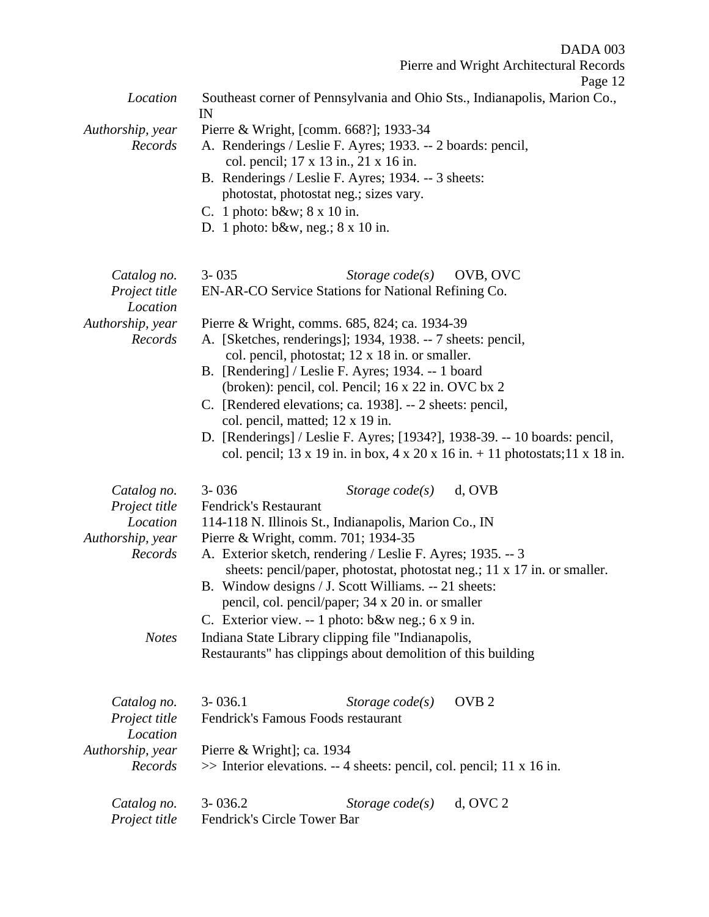Pierre and Wright Architectural Records

| Location                    | Southeast corner of Pennsylvania and Ohio Sts., Indianapolis, Marion Co.,<br>IN                                                                |
|-----------------------------|------------------------------------------------------------------------------------------------------------------------------------------------|
| Authorship, year<br>Records | Pierre & Wright, [comm. 668?]; 1933-34<br>A. Renderings / Leslie F. Ayres; 1933. -- 2 boards: pencil,<br>col. pencil; 17 x 13 in., 21 x 16 in. |
|                             | B. Renderings / Leslie F. Ayres; 1934. -- 3 sheets:                                                                                            |
|                             | photostat, photostat neg.; sizes vary.<br>C. 1 photo: $b\&w$ ; $8 \times 10$ in.                                                               |
|                             | D. 1 photo: $b\&w$ , neg.; $8 \times 10$ in.                                                                                                   |
|                             |                                                                                                                                                |
| Catalog no.                 | $3 - 035$<br>Storage $code(s)$<br>OVB, OVC                                                                                                     |
| Project title<br>Location   | EN-AR-CO Service Stations for National Refining Co.                                                                                            |
| Authorship, year            | Pierre & Wright, comms. 685, 824; ca. 1934-39                                                                                                  |
| Records                     | A. [Sketches, renderings]; 1934, 1938. -- 7 sheets: pencil,                                                                                    |
|                             | col. pencil, photostat; 12 x 18 in. or smaller.                                                                                                |
|                             | B. [Rendering] / Leslie F. Ayres; 1934. -- 1 board                                                                                             |
|                             | (broken): pencil, col. Pencil; 16 x 22 in. OVC bx 2                                                                                            |
|                             | C. [Rendered elevations; ca. 1938]. -- 2 sheets: pencil,                                                                                       |
|                             | col. pencil, matted; 12 x 19 in.                                                                                                               |
|                             | D. [Renderings] / Leslie F. Ayres; [1934?], 1938-39. -- 10 boards: pencil,                                                                     |
|                             | col. pencil; 13 x 19 in. in box, 4 x 20 x 16 in. $+$ 11 photostats; 11 x 18 in.                                                                |
| Catalog no.                 | $3 - 036$<br>Storage $code(s)$<br>d, OVB                                                                                                       |
| Project title               | Fendrick's Restaurant                                                                                                                          |
| Location                    | 114-118 N. Illinois St., Indianapolis, Marion Co., IN                                                                                          |
| Authorship, year            | Pierre & Wright, comm. 701; 1934-35                                                                                                            |
| Records                     | A. Exterior sketch, rendering / Leslie F. Ayres; 1935. -- 3                                                                                    |
|                             | sheets: pencil/paper, photostat, photostat neg.; 11 x 17 in. or smaller.<br>B. Window designs / J. Scott Williams. -- 21 sheets:               |
|                             | pencil, col. pencil/paper; 34 x 20 in. or smaller                                                                                              |
|                             | C. Exterior view. -- 1 photo: $b&w$ neg.; 6 x 9 in.                                                                                            |
| <b>Notes</b>                | Indiana State Library clipping file "Indianapolis,                                                                                             |
|                             | Restaurants" has clippings about demolition of this building                                                                                   |
|                             |                                                                                                                                                |
| Catalog no.                 | $3 - 036.1$<br>OVB <sub>2</sub><br>Storage $code(s)$                                                                                           |
| Project title               | Fendrick's Famous Foods restaurant                                                                                                             |
| Location                    |                                                                                                                                                |
| Authorship, year            | Pierre & Wright]; ca. 1934                                                                                                                     |
| Records                     | >> Interior elevations. -- 4 sheets: pencil, col. pencil; 11 x 16 in.                                                                          |
| Catalog no.                 | $3 - 036.2$<br>$d, OVC$ 2<br>Storage $code(s)$                                                                                                 |
| Project title               | Fendrick's Circle Tower Bar                                                                                                                    |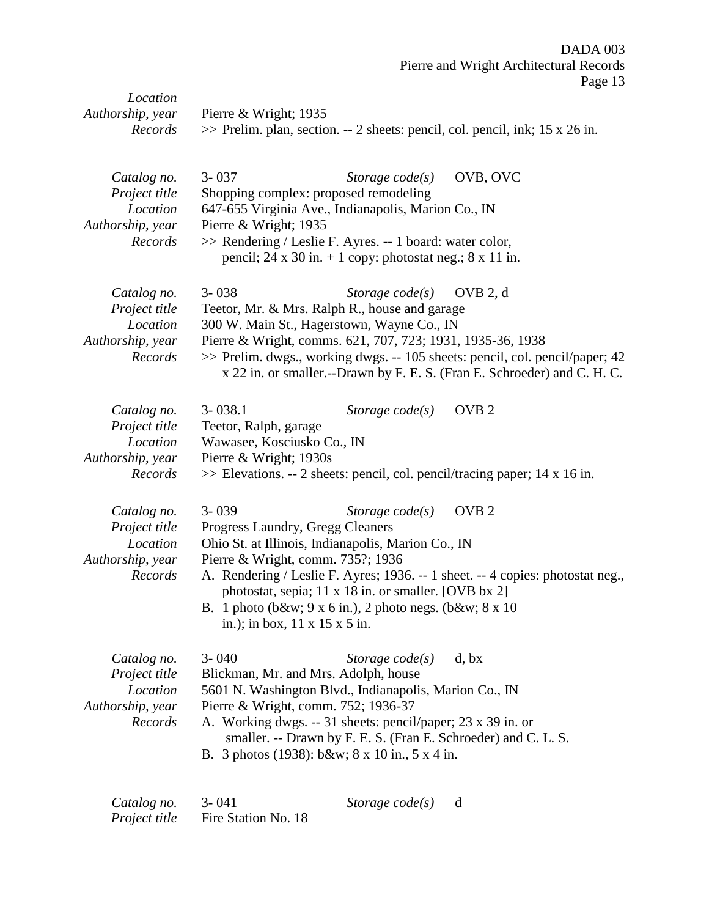| Location<br>Authorship, year<br>Records  | Pierre & Wright; $1935$<br>$\gg$ Prelim. plan, section. -- 2 sheets: pencil, col. pencil, ink; 15 x 26 in.                                               |
|------------------------------------------|----------------------------------------------------------------------------------------------------------------------------------------------------------|
|                                          |                                                                                                                                                          |
| Catalog no.<br>Project title<br>Location | OVB, OVC<br>$3 - 037$<br>Storage $code(s)$<br>Shopping complex: proposed remodeling                                                                      |
| Authorship, year                         | 647-655 Virginia Ave., Indianapolis, Marion Co., IN<br>Pierre & Wright; 1935                                                                             |
| Records                                  | >> Rendering / Leslie F. Ayres. -- 1 board: water color,<br>pencil; 24 x 30 in. $+$ 1 copy: photostat neg.; 8 x 11 in.                                   |
| Catalog no.<br>Project title             | $3 - 038$<br>Storage $code(s)$<br>OVB 2, d<br>Teetor, Mr. & Mrs. Ralph R., house and garage                                                              |
| Location                                 | 300 W. Main St., Hagerstown, Wayne Co., IN                                                                                                               |
| Authorship, year                         | Pierre & Wright, comms. 621, 707, 723; 1931, 1935-36, 1938                                                                                               |
| Records                                  | >> Prelim. dwgs., working dwgs. -- 105 sheets: pencil, col. pencil/paper; 42<br>x 22 in. or smaller.--Drawn by F. E. S. (Fran E. Schroeder) and C. H. C. |
| Catalog no.                              | OVB <sub>2</sub><br>$3 - 038.1$<br>Storage $code(s)$                                                                                                     |
| Project title                            | Teetor, Ralph, garage                                                                                                                                    |
| Location<br>Authorship, year             | Wawasee, Kosciusko Co., IN<br>Pierre & Wright; 1930s                                                                                                     |
| Records                                  | $\gg$ Elevations. -- 2 sheets: pencil, col. pencil/tracing paper; 14 x 16 in.                                                                            |
| Catalog no.                              | $3 - 039$<br>OVB <sub>2</sub><br>Storage $code(s)$                                                                                                       |
| Project title<br>Location                | Progress Laundry, Gregg Cleaners<br>Ohio St. at Illinois, Indianapolis, Marion Co., IN                                                                   |
| Authorship, year                         | Pierre & Wright, comm. 735?; 1936                                                                                                                        |
| Records                                  | A. Rendering / Leslie F. Ayres; 1936. -- 1 sheet. -- 4 copies: photostat neg.,<br>photostat, sepia; 11 x 18 in. or smaller. [OVB bx 2]                   |
|                                          | B. 1 photo (b&w 9 x 6 in.), 2 photo negs. (b&w 8 x 10<br>in.); in box, $11 \times 15 \times 5$ in.                                                       |
| Catalog no.<br>Project title             | $3 - 040$<br>Storage $code(s)$<br>d, bx<br>Blickman, Mr. and Mrs. Adolph, house                                                                          |
| Location                                 | 5601 N. Washington Blvd., Indianapolis, Marion Co., IN                                                                                                   |
| Authorship, year                         | Pierre & Wright, comm. 752; 1936-37                                                                                                                      |
| Records                                  | A. Working dwgs. -- 31 sheets: pencil/paper; 23 x 39 in. or<br>smaller. -- Drawn by F. E. S. (Fran E. Schroeder) and C. L. S.                            |
|                                          | B. 3 photos (1938): b&w 8 x 10 in., 5 x 4 in.                                                                                                            |
|                                          |                                                                                                                                                          |

| Catalog no.   | $3 - 041$           | Storage code(s) |  |
|---------------|---------------------|-----------------|--|
| Project title | Fire Station No. 18 |                 |  |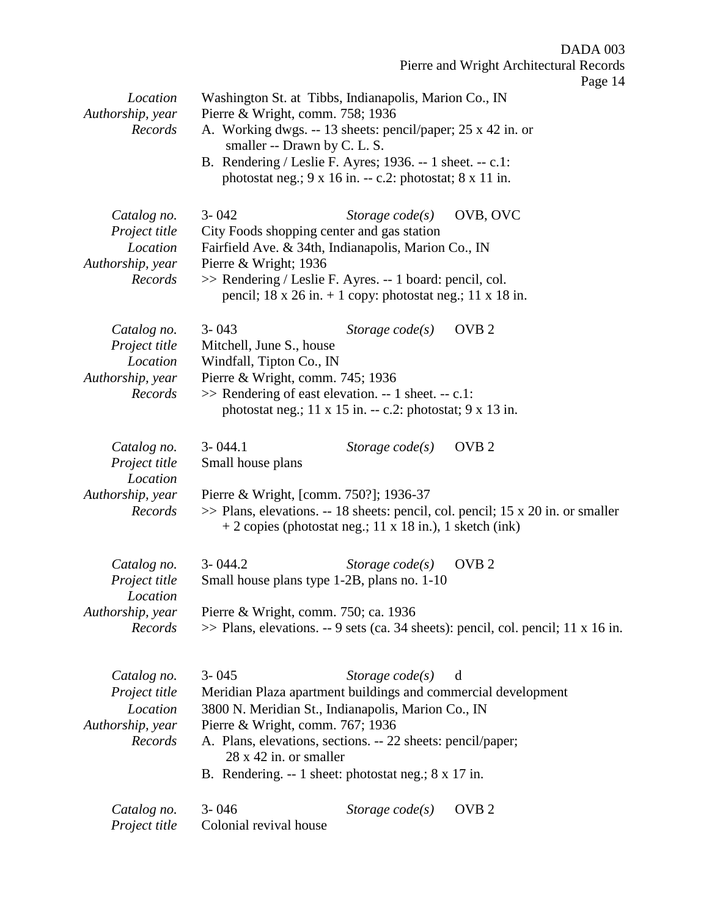Pierre and Wright Architectural Records

| Location<br>Authorship, year<br>Records                                 | Washington St. at Tibbs, Indianapolis, Marion Co., IN<br>Pierre & Wright, comm. 758; 1936<br>A. Working dwgs. -- 13 sheets: pencil/paper; 25 x 42 in. or<br>smaller -- Drawn by C. L. S.<br>B. Rendering / Leslie F. Ayres; 1936. -- 1 sheet. -- c.1:<br>photostat neg.; $9 \times 16$ in. -- c.2: photostat; $8 \times 11$ in. |                   | $1 \mu_{5}C$ $17$                                                                                      |
|-------------------------------------------------------------------------|---------------------------------------------------------------------------------------------------------------------------------------------------------------------------------------------------------------------------------------------------------------------------------------------------------------------------------|-------------------|--------------------------------------------------------------------------------------------------------|
| Catalog no.<br>Project title<br>Location<br>Authorship, year<br>Records | $3 - 042$<br>City Foods shopping center and gas station<br>Fairfield Ave. & 34th, Indianapolis, Marion Co., IN<br>Pierre & Wright; 1936<br>>> Rendering / Leslie F. Ayres. -- 1 board: pencil, col.<br>pencil; $18 \times 26$ in. $+ 1$ copy: photostat neg.; $11 \times 18$ in.                                                | Storage $code(s)$ | OVB, OVC                                                                                               |
| Catalog no.<br>Project title<br>Location<br>Authorship, year<br>Records | $3 - 043$<br>Mitchell, June S., house<br>Windfall, Tipton Co., IN<br>Pierre & Wright, comm. 745; 1936<br>$\gg$ Rendering of east elevation. -- 1 sheet. -- c.1:<br>photostat neg.; $11 \times 15$ in. -- c.2: photostat; $9 \times 13$ in.                                                                                      | Storage $code(s)$ | OVB <sub>2</sub>                                                                                       |
| Catalog no.<br>Project title<br>Location<br>Authorship, year<br>Records | $3 - 044.1$<br>Small house plans<br>Pierre & Wright, [comm. 750?]; 1936-37<br>$+ 2$ copies (photostat neg.; 11 x 18 in.), 1 sketch (ink)                                                                                                                                                                                        | Storage $code(s)$ | OVB <sub>2</sub><br>$\gg$ Plans, elevations. -- 18 sheets: pencil, col. pencil; 15 x 20 in. or smaller |
| Catalog no.<br>Project title<br>Location<br>Authorship, year<br>Records | $3 - 044.2$<br>Small house plans type 1-2B, plans no. 1-10<br>Pierre & Wright, comm. 750; ca. 1936                                                                                                                                                                                                                              | Storage $code(s)$ | OVB <sub>2</sub><br>>> Plans, elevations. -- 9 sets (ca. 34 sheets): pencil, col. pencil; 11 x 16 in.  |
| Catalog no.<br>Project title<br>Location<br>Authorship, year<br>Records | $3 - 045$<br>Meridian Plaza apartment buildings and commercial development<br>3800 N. Meridian St., Indianapolis, Marion Co., IN<br>Pierre & Wright, comm. 767; 1936<br>A. Plans, elevations, sections. -- 22 sheets: pencil/paper;<br>$28 \times 42$ in. or smaller<br>B. Rendering. -- 1 sheet: photostat neg.; 8 x 17 in.    | Storage $code(s)$ | d                                                                                                      |
| Catalog no.<br>Project title                                            | $3 - 046$<br>Colonial revival house                                                                                                                                                                                                                                                                                             | Storage $code(s)$ | OVB <sub>2</sub>                                                                                       |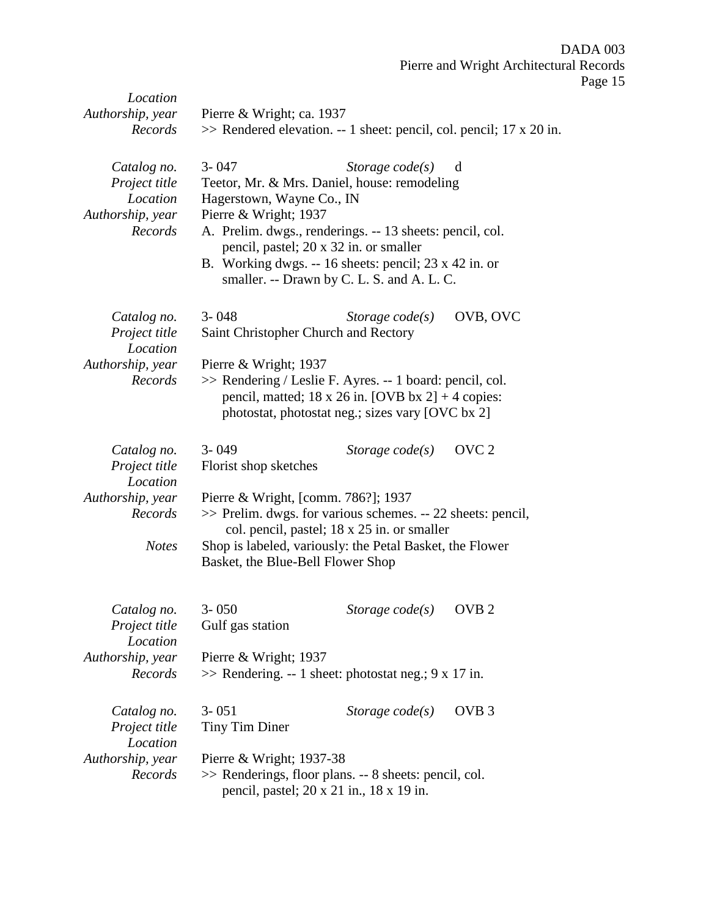| Location<br>Authorship, year<br>Records                                 | Pierre & Wright; ca. 1937<br>$\gg$ Rendered elevation. -- 1 sheet: pencil, col. pencil; 17 x 20 in.                                                                                         |                                                                                                                                                                                                                                                                                |                  |  |
|-------------------------------------------------------------------------|---------------------------------------------------------------------------------------------------------------------------------------------------------------------------------------------|--------------------------------------------------------------------------------------------------------------------------------------------------------------------------------------------------------------------------------------------------------------------------------|------------------|--|
| Catalog no.<br>Project title<br>Location<br>Authorship, year<br>Records | $3 - 047$<br>Hagerstown, Wayne Co., IN<br>Pierre & Wright; 1937                                                                                                                             | Storage $code(s)$<br>Teetor, Mr. & Mrs. Daniel, house: remodeling<br>A. Prelim. dwgs., renderings. -- 13 sheets: pencil, col.<br>pencil, pastel; 20 x 32 in. or smaller<br>B. Working dwgs. -- 16 sheets: pencil; 23 x 42 in. or<br>smaller. -- Drawn by C. L. S. and A. L. C. | d                |  |
| Catalog no.<br>Project title<br>Location                                | $3 - 048$                                                                                                                                                                                   | Storage $code(s)$<br>Saint Christopher Church and Rectory                                                                                                                                                                                                                      | OVB, OVC         |  |
| Authorship, year<br>Records                                             | Pierre & Wright; 1937<br>>> Rendering / Leslie F. Ayres. -- 1 board: pencil, col.<br>pencil, matted; 18 x 26 in. [OVB bx 2] + 4 copies:<br>photostat, photostat neg.; sizes vary [OVC bx 2] |                                                                                                                                                                                                                                                                                |                  |  |
| Catalog no.<br>Project title<br>Location                                | $3 - 049$<br>Florist shop sketches                                                                                                                                                          | Storage $code(s)$                                                                                                                                                                                                                                                              | OVC <sub>2</sub> |  |
| Authorship, year<br>Records                                             |                                                                                                                                                                                             | Pierre & Wright, [comm. 786?]; 1937<br>>> Prelim. dwgs. for various schemes. -- 22 sheets: pencil,<br>col. pencil, pastel; 18 x 25 in. or smaller                                                                                                                              |                  |  |
| <b>Notes</b>                                                            | Basket, the Blue-Bell Flower Shop                                                                                                                                                           | Shop is labeled, variously: the Petal Basket, the Flower                                                                                                                                                                                                                       |                  |  |
| Catalog no.<br>Project title<br>Location<br>Authorship, year            | $3 - 050$<br>Gulf gas station<br>Pierre & Wright; 1937                                                                                                                                      | Storage $code(s)$ OVB 2                                                                                                                                                                                                                                                        |                  |  |
| Records                                                                 |                                                                                                                                                                                             | $\gg$ Rendering. -- 1 sheet: photostat neg.; 9 x 17 in.                                                                                                                                                                                                                        |                  |  |
| Catalog no.<br>Project title<br>Location                                | $3 - 051$<br>Tiny Tim Diner                                                                                                                                                                 | Storage $code(s)$                                                                                                                                                                                                                                                              | OVB <sub>3</sub> |  |
| Authorship, year<br>Records                                             | Pierre & Wright; 1937-38                                                                                                                                                                    | >> Renderings, floor plans. -- 8 sheets: pencil, col.<br>pencil, pastel; 20 x 21 in., 18 x 19 in.                                                                                                                                                                              |                  |  |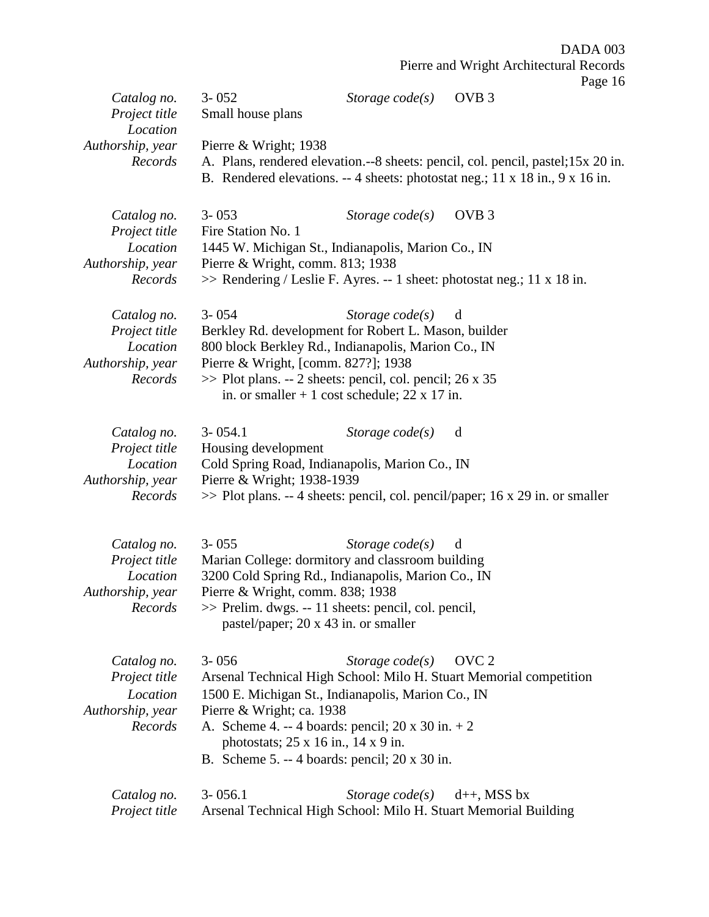|                              |                                                                                                                 |                                                |                  | $1 \, \text{ag}$ c 10 |
|------------------------------|-----------------------------------------------------------------------------------------------------------------|------------------------------------------------|------------------|-----------------------|
| Catalog no.                  | $3 - 052$                                                                                                       | Storage $code(s)$                              | OVB <sub>3</sub> |                       |
| Project title<br>Location    | Small house plans                                                                                               |                                                |                  |                       |
| Authorship, year             | Pierre & Wright; 1938                                                                                           |                                                |                  |                       |
| Records                      | A. Plans, rendered elevation.--8 sheets: pencil, col. pencil, pastel; 15x 20 in.                                |                                                |                  |                       |
|                              | B. Rendered elevations. -- 4 sheets: photostat neg.; 11 x 18 in., 9 x 16 in.                                    |                                                |                  |                       |
|                              |                                                                                                                 |                                                |                  |                       |
| Catalog no.<br>Project title | $3 - 053$<br>Fire Station No. 1                                                                                 | Storage $code(s)$                              | OVB <sub>3</sub> |                       |
| Location                     | 1445 W. Michigan St., Indianapolis, Marion Co., IN                                                              |                                                |                  |                       |
| Authorship, year             | Pierre & Wright, comm. 813; 1938                                                                                |                                                |                  |                       |
| Records                      | $\gg$ Rendering / Leslie F. Ayres. -- 1 sheet: photostat neg.; 11 x 18 in.                                      |                                                |                  |                       |
| Catalog no.                  | $3 - 054$                                                                                                       | Storage $code(s)$                              | d                |                       |
| Project title                | Berkley Rd. development for Robert L. Mason, builder                                                            |                                                |                  |                       |
| Location                     | 800 block Berkley Rd., Indianapolis, Marion Co., IN                                                             |                                                |                  |                       |
| Authorship, year             | Pierre & Wright, [comm. 827?]; 1938                                                                             |                                                |                  |                       |
| Records                      | $\gg$ Plot plans. -- 2 sheets: pencil, col. pencil; 26 x 35                                                     | in. or smaller $+1$ cost schedule; 22 x 17 in. |                  |                       |
|                              |                                                                                                                 |                                                |                  |                       |
| Catalog no.                  | $3 - 054.1$                                                                                                     | Storage $code(s)$                              | d                |                       |
| Project title                | Housing development                                                                                             |                                                |                  |                       |
| Location                     | Cold Spring Road, Indianapolis, Marion Co., IN                                                                  |                                                |                  |                       |
| Authorship, year<br>Records  | Pierre & Wright; 1938-1939<br>$\gg$ Plot plans. -- 4 sheets: pencil, col. pencil/paper; 16 x 29 in. or smaller  |                                                |                  |                       |
|                              |                                                                                                                 |                                                |                  |                       |
| Catalog no.                  | $3 - 055$                                                                                                       | Storage $code(s)$                              | d                |                       |
| Project title                | Marian College: dormitory and classroom building                                                                |                                                |                  |                       |
| Location                     | 3200 Cold Spring Rd., Indianapolis, Marion Co., IN                                                              |                                                |                  |                       |
| Authorship, year             | Pierre & Wright, comm. 838; 1938                                                                                |                                                |                  |                       |
| Records                      | $\gg$ Prelim. dwgs. -- 11 sheets: pencil, col. pencil,<br>pastel/paper; 20 x 43 in. or smaller                  |                                                |                  |                       |
|                              |                                                                                                                 |                                                |                  |                       |
| Catalog no.                  | $3 - 0.56$                                                                                                      | Storage $code(s)$                              | OVC <sub>2</sub> |                       |
| Project title                | Arsenal Technical High School: Milo H. Stuart Memorial competition                                              |                                                |                  |                       |
| Location                     | 1500 E. Michigan St., Indianapolis, Marion Co., IN                                                              |                                                |                  |                       |
| Authorship, year             | Pierre & Wright; ca. 1938                                                                                       |                                                |                  |                       |
| Records                      | A. Scheme 4. -- 4 boards: pencil; $20 \times 30$ in. $+ 2$<br>photostats; $25 \times 16$ in., $14 \times 9$ in. |                                                |                  |                       |
|                              | B. Scheme 5. -- 4 boards: pencil; $20 \times 30$ in.                                                            |                                                |                  |                       |
|                              |                                                                                                                 |                                                |                  |                       |
| Catalog no.                  | $3 - 056.1$                                                                                                     | Storage $code(s)$                              | $d++$ , MSS bx   |                       |
| Project title                | Arsenal Technical High School: Milo H. Stuart Memorial Building                                                 |                                                |                  |                       |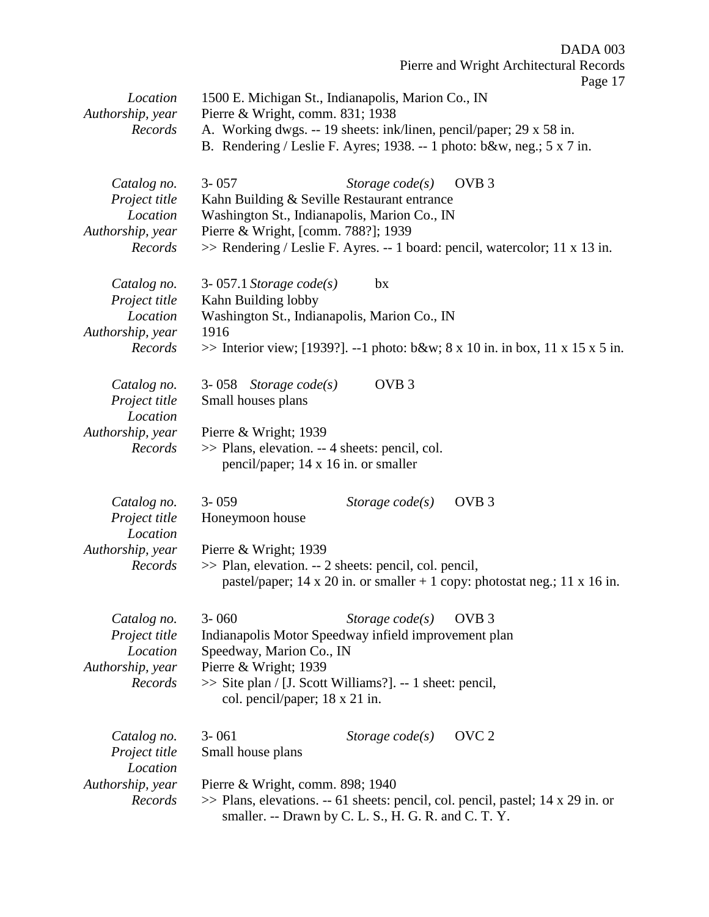Pierre and Wright Architectural Records Page 17 *Location* 1500 E. Michigan St., Indianapolis, Marion Co., IN *Authorship, year* Pierre & Wright, comm. 831; 1938 *Records* A. Working dwgs. -- 19 sheets: ink/linen, pencil/paper; 29 x 58 in. B. Rendering / Leslie F. Ayres; 1938. -- 1 photo: b&w, neg.; 5 x 7 in. *Catalog no.* 3- 057 *Storage code(s)* OVB 3 *Project title* Kahn Building & Seville Restaurant entrance *Location* Washington St., Indianapolis, Marion Co., IN *Authorship, year* Pierre & Wright, [comm. 788?]; 1939 *Records* >> Rendering / Leslie F. Ayres. -- 1 board: pencil, watercolor; 11 x 13 in. *Catalog no.* 3- 057.1 *Storage code(s)* bx *Project title* Kahn Building lobby *Location* Washington St., Indianapolis, Marion Co., IN *Authorship, year* 1916 *Records* >> Interior view; [1939?]. --1 photo: b&w; 8 x 10 in. in box, 11 x 15 x 5 in. *Catalog no.* 3- 058 *Storage code(s)* OVB 3 *Project title* Small houses plans *Location Authorship, year* Pierre & Wright; 1939 *Records* >> Plans, elevation. -- 4 sheets: pencil, col. pencil/paper; 14 x 16 in. or smaller *Catalog no.* 3- 059 *Storage code(s)* OVB 3 *Project title* Honeymoon house *Location Authorship, year* Pierre & Wright; 1939 *Records* >> Plan, elevation. -- 2 sheets: pencil, col. pencil, pastel/paper; 14 x 20 in. or smaller  $+ 1$  copy: photostat neg.; 11 x 16 in. *Catalog no.* 3- 060 *Storage code(s)* OVB 3 *Project title* Indianapolis Motor Speedway infield improvement plan *Location* Speedway, Marion Co., IN *Authorship, year* Pierre & Wright; 1939 *Records* >> Site plan / [J. Scott Williams?]. -- 1 sheet: pencil, col. pencil/paper; 18 x 21 in. *Catalog no.* 3- 061 *Storage code(s)* OVC 2 *Project title* Small house plans *Location Authorship, year* Pierre & Wright, comm. 898; 1940 *Records* >> Plans, elevations. -- 61 sheets: pencil, col. pencil, pastel; 14 x 29 in. or smaller. -- Drawn by C. L. S., H. G. R. and C. T. Y.

DADA 003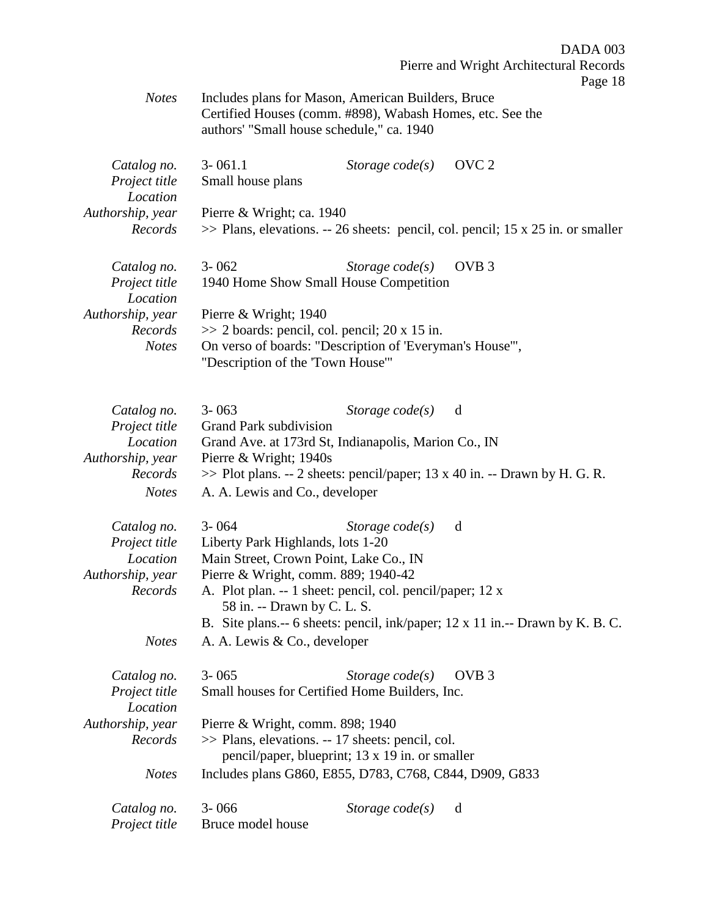|                  |                                                                                                                 |                   | Pierre and Wright Architectural Records                                            |
|------------------|-----------------------------------------------------------------------------------------------------------------|-------------------|------------------------------------------------------------------------------------|
|                  |                                                                                                                 |                   | Page 18                                                                            |
| <b>Notes</b>     | Includes plans for Mason, American Builders, Bruce<br>Certified Houses (comm. #898), Wabash Homes, etc. See the |                   |                                                                                    |
|                  |                                                                                                                 |                   |                                                                                    |
|                  | authors' "Small house schedule," ca. 1940                                                                       |                   |                                                                                    |
| Catalog no.      | $3 - 061.1$                                                                                                     | Storage $code(s)$ | OVC <sub>2</sub>                                                                   |
| Project title    | Small house plans                                                                                               |                   |                                                                                    |
| Location         |                                                                                                                 |                   |                                                                                    |
| Authorship, year | Pierre & Wright; ca. 1940                                                                                       |                   |                                                                                    |
| Records          |                                                                                                                 |                   | $\gg$ Plans, elevations. -- 26 sheets: pencil, col. pencil; 15 x 25 in. or smaller |
|                  |                                                                                                                 |                   |                                                                                    |
| Catalog no.      | $3 - 062$                                                                                                       | Storage $code(s)$ | OVB <sub>3</sub>                                                                   |
| Project title    | 1940 Home Show Small House Competition                                                                          |                   |                                                                                    |
| Location         |                                                                                                                 |                   |                                                                                    |
| Authorship, year | Pierre & Wright; $1940$                                                                                         |                   |                                                                                    |
| Records          | $\gg$ 2 boards: pencil, col. pencil; 20 x 15 in.                                                                |                   |                                                                                    |
| <b>Notes</b>     | On verso of boards: "Description of 'Everyman's House'",                                                        |                   |                                                                                    |
|                  | "Description of the 'Town House'"                                                                               |                   |                                                                                    |
|                  |                                                                                                                 |                   |                                                                                    |
|                  |                                                                                                                 |                   |                                                                                    |
| Catalog no.      | $3 - 063$                                                                                                       | Storage $code(s)$ | d                                                                                  |
| Project title    | Grand Park subdivision                                                                                          |                   |                                                                                    |
| Location         | Grand Ave. at 173rd St, Indianapolis, Marion Co., IN                                                            |                   |                                                                                    |
| Authorship, year | Pierre & Wright; 1940s                                                                                          |                   |                                                                                    |
| Records          |                                                                                                                 |                   | >> Plot plans. -- 2 sheets: pencil/paper; 13 x 40 in. -- Drawn by H. G. R.         |
| <b>Notes</b>     | A. A. Lewis and Co., developer                                                                                  |                   |                                                                                    |
| Catalog no.      | $3 - 064$                                                                                                       | Storage $code(s)$ | d                                                                                  |
| Project title    | Liberty Park Highlands, lots 1-20                                                                               |                   |                                                                                    |
| Location         | Main Street, Crown Point, Lake Co., IN                                                                          |                   |                                                                                    |
| Authorship, year | Pierre & Wright, comm. 889; 1940-42                                                                             |                   |                                                                                    |
| Records          | A. Plot plan. -- 1 sheet: pencil, col. pencil/paper; 12 x                                                       |                   |                                                                                    |
|                  | 58 in. -- Drawn by C. L. S.                                                                                     |                   |                                                                                    |
|                  |                                                                                                                 |                   | B. Site plans.-- 6 sheets: pencil, ink/paper; 12 x 11 in.-- Drawn by K. B. C.      |
| <b>Notes</b>     | A. A. Lewis & Co., developer                                                                                    |                   |                                                                                    |
|                  |                                                                                                                 |                   |                                                                                    |
| Catalog no.      | $3 - 065$                                                                                                       | Storage $code(s)$ | OVB <sub>3</sub>                                                                   |
| Project title    | Small houses for Certified Home Builders, Inc.                                                                  |                   |                                                                                    |
| Location         |                                                                                                                 |                   |                                                                                    |
| Authorship, year | Pierre & Wright, comm. 898; 1940                                                                                |                   |                                                                                    |
| Records          | >> Plans, elevations. -- 17 sheets: pencil, col.                                                                |                   |                                                                                    |
|                  | pencil/paper, blueprint; 13 x 19 in. or smaller                                                                 |                   |                                                                                    |
| <b>Notes</b>     | Includes plans G860, E855, D783, C768, C844, D909, G833                                                         |                   |                                                                                    |
| Catalog no.      | $3 - 066$                                                                                                       | Storage $code(s)$ | d                                                                                  |
| Project title    | Bruce model house                                                                                               |                   |                                                                                    |
|                  |                                                                                                                 |                   |                                                                                    |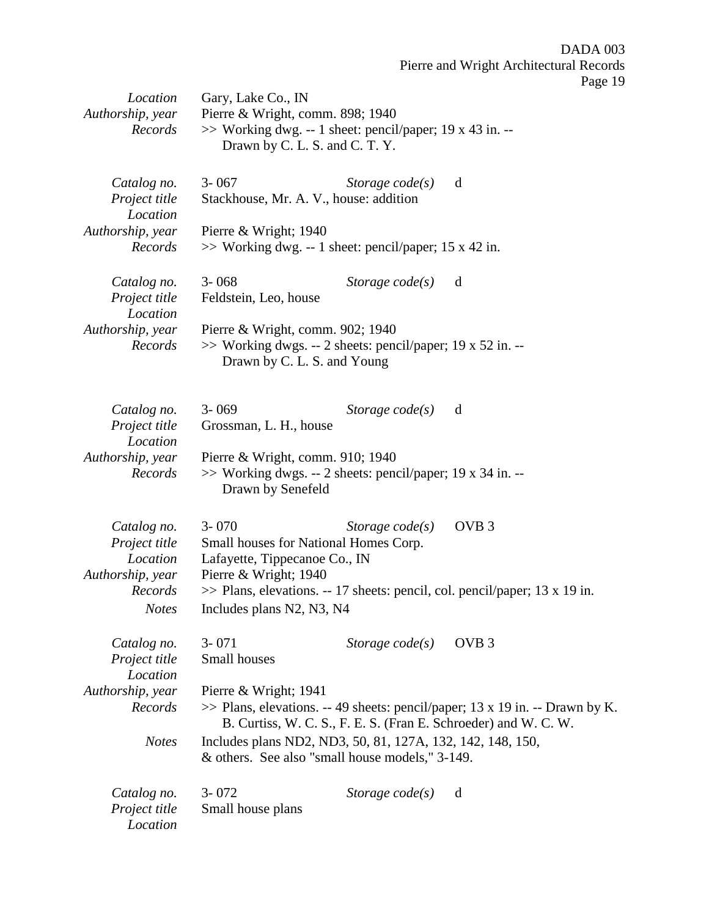| Location                                                                | Gary, Lake Co., IN                                                                                                                |                   |                                                                                                                                                    |
|-------------------------------------------------------------------------|-----------------------------------------------------------------------------------------------------------------------------------|-------------------|----------------------------------------------------------------------------------------------------------------------------------------------------|
| Authorship, year<br>Records                                             | Pierre & Wright, comm. 898; 1940<br>$\gg$ Working dwg. -- 1 sheet: pencil/paper; 19 x 43 in. --<br>Drawn by C. L. S. and C. T. Y. |                   |                                                                                                                                                    |
| Catalog no.<br>Project title<br>Location                                | $3 - 067$<br>Stackhouse, Mr. A. V., house: addition                                                                               | Storage $code(s)$ | d                                                                                                                                                  |
| Authorship, year<br>Records                                             | Pierre & Wright; 1940<br>$\gg$ Working dwg. -- 1 sheet: pencil/paper; 15 x 42 in.                                                 |                   |                                                                                                                                                    |
| Catalog no.<br>Project title<br>Location                                | $3 - 068$<br>Feldstein, Leo, house                                                                                                | Storage $code(s)$ | d                                                                                                                                                  |
| Authorship, year<br>Records                                             | Pierre & Wright, comm. 902; 1940<br>>> Working dwgs. -- 2 sheets: pencil/paper; 19 x 52 in. --<br>Drawn by C. L. S. and Young     |                   |                                                                                                                                                    |
| Catalog no.<br>Project title<br>Location                                | $3 - 069$<br>Grossman, L. H., house                                                                                               | Storage $code(s)$ | d                                                                                                                                                  |
| Authorship, year<br>Records                                             | Pierre & Wright, comm. 910; 1940<br>>> Working dwgs. -- 2 sheets: pencil/paper; 19 x 34 in. --<br>Drawn by Senefeld               |                   |                                                                                                                                                    |
| Catalog no.<br>Project title<br>Location<br>Authorship, year<br>Records | $3 - 070$<br>Small houses for National Homes Corp.<br>Lafayette, Tippecanoe Co., IN<br>Pierre & Wright; 1940                      | Storage code(s)   | OVB <sub>3</sub><br>$\gg$ Plans, elevations. -- 17 sheets: pencil, col. pencil/paper; 13 x 19 in.                                                  |
| <b>Notes</b>                                                            | Includes plans N2, N3, N4                                                                                                         |                   |                                                                                                                                                    |
| Catalog no.<br>Project title<br>Location                                | $3 - 071$<br>Small houses                                                                                                         | Storage $code(s)$ | OVB <sub>3</sub>                                                                                                                                   |
| Authorship, year<br>Records                                             | Pierre & Wright; $1941$                                                                                                           |                   | $\gg$ Plans, elevations. -- 49 sheets: pencil/paper; 13 x 19 in. -- Drawn by K.<br>B. Curtiss, W. C. S., F. E. S. (Fran E. Schroeder) and W. C. W. |
| <b>Notes</b>                                                            | Includes plans ND2, ND3, 50, 81, 127A, 132, 142, 148, 150,<br>& others. See also "small house models," 3-149.                     |                   |                                                                                                                                                    |
| Catalog no.<br>Project title<br>Location                                | $3 - 072$<br>Small house plans                                                                                                    | Storage $code(s)$ | d                                                                                                                                                  |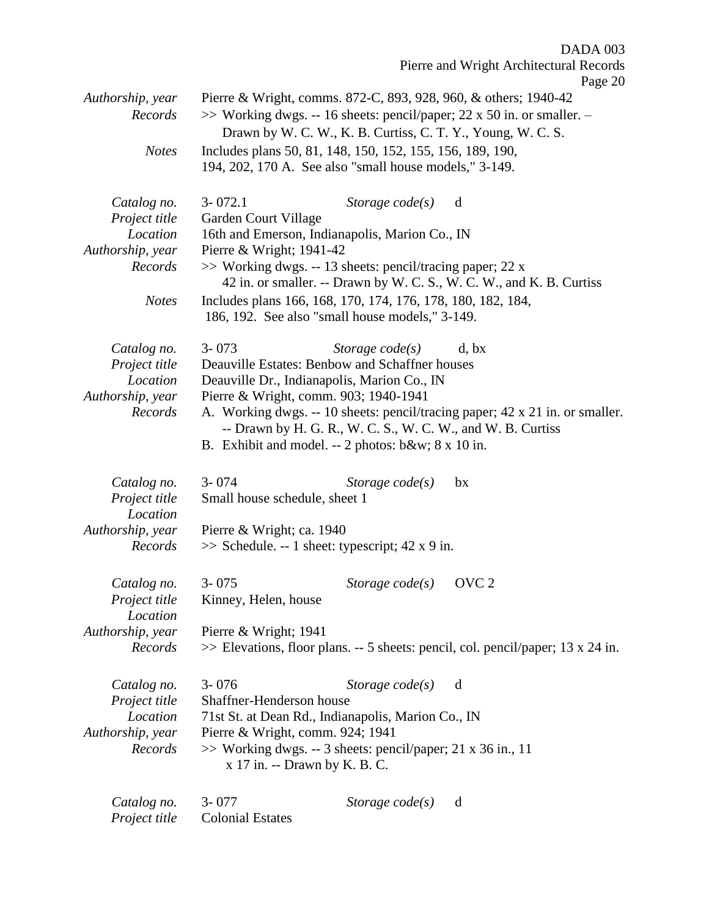Pierre and Wright Architectural Records Page 20 *Authorship, year* Pierre & Wright, comms. 872-C, 893, 928, 960, & others; 1940-42 *Records* >> Working dwgs. -- 16 sheets: pencil/paper; 22 x 50 in. or smaller. -Drawn by W. C. W., K. B. Curtiss, C. T. Y., Young, W. C. S. *Notes* Includes plans 50, 81, 148, 150, 152, 155, 156, 189, 190, 194, 202, 170 A. See also "small house models," 3-149. *Catalog no.* 3- 072.1 *Storage code(s)* d *Project title* Garden Court Village *Location* 16th and Emerson, Indianapolis, Marion Co., IN *Authorship, year* Pierre & Wright; 1941-42 *Records* >> Working dwgs. -- 13 sheets: pencil/tracing paper; 22 x 42 in. or smaller. -- Drawn by W. C. S., W. C. W., and K. B. Curtiss *Notes* Includes plans 166, 168, 170, 174, 176, 178, 180, 182, 184, 186, 192. See also "small house models," 3-149. *Catalog no.* 3- 073 *Storage code(s)* d, bx *Project title* Deauville Estates: Benbow and Schaffner houses *Location* Deauville Dr., Indianapolis, Marion Co., IN *Authorship, year* Pierre & Wright, comm. 903; 1940-1941 *Records* A. Working dwgs. -- 10 sheets: pencil/tracing paper; 42 x 21 in. or smaller. -- Drawn by H. G. R., W. C. S., W. C. W., and W. B. Curtiss B. Exhibit and model. -- 2 photos: b&w; 8 x 10 in. *Catalog no.* 3- 074 *Storage code(s)* bx *Project title* Small house schedule, sheet 1 *Location Authorship, year* Pierre & Wright; ca. 1940 *Records* >> Schedule. -- 1 sheet: typescript; 42 x 9 in. *Catalog no.* 3- 075 *Storage code(s)* OVC 2 *Project title* Kinney, Helen, house *Location Authorship, year* Pierre & Wright; 1941 *Records* >> Elevations, floor plans. -- 5 sheets: pencil, col. pencil/paper; 13 x 24 in. *Catalog no.* 3- 076 *Storage code(s)* d *Project title* Shaffner-Henderson house *Location* 71st St. at Dean Rd., Indianapolis, Marion Co., IN *Authorship, year* Pierre & Wright, comm. 924; 1941 *Records* >> Working dwgs. -- 3 sheets: pencil/paper; 21 x 36 in., 11 x 17 in. -- Drawn by K. B. C.

DADA 003

*Catalog no.* 3- 077 *Storage code(s)* d *Project title* Colonial Estates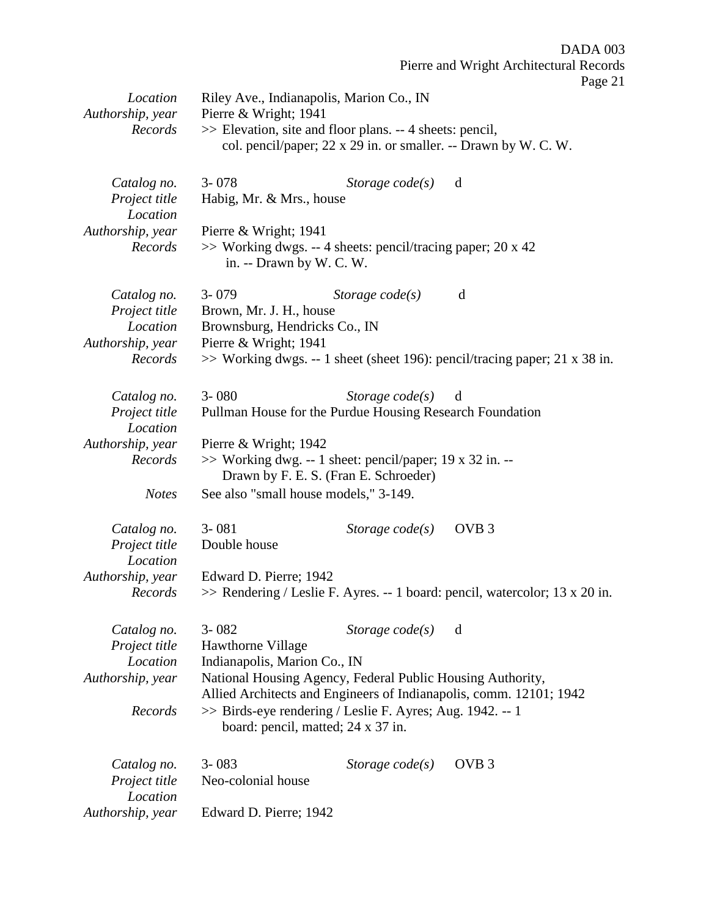| Location<br>Authorship, year<br>Records                      | Riley Ave., Indianapolis, Marion Co., IN<br>Pierre & Wright; 1941<br>>> Elevation, site and floor plans. -- 4 sheets: pencil, |                                       | Page 21                                                                       |
|--------------------------------------------------------------|-------------------------------------------------------------------------------------------------------------------------------|---------------------------------------|-------------------------------------------------------------------------------|
|                                                              |                                                                                                                               |                                       | col. pencil/paper; 22 x 29 in. or smaller. -- Drawn by W. C. W.               |
| Catalog no.<br>Project title<br>Location                     | $3 - 078$<br>Habig, Mr. & Mrs., house                                                                                         | Storage code(s)                       | d                                                                             |
| Authorship, year<br>Records                                  | Pierre & Wright; 1941<br>>> Working dwgs. -- 4 sheets: pencil/tracing paper; 20 x 42<br>in. -- Drawn by W. C. W.              |                                       |                                                                               |
| Catalog no.<br>Project title<br>Location<br>Authorship, year | $3 - 079$<br>Brown, Mr. J. H., house<br>Brownsburg, Hendricks Co., IN<br>Pierre & Wright; 1941                                | Storage $code(s)$                     | d                                                                             |
| Records                                                      |                                                                                                                               |                                       | $\gg$ Working dwgs. -- 1 sheet (sheet 196): pencil/tracing paper; 21 x 38 in. |
| Catalog no.<br>Project title<br>Location                     | $3 - 080$<br>Pullman House for the Purdue Housing Research Foundation                                                         | Storage $code(s)$                     | d                                                                             |
| Authorship, year<br>Records                                  | Pierre & Wright; 1942<br>>> Working dwg. -- 1 sheet: pencil/paper; 19 x 32 in. --                                             | Drawn by F. E. S. (Fran E. Schroeder) |                                                                               |
| <b>Notes</b>                                                 | See also "small house models," 3-149.                                                                                         |                                       |                                                                               |
| Catalog no.<br>Project title<br>Location                     | $3 - 081$<br>Double house                                                                                                     | Storage $code(s)$                     | OVB <sub>3</sub>                                                              |
| Authorship, year<br>Records                                  | Edward D. Pierre; 1942                                                                                                        |                                       | >> Rendering / Leslie F. Ayres. -- 1 board: pencil, watercolor; 13 x 20 in.   |
| Catalog no.<br>Project title<br>Location<br>Authorship, year | $3 - 082$<br>Hawthorne Village<br>Indianapolis, Marion Co., IN<br>National Housing Agency, Federal Public Housing Authority,  | Storage $code(s)$ d                   |                                                                               |
| Records                                                      | >> Birds-eye rendering / Leslie F. Ayres; Aug. 1942. -- 1<br>board: pencil, matted; 24 x 37 in.                               |                                       | Allied Architects and Engineers of Indianapolis, comm. 12101; 1942            |
| Catalog no.<br>Project title<br>Location                     | $3 - 083$<br>Neo-colonial house                                                                                               | Storage $code(s)$                     | OVB <sub>3</sub>                                                              |
| Authorship, year                                             | Edward D. Pierre; 1942                                                                                                        |                                       |                                                                               |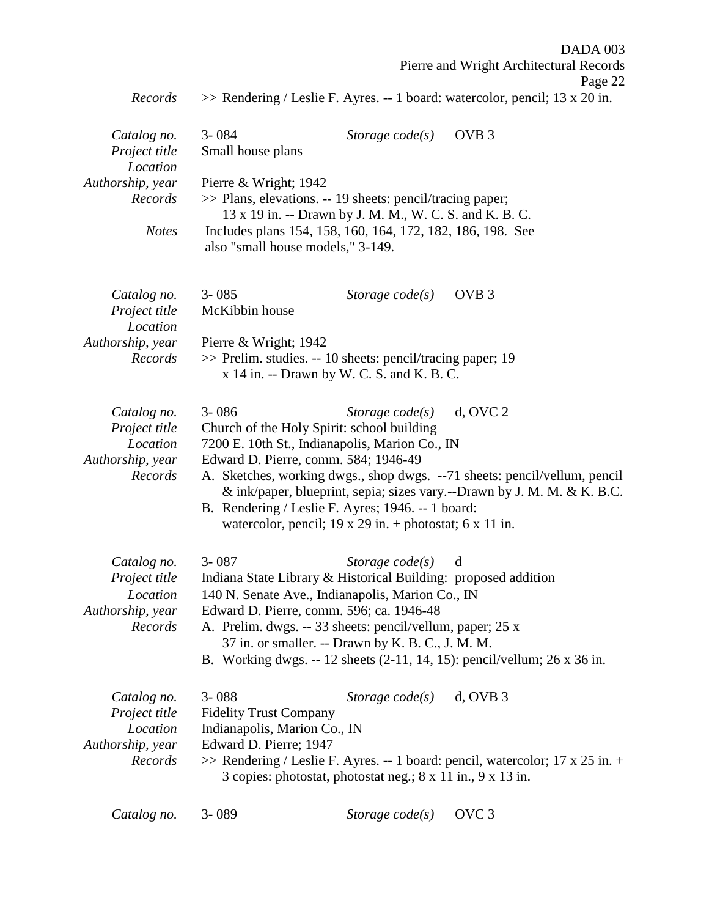|                  |                                            |                                                                | DADA 003                                                                         |
|------------------|--------------------------------------------|----------------------------------------------------------------|----------------------------------------------------------------------------------|
|                  |                                            |                                                                | Pierre and Wright Architectural Records                                          |
|                  |                                            |                                                                | Page 22                                                                          |
| Records          |                                            |                                                                | >> Rendering / Leslie F. Ayres. -- 1 board: watercolor, pencil; 13 x 20 in.      |
|                  |                                            |                                                                |                                                                                  |
| Catalog no.      | $3 - 084$                                  | Storage $code(s)$                                              | OVB <sub>3</sub>                                                                 |
| Project title    | Small house plans                          |                                                                |                                                                                  |
| Location         |                                            |                                                                |                                                                                  |
| Authorship, year | Pierre & Wright; 1942                      |                                                                |                                                                                  |
| Records          |                                            | >> Plans, elevations. -- 19 sheets: pencil/tracing paper;      |                                                                                  |
|                  |                                            | 13 x 19 in. -- Drawn by J. M. M., W. C. S. and K. B. C.        |                                                                                  |
| <b>Notes</b>     |                                            | Includes plans 154, 158, 160, 164, 172, 182, 186, 198. See     |                                                                                  |
|                  | also "small house models," 3-149.          |                                                                |                                                                                  |
|                  |                                            |                                                                |                                                                                  |
| Catalog no.      | $3 - 085$                                  | Storage $code(s)$                                              | OVB <sub>3</sub>                                                                 |
| Project title    | McKibbin house                             |                                                                |                                                                                  |
| Location         |                                            |                                                                |                                                                                  |
| Authorship, year | Pierre & Wright; $1942$                    |                                                                |                                                                                  |
| Records          |                                            | >> Prelim. studies. -- 10 sheets: pencil/tracing paper; 19     |                                                                                  |
|                  |                                            | x 14 in. -- Drawn by W. C. S. and K. B. C.                     |                                                                                  |
|                  |                                            |                                                                |                                                                                  |
| Catalog no.      | $3 - 086$                                  | Storage $code(s)$                                              | $d$ , OVC $2$                                                                    |
| Project title    | Church of the Holy Spirit: school building |                                                                |                                                                                  |
| Location         |                                            | 7200 E. 10th St., Indianapolis, Marion Co., IN                 |                                                                                  |
| Authorship, year | Edward D. Pierre, comm. 584; 1946-49       |                                                                |                                                                                  |
| Records          |                                            |                                                                | A. Sketches, working dwgs., shop dwgs. --71 sheets: pencil/vellum, pencil        |
|                  |                                            |                                                                | & ink/paper, blueprint, sepia; sizes vary.--Drawn by J. M. M. & K. B.C.          |
|                  |                                            | B. Rendering / Leslie F. Ayres; 1946. -- 1 board:              |                                                                                  |
|                  |                                            | watercolor, pencil; 19 x 29 in. + photostat; 6 x 11 in.        |                                                                                  |
|                  |                                            |                                                                |                                                                                  |
| Catalog no.      | 3-087                                      | <i>Storage code(s)</i> d                                       |                                                                                  |
| Project title    |                                            | Indiana State Library & Historical Building: proposed addition |                                                                                  |
| Location         |                                            | 140 N. Senate Ave., Indianapolis, Marion Co., IN               |                                                                                  |
| Authorship, year | Edward D. Pierre, comm. 596; ca. 1946-48   |                                                                |                                                                                  |
| Records          |                                            | A. Prelim. dwgs. -- 33 sheets: pencil/vellum, paper; 25 x      |                                                                                  |
|                  |                                            | 37 in. or smaller. -- Drawn by K. B. C., J. M. M.              |                                                                                  |
|                  |                                            |                                                                | B. Working dwgs. -- 12 sheets (2-11, 14, 15): pencil/vellum; 26 x 36 in.         |
|                  |                                            |                                                                |                                                                                  |
| Catalog no.      | $3 - 088$                                  | Storage $code(s)$                                              | $d$ , OVB $3$                                                                    |
| Project title    | <b>Fidelity Trust Company</b>              |                                                                |                                                                                  |
| Location         | Indianapolis, Marion Co., IN               |                                                                |                                                                                  |
| Authorship, year | Edward D. Pierre; 1947                     |                                                                |                                                                                  |
| Records          |                                            |                                                                | $\gg$ Rendering / Leslie F. Ayres. -- 1 board: pencil, watercolor; 17 x 25 in. + |
|                  |                                            | 3 copies: photostat, photostat neg.; 8 x 11 in., 9 x 13 in.    |                                                                                  |
| Catalog no.      | 3-089                                      | Storage $code(s)$                                              | OVC <sub>3</sub>                                                                 |
|                  |                                            |                                                                |                                                                                  |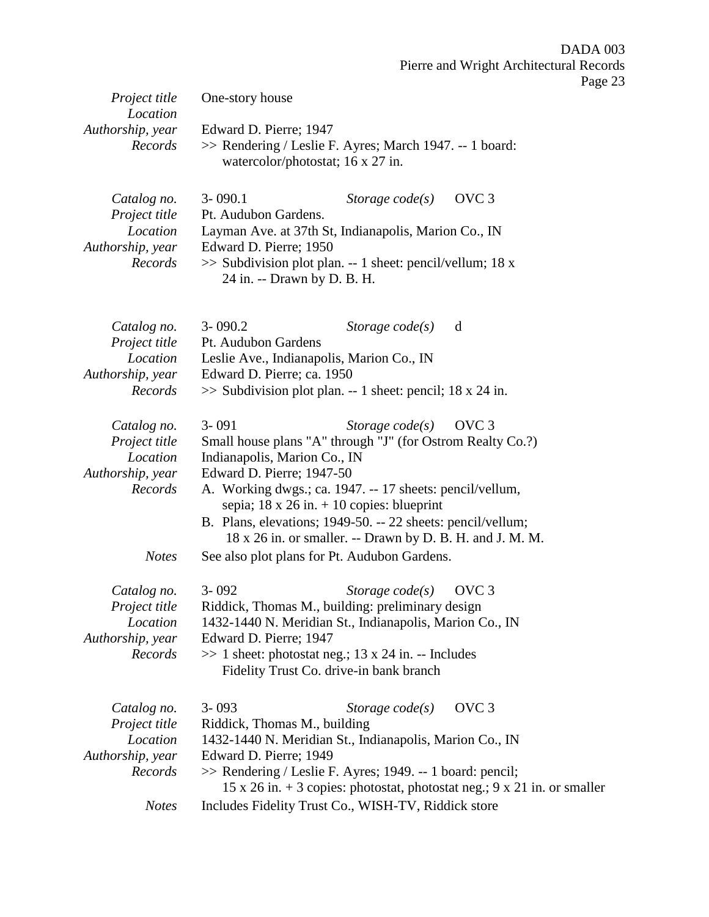| Project title                                                                           | One-story house                                                                                                                                                                                                                                                                                                                                                                                                                                                             | г аgс |
|-----------------------------------------------------------------------------------------|-----------------------------------------------------------------------------------------------------------------------------------------------------------------------------------------------------------------------------------------------------------------------------------------------------------------------------------------------------------------------------------------------------------------------------------------------------------------------------|-------|
| Location<br>Authorship, year<br>Records                                                 | Edward D. Pierre; 1947<br>>> Rendering / Leslie F. Ayres; March 1947. -- 1 board:<br>watercolor/photostat; 16 x 27 in.                                                                                                                                                                                                                                                                                                                                                      |       |
| Catalog no.<br>Project title<br>Location<br>Authorship, year<br>Records                 | OVC <sub>3</sub><br>$3 - 090.1$<br>Storage $code(s)$<br>Pt. Audubon Gardens.<br>Layman Ave. at 37th St, Indianapolis, Marion Co., IN<br>Edward D. Pierre; 1950<br>$\gg$ Subdivision plot plan. -- 1 sheet: pencil/vellum; 18 x<br>24 in. -- Drawn by D. B. H.                                                                                                                                                                                                               |       |
| Catalog no.<br>Project title<br>Location<br>Authorship, year<br>Records                 | $3 - 090.2$<br>Storage $code(s)$<br>d<br>Pt. Audubon Gardens<br>Leslie Ave., Indianapolis, Marion Co., IN<br>Edward D. Pierre; ca. 1950<br>$\gg$ Subdivision plot plan. -- 1 sheet: pencil; 18 x 24 in.                                                                                                                                                                                                                                                                     |       |
| Catalog no.<br>Project title<br>Location<br>Authorship, year<br>Records<br><b>Notes</b> | $3 - 091$<br>Storage $code(s)$<br>OVC <sub>3</sub><br>Small house plans "A" through "J" (for Ostrom Realty Co.?)<br>Indianapolis, Marion Co., IN<br>Edward D. Pierre; 1947-50<br>A. Working dwgs.; ca. 1947. -- 17 sheets: pencil/vellum,<br>sepia; $18 \times 26$ in. $+ 10$ copies: blueprint<br>B. Plans, elevations; 1949-50. -- 22 sheets: pencil/vellum;<br>18 x 26 in. or smaller. -- Drawn by D. B. H. and J. M. M.<br>See also plot plans for Pt. Audubon Gardens. |       |
| Catalog no.<br>Project title<br>Location<br>Authorship, year<br>Records                 | OVC <sub>3</sub><br>$3 - 092$<br>Storage $code(s)$<br>Riddick, Thomas M., building: preliminary design<br>1432-1440 N. Meridian St., Indianapolis, Marion Co., IN<br>Edward D. Pierre; 1947<br>$\gg$ 1 sheet: photostat neg.; 13 x 24 in. -- Includes<br>Fidelity Trust Co. drive-in bank branch                                                                                                                                                                            |       |
| Catalog no.<br>Project title<br>Location<br>Authorship, year<br>Records                 | OVC <sub>3</sub><br>$3 - 093$<br>Storage $code(s)$<br>Riddick, Thomas M., building<br>1432-1440 N. Meridian St., Indianapolis, Marion Co., IN<br>Edward D. Pierre; 1949<br>>> Rendering / Leslie F. Ayres; 1949. -- 1 board: pencil;<br>15 x 26 in. $+$ 3 copies: photostat, photostat neg.; 9 x 21 in. or smaller                                                                                                                                                          |       |
| <b>Notes</b>                                                                            | Includes Fidelity Trust Co., WISH-TV, Riddick store                                                                                                                                                                                                                                                                                                                                                                                                                         |       |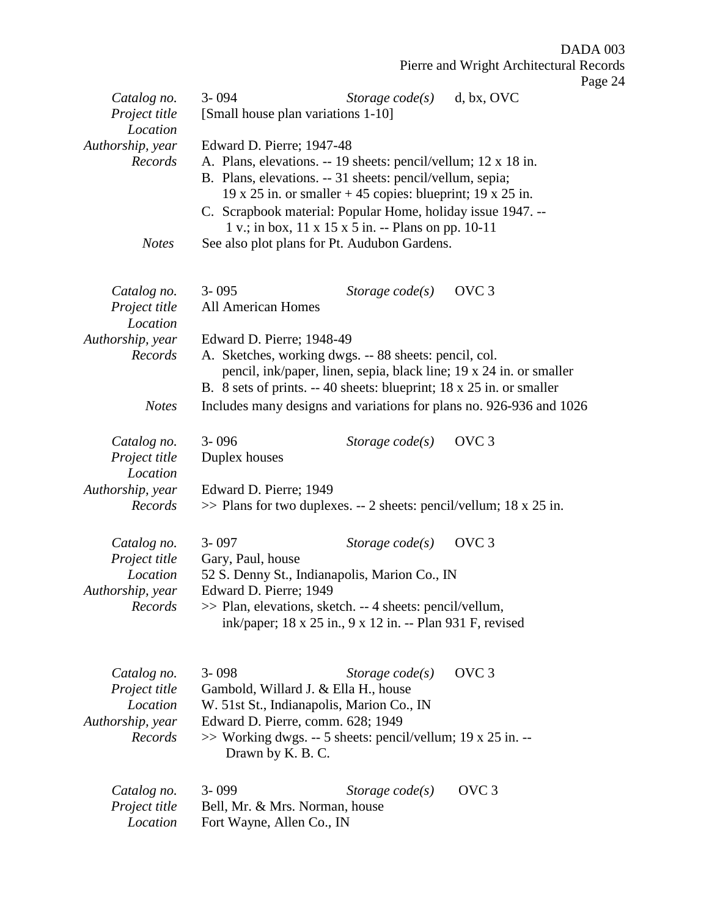|                                                              |                                                                                                                                                                                                                                                                         |                                                                                                                    | F                                                                   |
|--------------------------------------------------------------|-------------------------------------------------------------------------------------------------------------------------------------------------------------------------------------------------------------------------------------------------------------------------|--------------------------------------------------------------------------------------------------------------------|---------------------------------------------------------------------|
| Catalog no.<br>Project title<br>Location                     | $3 - 094$<br>[Small house plan variations 1-10]                                                                                                                                                                                                                         | Storage $code(s)$                                                                                                  | d, bx, OVC                                                          |
| Authorship, year<br>Records<br><b>Notes</b>                  | Edward D. Pierre; 1947-48<br>A. Plans, elevations. -- 19 sheets: pencil/vellum; 12 x 18 in.<br>B. Plans, elevations. -- 31 sheets: pencil/vellum, sepia;<br>C. Scrapbook material: Popular Home, holiday issue 1947. --<br>See also plot plans for Pt. Audubon Gardens. | 19 x 25 in. or smaller $+45$ copies: blueprint; 19 x 25 in.<br>1 v.; in box, 11 x 15 x 5 in. -- Plans on pp. 10-11 |                                                                     |
|                                                              |                                                                                                                                                                                                                                                                         |                                                                                                                    |                                                                     |
| Catalog no.<br>Project title<br>Location                     | $3 - 095$<br><b>All American Homes</b>                                                                                                                                                                                                                                  | Storage $code(s)$                                                                                                  | OVC <sub>3</sub>                                                    |
| Authorship, year<br>Records                                  | Edward D. Pierre; 1948-49<br>A. Sketches, working dwgs. -- 88 sheets: pencil, col.<br>B. 8 sets of prints. -- 40 sheets: blueprint; 18 x 25 in. or smaller                                                                                                              |                                                                                                                    | pencil, ink/paper, linen, sepia, black line; 19 x 24 in. or smaller |
| <b>Notes</b>                                                 |                                                                                                                                                                                                                                                                         |                                                                                                                    | Includes many designs and variations for plans no. 926-936 and 1026 |
| Catalog no.<br>Project title<br>Location                     | $3 - 096$<br>Duplex houses                                                                                                                                                                                                                                              | Storage $code(s)$                                                                                                  | OVC <sub>3</sub>                                                    |
| Authorship, year<br>Records                                  | Edward D. Pierre; 1949<br>$\gg$ Plans for two duplexes. -- 2 sheets: pencil/vellum; 18 x 25 in.                                                                                                                                                                         |                                                                                                                    |                                                                     |
| Catalog no.<br>Project title<br>Location                     | $3 - 097$<br>Gary, Paul, house                                                                                                                                                                                                                                          | Storage $code(s)$                                                                                                  | OVC <sub>3</sub>                                                    |
| Authorship, year                                             | 52 S. Denny St., Indianapolis, Marion Co., IN<br>Edward D. Pierre; 1949                                                                                                                                                                                                 |                                                                                                                    |                                                                     |
| Records                                                      | >> Plan, elevations, sketch. -- 4 sheets: pencil/vellum,                                                                                                                                                                                                                | ink/paper; 18 x 25 in., 9 x 12 in. -- Plan 931 F, revised                                                          |                                                                     |
| Catalog no.<br>Project title<br>Location<br>Authorship, year | $3 - 098$<br>Gambold, Willard J. & Ella H., house<br>W. 51st St., Indianapolis, Marion Co., IN<br>Edward D. Pierre, comm. 628; 1949                                                                                                                                     | Storage $code(s)$                                                                                                  | OVC <sub>3</sub>                                                    |
| Records                                                      | >> Working dwgs. -- 5 sheets: pencil/vellum; 19 x 25 in. --<br>Drawn by K. B. C.                                                                                                                                                                                        |                                                                                                                    |                                                                     |
| Catalog no.<br>Project title<br>Location                     | 3-099<br>Bell, Mr. & Mrs. Norman, house<br>Fort Wayne, Allen Co., IN                                                                                                                                                                                                    | Storage $code(s)$                                                                                                  | OVC <sub>3</sub>                                                    |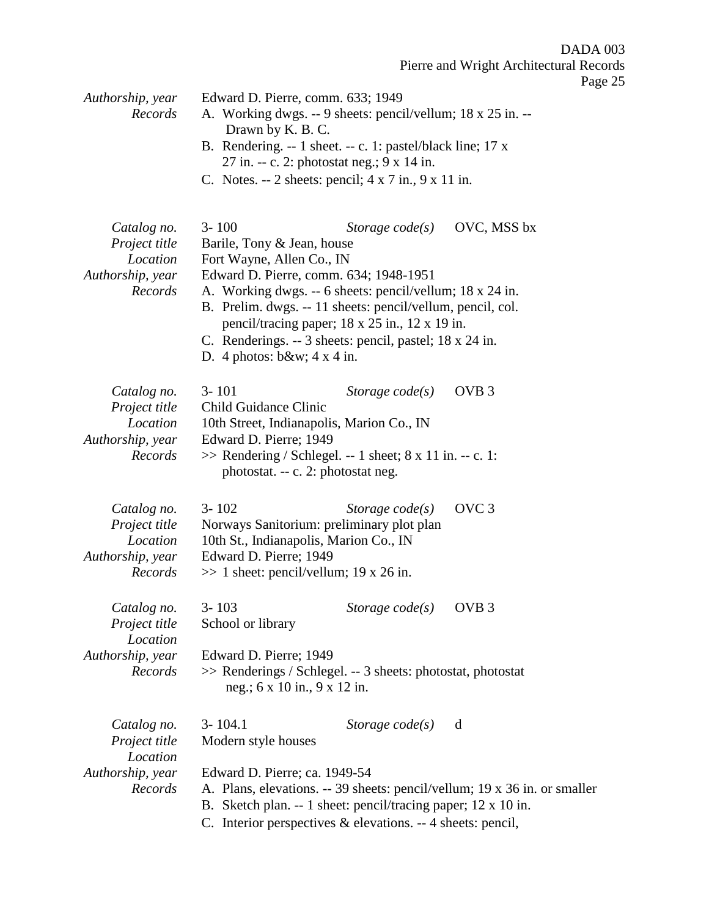Pierre and Wright Architectural Records

| Authorship, year<br>Records                                             | Edward D. Pierre, comm. 633; 1949<br>A. Working dwgs. -- 9 sheets: pencil/vellum; 18 x 25 in. --<br>Drawn by K. B. C.                                                                                                                                                                                                                                                                    |                         |                                                                           |
|-------------------------------------------------------------------------|------------------------------------------------------------------------------------------------------------------------------------------------------------------------------------------------------------------------------------------------------------------------------------------------------------------------------------------------------------------------------------------|-------------------------|---------------------------------------------------------------------------|
|                                                                         | B. Rendering. -- 1 sheet. -- c. 1: pastel/black line; 17 x<br>27 in. -- c. 2: photostat neg.; 9 x 14 in.                                                                                                                                                                                                                                                                                 |                         |                                                                           |
|                                                                         | C. Notes. -- 2 sheets: pencil; $4 \times 7$ in., $9 \times 11$ in.                                                                                                                                                                                                                                                                                                                       |                         |                                                                           |
| Catalog no.<br>Project title<br>Location<br>Authorship, year<br>Records | $3 - 100$<br>Barile, Tony & Jean, house<br>Fort Wayne, Allen Co., IN<br>Edward D. Pierre, comm. 634; 1948-1951<br>A. Working dwgs. -- 6 sheets: pencil/vellum; 18 x 24 in.<br>B. Prelim. dwgs. -- 11 sheets: pencil/vellum, pencil, col.<br>pencil/tracing paper; 18 x 25 in., 12 x 19 in.<br>C. Renderings. -- 3 sheets: pencil, pastel; 18 x 24 in.<br>D. 4 photos: $b\&w$ ; 4 x 4 in. | Storage $code(s)$       | OVC, MSS bx                                                               |
| Catalog no.<br>Project title<br>Location<br>Authorship, year<br>Records | $3 - 101$<br><b>Child Guidance Clinic</b><br>10th Street, Indianapolis, Marion Co., IN<br>Edward D. Pierre; 1949<br>$\gg$ Rendering / Schlegel. -- 1 sheet; 8 x 11 in. -- c. 1:<br>photostat. -- c. 2: photostat neg.                                                                                                                                                                    | Storage $code(s)$       | OVB <sub>3</sub>                                                          |
| Catalog no.<br>Project title<br>Location<br>Authorship, year<br>Records | $3 - 102$<br>Norways Sanitorium: preliminary plot plan<br>10th St., Indianapolis, Marion Co., IN<br>Edward D. Pierre; 1949<br>$\gg$ 1 sheet: pencil/vellum; 19 x 26 in.                                                                                                                                                                                                                  | Storage $code(s)$       | OVC <sub>3</sub>                                                          |
| Catalog no.<br>Project title<br>Location                                | $3 - 103$<br>School or library                                                                                                                                                                                                                                                                                                                                                           | Storage $code(s)$ OVB 3 |                                                                           |
| Authorship, year<br>Records                                             | Edward D. Pierre; 1949<br>>> Renderings / Schlegel. -- 3 sheets: photostat, photostat<br>neg.; 6 x 10 in., 9 x 12 in.                                                                                                                                                                                                                                                                    |                         |                                                                           |
| Catalog no.<br>Project title<br>Location                                | $3 - 104.1$<br>Modern style houses                                                                                                                                                                                                                                                                                                                                                       | Storage $code(s)$       | d                                                                         |
| Authorship, year<br>Records                                             | Edward D. Pierre; ca. 1949-54<br>Sketch plan. -- 1 sheet: pencil/tracing paper; 12 x 10 in.<br>В.<br>C. Interior perspectives & elevations. -- 4 sheets: pencil,                                                                                                                                                                                                                         |                         | A. Plans, elevations. -- 39 sheets: pencil/vellum; 19 x 36 in. or smaller |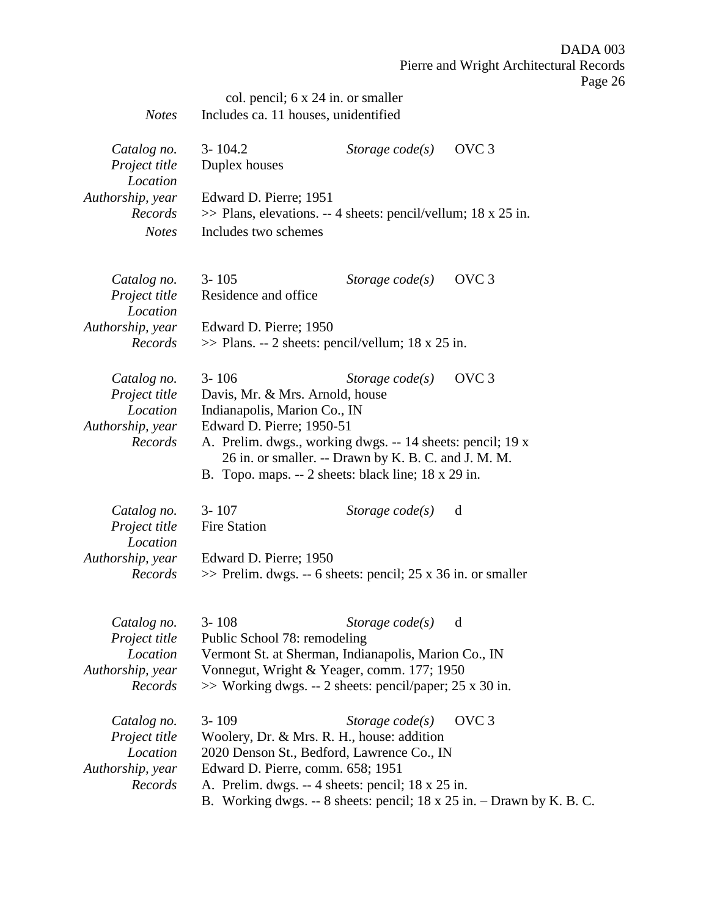|                                          | col. pencil; 6 x 24 in. or smaller                                                                                                                                        |                     |                                                                       |
|------------------------------------------|---------------------------------------------------------------------------------------------------------------------------------------------------------------------------|---------------------|-----------------------------------------------------------------------|
| <b>Notes</b>                             | Includes ca. 11 houses, unidentified                                                                                                                                      |                     |                                                                       |
| Catalog no.<br>Project title             | $3 - 104.2$<br>Duplex houses                                                                                                                                              | Storage $code(s)$   | OVC <sub>3</sub>                                                      |
| Location<br>Authorship, year             | Edward D. Pierre; 1951                                                                                                                                                    |                     |                                                                       |
| Records<br><b>Notes</b>                  | $\gg$ Plans, elevations. -- 4 sheets: pencil/vellum; 18 x 25 in.<br>Includes two schemes                                                                                  |                     |                                                                       |
| Catalog no.<br>Project title<br>Location | $3 - 105$<br>Residence and office                                                                                                                                         | Storage $code(s)$   | OVC <sub>3</sub>                                                      |
| Authorship, year                         | Edward D. Pierre; 1950                                                                                                                                                    |                     |                                                                       |
| Records                                  | $\gg$ Plans. -- 2 sheets: pencil/vellum; 18 x 25 in.                                                                                                                      |                     |                                                                       |
| Catalog no.                              | $3 - 106$                                                                                                                                                                 | Storage $code(s)$   | OVC <sub>3</sub>                                                      |
| Project title<br>Location                | Davis, Mr. & Mrs. Arnold, house<br>Indianapolis, Marion Co., IN                                                                                                           |                     |                                                                       |
| Authorship, year                         | Edward D. Pierre; 1950-51                                                                                                                                                 |                     |                                                                       |
| Records                                  | A. Prelim. dwgs., working dwgs. -- 14 sheets: pencil; 19 x<br>26 in. or smaller. -- Drawn by K. B. C. and J. M. M.<br>B. Topo. maps. $-2$ sheets: black line; 18 x 29 in. |                     |                                                                       |
| Catalog no.                              | $3 - 107$                                                                                                                                                                 | Storage $code(s)$   | d                                                                     |
| Project title<br>Location                | <b>Fire Station</b>                                                                                                                                                       |                     |                                                                       |
| Authorship, year                         | Edward D. Pierre; 1950                                                                                                                                                    |                     |                                                                       |
| Records                                  | $\gg$ Prelim. dwgs. -- 6 sheets: pencil; 25 x 36 in. or smaller                                                                                                           |                     |                                                                       |
|                                          |                                                                                                                                                                           |                     |                                                                       |
| Catalog no.                              | $3 - 108$                                                                                                                                                                 | Storage $code(s)$ d |                                                                       |
| Project title                            | Public School 78: remodeling                                                                                                                                              |                     |                                                                       |
| Location                                 | Vermont St. at Sherman, Indianapolis, Marion Co., IN                                                                                                                      |                     |                                                                       |
| Authorship, year                         | Vonnegut, Wright & Yeager, comm. 177; 1950                                                                                                                                |                     |                                                                       |
| Records                                  | $\gg$ Working dwgs. -- 2 sheets: pencil/paper; 25 x 30 in.                                                                                                                |                     |                                                                       |
| Catalog no.                              | $3 - 109$                                                                                                                                                                 | Storage $code(s)$   | OVC <sub>3</sub>                                                      |
| Project title                            | Woolery, Dr. & Mrs. R. H., house: addition                                                                                                                                |                     |                                                                       |
| Location                                 | 2020 Denson St., Bedford, Lawrence Co., IN                                                                                                                                |                     |                                                                       |
| Authorship, year                         | Edward D. Pierre, comm. 658; 1951                                                                                                                                         |                     |                                                                       |
| Records                                  | A. Prelim. dwgs. -- 4 sheets: pencil; 18 x 25 in.                                                                                                                         |                     | B. Working dwgs. -- 8 sheets: pencil; 18 x 25 in. - Drawn by K. B. C. |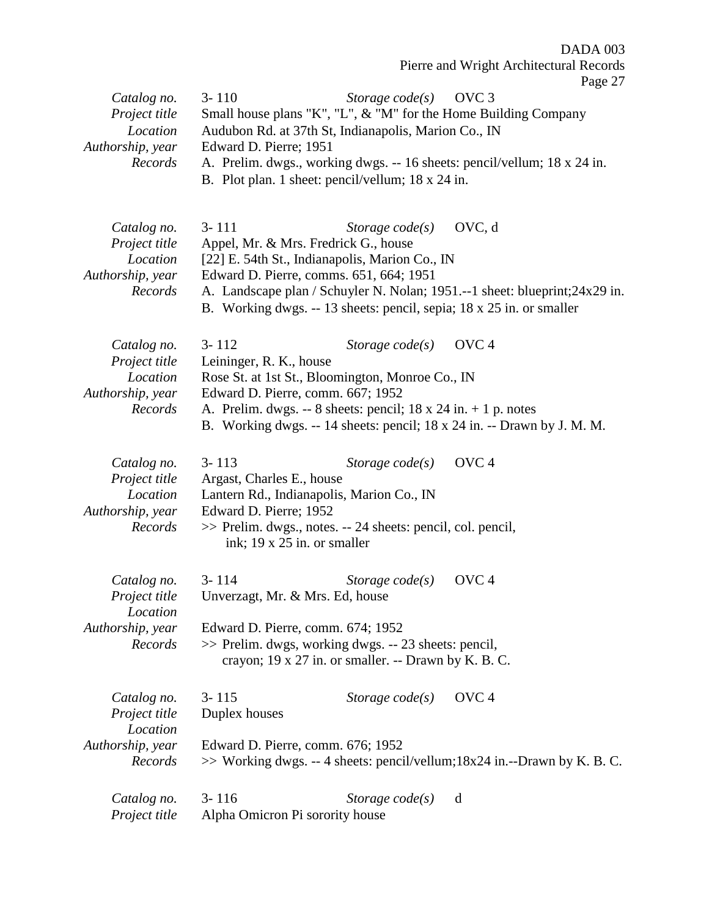Pierre and Wright Architectural Records

| Catalog no.<br>Project title<br>Location<br>Authorship, year<br>Records | $3 - 110$<br>Small house plans "K", "L", & "M" for the Home Building Company<br>Audubon Rd. at 37th St, Indianapolis, Marion Co., IN<br>Edward D. Pierre; 1951<br>B. Plot plan. 1 sheet: pencil/vellum; 18 x 24 in.    | Storage $code(s)$ | OVC <sub>3</sub><br>A. Prelim. dwgs., working dwgs. -- 16 sheets: pencil/vellum; 18 x 24 in.    |
|-------------------------------------------------------------------------|------------------------------------------------------------------------------------------------------------------------------------------------------------------------------------------------------------------------|-------------------|-------------------------------------------------------------------------------------------------|
| Catalog no.<br>Project title<br>Location<br>Authorship, year<br>Records | $3 - 111$<br>Appel, Mr. & Mrs. Fredrick G., house<br>[22] E. 54th St., Indianapolis, Marion Co., IN<br>Edward D. Pierre, comms. 651, 664; 1951<br>B. Working dwgs. -- 13 sheets: pencil, sepia; 18 x 25 in. or smaller | Storage $code(s)$ | OVC, d<br>A. Landscape plan / Schuyler N. Nolan; 1951.--1 sheet: blueprint; 24x29 in.           |
| Catalog no.<br>Project title<br>Location<br>Authorship, year<br>Records | $3 - 112$<br>Leininger, R. K., house<br>Rose St. at 1st St., Bloomington, Monroe Co., IN<br>Edward D. Pierre, comm. 667; 1952<br>A. Prelim. dwgs. -- 8 sheets: pencil; $18 \times 24$ in. $+ 1$ p. notes               | Storage $code(s)$ | OVC <sub>4</sub><br>B. Working dwgs. -- 14 sheets: pencil; 18 x 24 in. -- Drawn by J. M. M.     |
| Catalog no.<br>Project title<br>Location<br>Authorship, year<br>Records | $3 - 113$<br>Argast, Charles E., house<br>Lantern Rd., Indianapolis, Marion Co., IN<br>Edward D. Pierre; 1952<br>>> Prelim. dwgs., notes. -- 24 sheets: pencil, col. pencil,<br>ink; 19 x 25 in. or smaller            | Storage $code(s)$ | OVC <sub>4</sub>                                                                                |
| Catalog no.<br>Project title<br>Location<br>Authorship, year<br>Records | $3 - 114$<br>Unverzagt, Mr. & Mrs. Ed, house<br>Edward D. Pierre, comm. 674; 1952<br>>> Prelim. dwgs, working dwgs. -- 23 sheets: pencil,<br>crayon; 19 x 27 in. or smaller. -- Drawn by K. B. C.                      | Storage $code(s)$ | OVC <sub>4</sub>                                                                                |
| Catalog no.<br>Project title<br>Location<br>Authorship, year<br>Records | $3 - 115$<br>Duplex houses<br>Edward D. Pierre, comm. 676; 1952                                                                                                                                                        | Storage $code(s)$ | OVC <sub>4</sub><br>$\gg$ Working dwgs. -- 4 sheets: pencil/vellum;18x24 in.--Drawn by K. B. C. |
| Catalog no.<br>Project title                                            | $3 - 116$<br>Alpha Omicron Pi sorority house                                                                                                                                                                           | Storage $code(s)$ | d                                                                                               |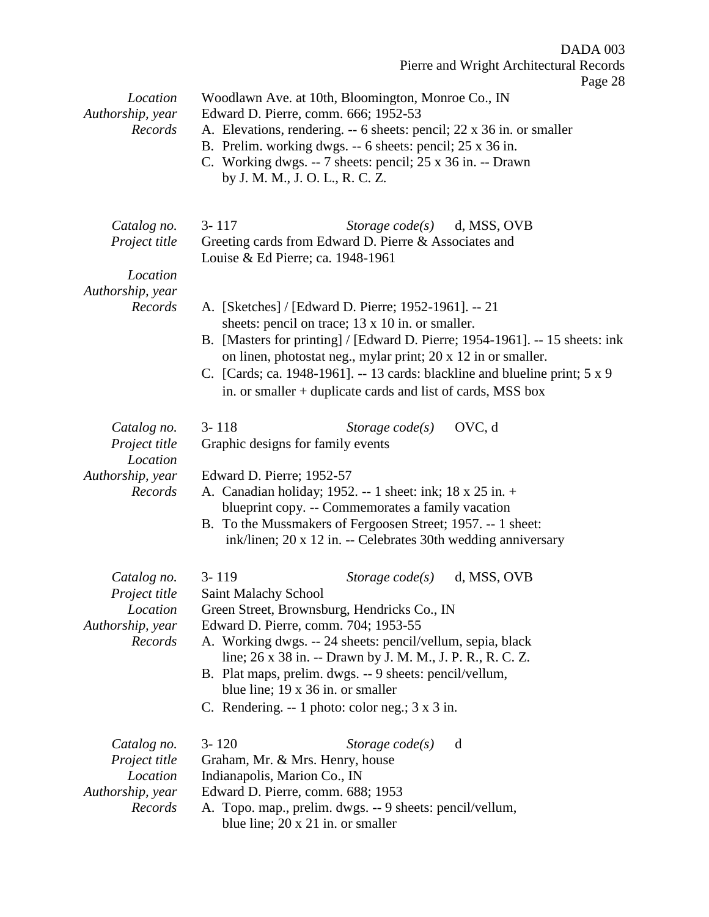$8$ 

| Location<br>Authorship, year<br>Records                                 | Page 28<br>Woodlawn Ave. at 10th, Bloomington, Monroe Co., IN<br>Edward D. Pierre, comm. 666; 1952-53<br>A. Elevations, rendering. -- 6 sheets: pencil; 22 x 36 in. or smaller<br>B. Prelim. working dwgs. -- 6 sheets: pencil; 25 x 36 in.<br>C. Working dwgs. -- 7 sheets: pencil; 25 x 36 in. -- Drawn<br>by J. M. M., J. O. L., R. C. Z.                                                                                                       |
|-------------------------------------------------------------------------|----------------------------------------------------------------------------------------------------------------------------------------------------------------------------------------------------------------------------------------------------------------------------------------------------------------------------------------------------------------------------------------------------------------------------------------------------|
| Catalog no.<br>Project title<br>Location                                | $3 - 117$<br>Storage $code(s)$<br>d, MSS, OVB<br>Greeting cards from Edward D. Pierre & Associates and<br>Louise & Ed Pierre; ca. 1948-1961                                                                                                                                                                                                                                                                                                        |
| Authorship, year<br>Records                                             | A. [Sketches] / [Edward D. Pierre; 1952-1961]. -- 21<br>sheets: pencil on trace; 13 x 10 in. or smaller.<br>B. [Masters for printing] / [Edward D. Pierre; 1954-1961]. -- 15 sheets: ink<br>on linen, photostat neg., mylar print; 20 x 12 in or smaller.<br>C. [Cards; ca. 1948-1961]. -- 13 cards: blackline and blueline print; 5 x 9<br>in. or smaller + duplicate cards and list of cards, MSS box                                            |
| Catalog no.<br>Project title<br>Location                                | OVC, d<br>$3 - 118$<br>Storage $code(s)$<br>Graphic designs for family events                                                                                                                                                                                                                                                                                                                                                                      |
| Authorship, year<br>Records                                             | Edward D. Pierre; 1952-57<br>A. Canadian holiday; 1952. -- 1 sheet: ink; 18 x 25 in. +<br>blueprint copy. -- Commemorates a family vacation<br>B. To the Mussmakers of Fergoosen Street; 1957. -- 1 sheet:<br>ink/linen; 20 x 12 in. -- Celebrates 30th wedding anniversary                                                                                                                                                                        |
| Catalog no.<br>Project title<br>Location<br>Authorship, year<br>Records | $3 - 119$<br>d, MSS, OVB<br>Storage $code(s)$<br>Saint Malachy School<br>Green Street, Brownsburg, Hendricks Co., IN<br>Edward D. Pierre, comm. 704; 1953-55<br>A. Working dwgs. -- 24 sheets: pencil/vellum, sepia, black<br>line; 26 x 38 in. -- Drawn by J. M. M., J. P. R., R. C. Z.<br>B. Plat maps, prelim. dwgs. -- 9 sheets: pencil/vellum,<br>blue line; 19 x 36 in. or smaller<br>C. Rendering. -- 1 photo: color neg.; $3 \times 3$ in. |
| Catalog no.<br>Project title<br>Location<br>Authorship, year<br>Records | $3 - 120$<br>Storage $code(s)$<br>d<br>Graham, Mr. & Mrs. Henry, house<br>Indianapolis, Marion Co., IN<br>Edward D. Pierre, comm. 688; 1953<br>A. Topo. map., prelim. dwgs. -- 9 sheets: pencil/vellum,<br>blue line; $20 \times 21$ in. or smaller                                                                                                                                                                                                |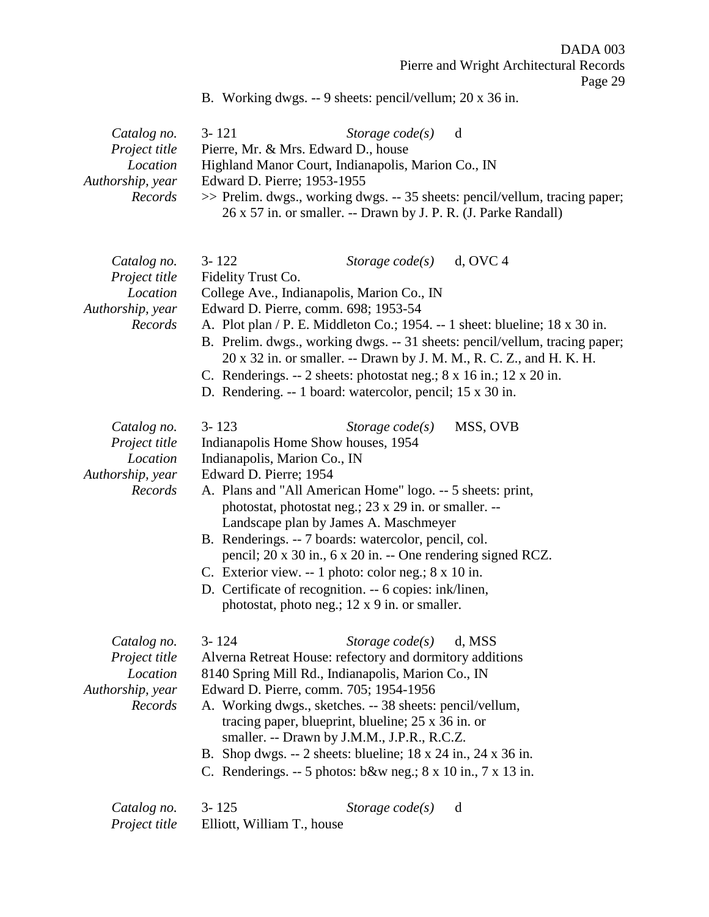B. Working dwgs. -- 9 sheets: pencil/vellum; 20 x 36 in.

| Catalog no.      | Storage $code(s)$ d<br>$3 - 121$                                            |
|------------------|-----------------------------------------------------------------------------|
| Project title    | Pierre, Mr. & Mrs. Edward D., house                                         |
| Location         | Highland Manor Court, Indianapolis, Marion Co., IN                          |
| Authorship, year | Edward D. Pierre; 1953-1955                                                 |
| Records          | >> Prelim. dwgs., working dwgs. -- 35 sheets: pencil/vellum, tracing paper; |
|                  | 26 x 57 in. or smaller. -- Drawn by J. P. R. (J. Parke Randall)             |

| Catalog no.                                                             | $3 - 122$                                                                                                                                                                                                                                                                                                                                                                            | Storage $code(s)$                                                                                                                                                                                                                                                                                                                                                                                                                                                                                                  | $d$ , OVC 4 |  |
|-------------------------------------------------------------------------|--------------------------------------------------------------------------------------------------------------------------------------------------------------------------------------------------------------------------------------------------------------------------------------------------------------------------------------------------------------------------------------|--------------------------------------------------------------------------------------------------------------------------------------------------------------------------------------------------------------------------------------------------------------------------------------------------------------------------------------------------------------------------------------------------------------------------------------------------------------------------------------------------------------------|-------------|--|
| Project title<br>Location                                               | Fidelity Trust Co.<br>College Ave., Indianapolis, Marion Co., IN                                                                                                                                                                                                                                                                                                                     |                                                                                                                                                                                                                                                                                                                                                                                                                                                                                                                    |             |  |
| Authorship, year                                                        | Edward D. Pierre, comm. 698; 1953-54                                                                                                                                                                                                                                                                                                                                                 |                                                                                                                                                                                                                                                                                                                                                                                                                                                                                                                    |             |  |
| Records                                                                 | A. Plot plan / P. E. Middleton Co.; 1954. -- 1 sheet: blueline; 18 x 30 in.<br>B. Prelim. dwgs., working dwgs. -- 31 sheets: pencil/vellum, tracing paper;<br>20 x 32 in. or smaller. -- Drawn by J. M. M., R. C. Z., and H. K. H.<br>C. Renderings. -- 2 sheets: photostat neg.; $8 \times 16$ in.; $12 \times 20$ in.<br>D. Rendering. -- 1 board: watercolor, pencil; 15 x 30 in. |                                                                                                                                                                                                                                                                                                                                                                                                                                                                                                                    |             |  |
| Catalog no.                                                             | $3 - 123$                                                                                                                                                                                                                                                                                                                                                                            | Storage $code(s)$                                                                                                                                                                                                                                                                                                                                                                                                                                                                                                  | MSS, OVB    |  |
| Project title                                                           | Indianapolis Home Show houses, 1954                                                                                                                                                                                                                                                                                                                                                  |                                                                                                                                                                                                                                                                                                                                                                                                                                                                                                                    |             |  |
| Location                                                                | Indianapolis, Marion Co., IN                                                                                                                                                                                                                                                                                                                                                         |                                                                                                                                                                                                                                                                                                                                                                                                                                                                                                                    |             |  |
| Authorship, year                                                        | Edward D. Pierre; 1954                                                                                                                                                                                                                                                                                                                                                               |                                                                                                                                                                                                                                                                                                                                                                                                                                                                                                                    |             |  |
| Records                                                                 |                                                                                                                                                                                                                                                                                                                                                                                      | A. Plans and "All American Home" logo. -- 5 sheets: print,<br>photostat, photostat neg.; 23 x 29 in. or smaller. --<br>Landscape plan by James A. Maschmeyer<br>B. Renderings. -- 7 boards: watercolor, pencil, col.<br>pencil; 20 x 30 in., 6 x 20 in. -- One rendering signed RCZ.<br>C. Exterior view. -- 1 photo: color neg.; 8 x 10 in.<br>D. Certificate of recognition. -- 6 copies: ink/linen,                                                                                                             |             |  |
|                                                                         |                                                                                                                                                                                                                                                                                                                                                                                      | photostat, photo neg.; 12 x 9 in. or smaller.                                                                                                                                                                                                                                                                                                                                                                                                                                                                      |             |  |
| Catalog no.<br>Project title<br>Location<br>Authorship, year<br>Records | $3 - 124$                                                                                                                                                                                                                                                                                                                                                                            | Storage $code(s)$<br>Alverna Retreat House: refectory and dormitory additions<br>8140 Spring Mill Rd., Indianapolis, Marion Co., IN<br>Edward D. Pierre, comm. 705; 1954-1956<br>A. Working dwgs., sketches. -- 38 sheets: pencil/vellum,<br>tracing paper, blueprint, blueline; $25 \times 36$ in. or<br>smaller. -- Drawn by J.M.M., J.P.R., R.C.Z.<br>B. Shop dwgs. -- 2 sheets: blueline; $18 \times 24$ in., $24 \times 36$ in.<br>C. Renderings. $-5$ photos: b&w neg.; $8 \times 10$ in., $7 \times 13$ in. | d, MSS      |  |
| Catalog no.                                                             | $3 - 125$                                                                                                                                                                                                                                                                                                                                                                            | Storage $code(s)$                                                                                                                                                                                                                                                                                                                                                                                                                                                                                                  | d           |  |

*Project title* Elliott, William T., house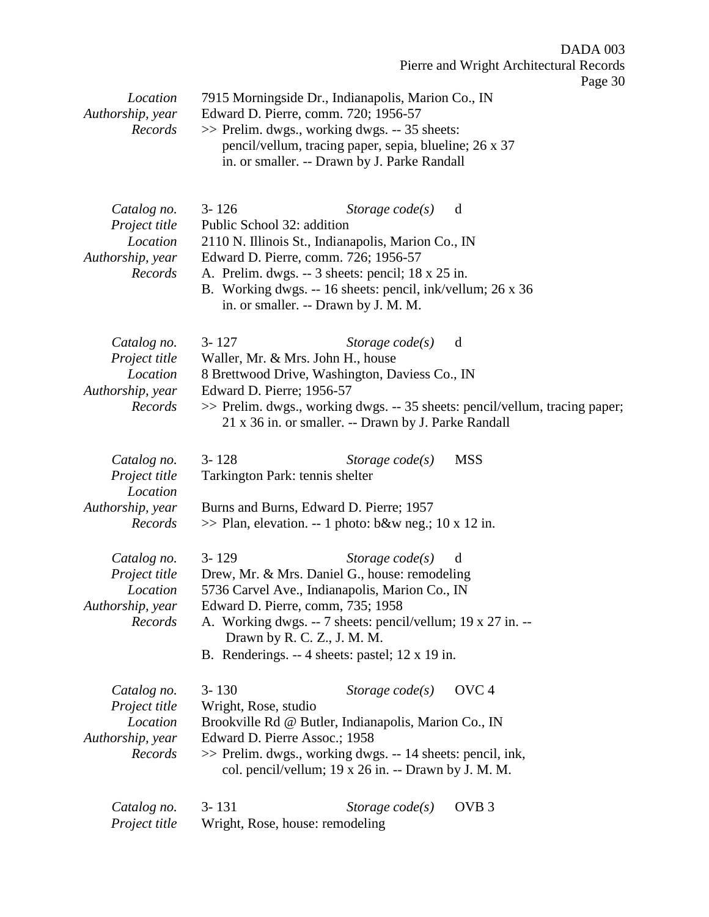| Location<br>Authorship, year                                            | $\frac{1}{2}$ ugu yu<br>7915 Morningside Dr., Indianapolis, Marion Co., IN<br>Edward D. Pierre, comm. 720; 1956-57                                                                                                                                                                                                           |
|-------------------------------------------------------------------------|------------------------------------------------------------------------------------------------------------------------------------------------------------------------------------------------------------------------------------------------------------------------------------------------------------------------------|
| Records                                                                 | >> Prelim. dwgs., working dwgs. -- 35 sheets:<br>pencil/vellum, tracing paper, sepia, blueline; 26 x 37<br>in. or smaller. -- Drawn by J. Parke Randall                                                                                                                                                                      |
| Catalog no.<br>Project title<br>Location<br>Authorship, year<br>Records | $3 - 126$<br>Storage $code(s)$<br>d<br>Public School 32: addition<br>2110 N. Illinois St., Indianapolis, Marion Co., IN<br>Edward D. Pierre, comm. 726; 1956-57<br>A. Prelim. dwgs. -- 3 sheets: pencil; 18 x 25 in.<br>B. Working dwgs. -- 16 sheets: pencil, ink/vellum; 26 x 36<br>in. or smaller. -- Drawn by J. M. M.   |
| Catalog no.<br>Project title<br>Location<br>Authorship, year<br>Records | $3 - 127$<br>Storage $code(s)$<br>d<br>Waller, Mr. & Mrs. John H., house<br>8 Brettwood Drive, Washington, Daviess Co., IN<br>Edward D. Pierre; 1956-57<br>>> Prelim. dwgs., working dwgs. -- 35 sheets: pencil/vellum, tracing paper;<br>21 x 36 in. or smaller. -- Drawn by J. Parke Randall                               |
| Catalog no.<br>Project title<br>Location<br>Authorship, year<br>Records | $3 - 128$<br><b>MSS</b><br>Storage $code(s)$<br>Tarkington Park: tennis shelter<br>Burns and Burns, Edward D. Pierre; 1957<br>$\gg$ Plan, elevation. -- 1 photo: b&w neg.; 10 x 12 in.                                                                                                                                       |
| Catalog no.<br>Project title<br>Location<br>Authorship, year<br>Records | $3 - 129$<br>Storage $code(s)$<br>d<br>Drew, Mr. & Mrs. Daniel G., house: remodeling<br>5736 Carvel Ave., Indianapolis, Marion Co., IN<br>Edward D. Pierre, comm, 735; 1958<br>A. Working dwgs. -- 7 sheets: pencil/vellum; 19 x 27 in. --<br>Drawn by R. C. Z., J. M. M.<br>B. Renderings. -- 4 sheets: pastel; 12 x 19 in. |
| Catalog no.<br>Project title<br>Location<br>Authorship, year<br>Records | OVC <sub>4</sub><br>$3 - 130$<br>Storage $code(s)$<br>Wright, Rose, studio<br>Brookville Rd @ Butler, Indianapolis, Marion Co., IN<br>Edward D. Pierre Assoc.; 1958<br>>> Prelim. dwgs., working dwgs. -- 14 sheets: pencil, ink,<br>col. pencil/vellum; 19 x 26 in. -- Drawn by J. M. M.                                    |
| Catalog no.<br>Project title                                            | $3 - 131$<br>OVB <sub>3</sub><br>Storage $code(s)$<br>Wright, Rose, house: remodeling                                                                                                                                                                                                                                        |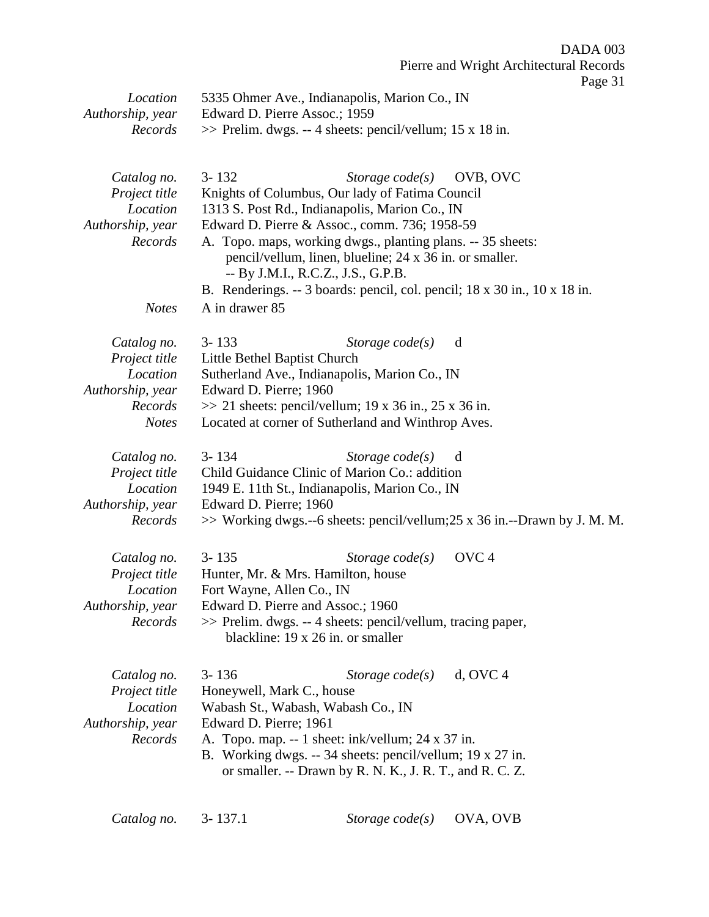| Location<br>Authorship, year<br>Records                                                 | 5335 Ohmer Ave., Indianapolis, Marion Co., IN<br>Edward D. Pierre Assoc.; 1959<br>$\gg$ Prelim. dwgs. -- 4 sheets: pencil/vellum; 15 x 18 in.                                                                                                                                                                                                                                                                                                                   |
|-----------------------------------------------------------------------------------------|-----------------------------------------------------------------------------------------------------------------------------------------------------------------------------------------------------------------------------------------------------------------------------------------------------------------------------------------------------------------------------------------------------------------------------------------------------------------|
| Catalog no.<br>Project title<br>Location<br>Authorship, year<br>Records<br><b>Notes</b> | $3 - 132$<br>Storage $code(s)$<br>OVB, OVC<br>Knights of Columbus, Our lady of Fatima Council<br>1313 S. Post Rd., Indianapolis, Marion Co., IN<br>Edward D. Pierre & Assoc., comm. 736; 1958-59<br>A. Topo. maps, working dwgs., planting plans. -- 35 sheets:<br>pencil/vellum, linen, blueline; 24 x 36 in. or smaller.<br>-- By J.M.I., R.C.Z., J.S., G.P.B.<br>B. Renderings. -- 3 boards: pencil, col. pencil; 18 x 30 in., 10 x 18 in.<br>A in drawer 85 |
| Catalog no.<br>Project title<br>Location<br>Authorship, year<br>Records<br><b>Notes</b> | $3 - 133$<br>Storage $code(s)$<br>d<br>Little Bethel Baptist Church<br>Sutherland Ave., Indianapolis, Marion Co., IN<br>Edward D. Pierre; 1960<br>$\gg$ 21 sheets: pencil/vellum; 19 x 36 in., 25 x 36 in.<br>Located at corner of Sutherland and Winthrop Aves.                                                                                                                                                                                                |
| Catalog no.<br>Project title<br>Location<br>Authorship, year<br>Records                 | $3 - 134$<br>Storage $code(s)$<br>d<br>Child Guidance Clinic of Marion Co.: addition<br>1949 E. 11th St., Indianapolis, Marion Co., IN<br>Edward D. Pierre; 1960<br>>> Working dwgs.--6 sheets: pencil/vellum;25 x 36 in.--Drawn by J. M. M.                                                                                                                                                                                                                    |
| Catalog no.<br>Project title<br>Location<br>Authorship, year<br>Records                 | OVC <sub>4</sub><br>$3 - 135$<br>Storage $code(s)$<br>Hunter, Mr. & Mrs. Hamilton, house<br>Fort Wayne, Allen Co., IN<br>Edward D. Pierre and Assoc.; 1960<br>>> Prelim. dwgs. -- 4 sheets: pencil/vellum, tracing paper,<br>blackline: 19 x 26 in. or smaller                                                                                                                                                                                                  |
| Catalog no.<br>Project title<br>Location<br>Authorship, year<br>Records                 | $3 - 136$<br>$d$ , OVC 4<br>Storage $code(s)$<br>Honeywell, Mark C., house<br>Wabash St., Wabash, Wabash Co., IN<br>Edward D. Pierre; 1961<br>A. Topo. map. -- 1 sheet: ink/vellum; 24 x 37 in.<br>B. Working dwgs. -- 34 sheets: pencil/vellum; 19 x 27 in.<br>or smaller. -- Drawn by R. N. K., J. R. T., and R. C. Z.                                                                                                                                        |

| OVA, OVB<br>$3 - 137.1$<br>Catalog no.<br>Storage $code(s)$ |
|-------------------------------------------------------------|
|-------------------------------------------------------------|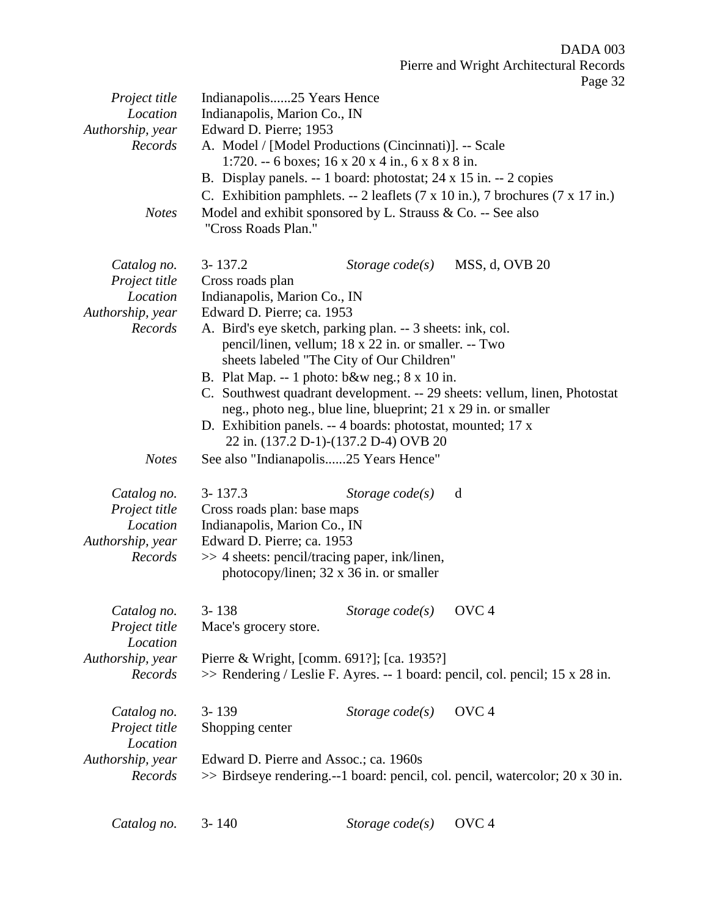| Project title    | Indianapolis25 Years Hence                                                    |  |  |  |
|------------------|-------------------------------------------------------------------------------|--|--|--|
| Location         | Indianapolis, Marion Co., IN                                                  |  |  |  |
| Authorship, year | Edward D. Pierre; 1953                                                        |  |  |  |
| Records          | A. Model / [Model Productions (Cincinnati)]. -- Scale                         |  |  |  |
|                  | 1:720. -- 6 boxes; $16 \times 20 \times 4$ in., $6 \times 8 \times 8$ in.     |  |  |  |
|                  | B. Display panels. -- 1 board: photostat; 24 x 15 in. -- 2 copies             |  |  |  |
|                  | C. Exhibition pamphlets. $-2$ leaflets (7 x 10 in.), 7 brochures (7 x 17 in.) |  |  |  |
| <b>Notes</b>     | Model and exhibit sponsored by L. Strauss & Co. -- See also                   |  |  |  |
|                  | "Cross Roads Plan."                                                           |  |  |  |
|                  |                                                                               |  |  |  |
|                  |                                                                               |  |  |  |
| Catalog no.      | $3 - 137.2$<br>MSS, d, OVB 20<br>Storage $code(s)$                            |  |  |  |
| Project title    | Cross roads plan                                                              |  |  |  |
| Location         | Indianapolis, Marion Co., IN                                                  |  |  |  |
| Authorship, year | Edward D. Pierre; ca. 1953                                                    |  |  |  |
| Records          | A. Bird's eye sketch, parking plan. -- 3 sheets: ink, col.                    |  |  |  |
|                  | pencil/linen, vellum; 18 x 22 in. or smaller. -- Two                          |  |  |  |
|                  | sheets labeled "The City of Our Children"                                     |  |  |  |
|                  | B. Plat Map. -- 1 photo: $b&w$ neg.; $8 \times 10$ in.                        |  |  |  |
|                  | C. Southwest quadrant development. -- 29 sheets: vellum, linen, Photostat     |  |  |  |
|                  | neg., photo neg., blue line, blueprint; 21 x 29 in. or smaller                |  |  |  |
|                  | D. Exhibition panels. -- 4 boards: photostat, mounted; 17 x                   |  |  |  |
|                  | 22 in. (137.2 D-1)-(137.2 D-4) OVB 20                                         |  |  |  |
| <b>Notes</b>     | See also "Indianapolis25 Years Hence"                                         |  |  |  |
|                  |                                                                               |  |  |  |
| Catalog no.      | $3 - 137.3$<br>Storage $code(s)$<br>d                                         |  |  |  |
| Project title    | Cross roads plan: base maps                                                   |  |  |  |
| Location         | Indianapolis, Marion Co., IN                                                  |  |  |  |
| Authorship, year | Edward D. Pierre; ca. 1953                                                    |  |  |  |
| Records          | >> 4 sheets: pencil/tracing paper, ink/linen,                                 |  |  |  |
|                  | photocopy/linen; 32 x 36 in. or smaller                                       |  |  |  |
|                  |                                                                               |  |  |  |
|                  |                                                                               |  |  |  |
| Catalog no.      | $3 - 138$<br>Storage $code(s)$<br>OVC <sub>4</sub>                            |  |  |  |
| Project title    | Mace's grocery store.                                                         |  |  |  |
| Location         |                                                                               |  |  |  |
| Authorship, year | Pierre & Wright, [comm. 691?]; [ca. 1935?]                                    |  |  |  |
| Records          | >> Rendering / Leslie F. Ayres. -- 1 board: pencil, col. pencil; 15 x 28 in.  |  |  |  |
|                  |                                                                               |  |  |  |
| Catalog no.      | OVC <sub>4</sub><br>$3 - 139$<br>Storage $code(s)$                            |  |  |  |
| Project title    | Shopping center                                                               |  |  |  |
| Location         |                                                                               |  |  |  |
| Authorship, year | Edward D. Pierre and Assoc.; ca. 1960s                                        |  |  |  |
| Records          |                                                                               |  |  |  |
|                  | >> Birdseye rendering.--1 board: pencil, col. pencil, watercolor; 20 x 30 in. |  |  |  |
|                  |                                                                               |  |  |  |
|                  |                                                                               |  |  |  |

| Catalog no. | $3 - 140$ | Storage code(s) OVC 4 |  |
|-------------|-----------|-----------------------|--|
|-------------|-----------|-----------------------|--|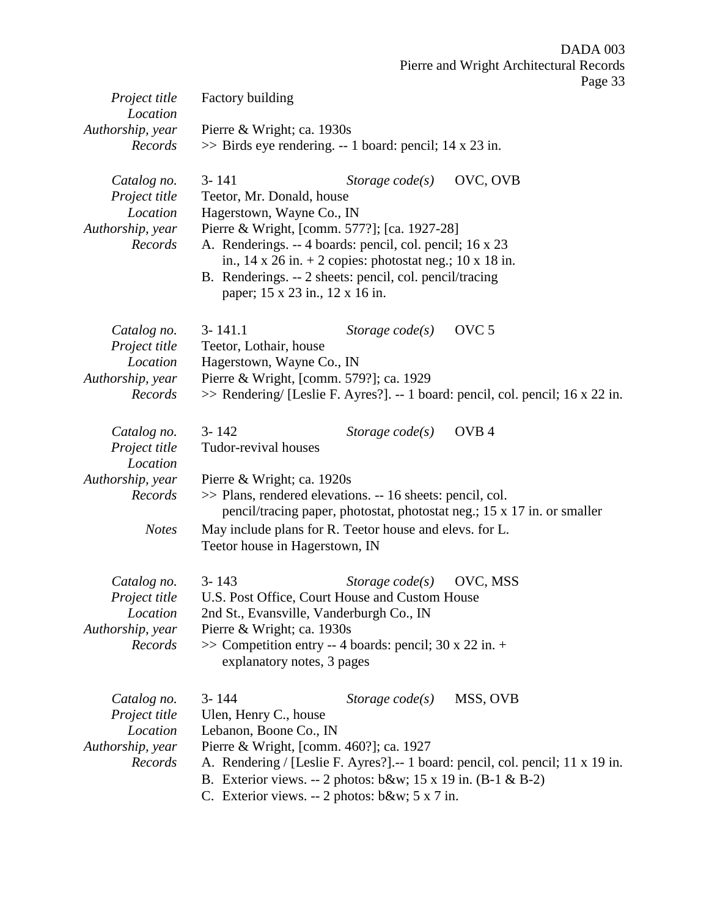|                                                                         |                                                                       |                                                                                                                                                                                                                                                                                                       | Pierre and Wright Architectural Records<br>Page 33                                                 |
|-------------------------------------------------------------------------|-----------------------------------------------------------------------|-------------------------------------------------------------------------------------------------------------------------------------------------------------------------------------------------------------------------------------------------------------------------------------------------------|----------------------------------------------------------------------------------------------------|
| Project title<br>Location                                               | Factory building                                                      |                                                                                                                                                                                                                                                                                                       |                                                                                                    |
| Authorship, year<br>Records                                             | Pierre & Wright; ca. 1930s                                            | $\gg$ Birds eye rendering. -- 1 board: pencil; 14 x 23 in.                                                                                                                                                                                                                                            |                                                                                                    |
| Catalog no.<br>Project title<br>Location<br>Authorship, year<br>Records | $3 - 141$<br>Teetor, Mr. Donald, house<br>Hagerstown, Wayne Co., IN   | Storage $code(s)$<br>Pierre & Wright, [comm. 577?]; [ca. 1927-28]<br>A. Renderings. -- 4 boards: pencil, col. pencil; 16 x 23<br>in., $14 \times 26$ in. + 2 copies: photostat neg.; $10 \times 18$ in.<br>B. Renderings. -- 2 sheets: pencil, col. pencil/tracing<br>paper; 15 x 23 in., 12 x 16 in. | OVC, OVB                                                                                           |
| Catalog no.<br>Project title<br>Location<br>Authorship, year<br>Records | $3 - 141.1$<br>Teetor, Lothair, house<br>Hagerstown, Wayne Co., IN    | Storage $code(s)$<br>Pierre & Wright, [comm. 579?]; ca. 1929                                                                                                                                                                                                                                          | OVC <sub>5</sub><br>>> Rendering/ [Leslie F. Ayres?]. -- 1 board: pencil, col. pencil; 16 x 22 in. |
| Catalog no.<br>Project title<br>Location                                | $3 - 142$<br>Tudor-revival houses                                     | Storage $code(s)$                                                                                                                                                                                                                                                                                     | OVB <sub>4</sub>                                                                                   |
| Authorship, year<br>Records<br><b>Notes</b>                             | Pierre & Wright; ca. 1920s<br>Teetor house in Hagerstown, IN          | >> Plans, rendered elevations. -- 16 sheets: pencil, col.<br>May include plans for R. Teetor house and elevs. for L.                                                                                                                                                                                  | pencil/tracing paper, photostat, photostat neg.; 15 x 17 in. or smaller                            |
| Catalog no.<br>Project title<br>Location<br>Authorship, year<br>Records | $3 - 143$<br>Pierre & Wright; ca. 1930s<br>explanatory notes, 3 pages | Storage $code(s)$<br>U.S. Post Office, Court House and Custom House<br>2nd St., Evansville, Vanderburgh Co., IN<br>$\gg$ Competition entry -- 4 boards: pencil; 30 x 22 in. +                                                                                                                         | OVC, MSS                                                                                           |
| Catalog no.<br>Project title<br>Location<br>Authorship, year<br>Records | $3 - 144$<br>Ulen, Henry C., house<br>Lebanon, Boone Co., IN          | Storage $code(s)$<br>Pierre & Wright, [comm. 460?]; ca. 1927<br>B. Exterior views. -- 2 photos: $b\&w$ ; 15 x 19 in. (B-1 & B-2)<br>C. Exterior views. -- 2 photos: $b&w$ ; 5 x 7 in.                                                                                                                 | MSS, OVB<br>A. Rendering / [Leslie F. Ayres?] .-- 1 board: pencil, col. pencil; 11 x 19 in.        |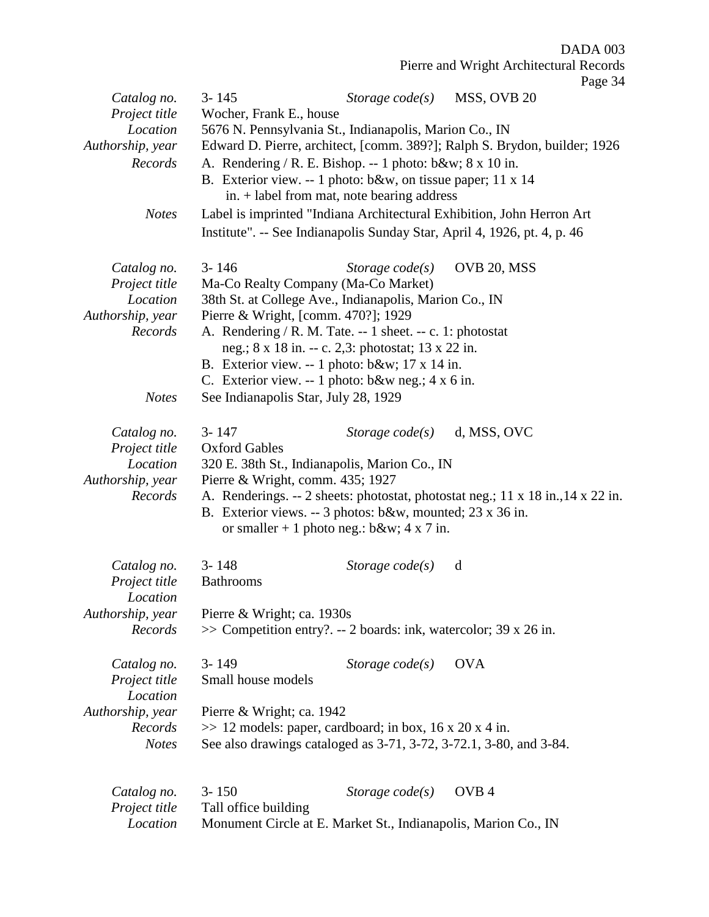Pierre and Wright Architectural Records

|                  |                                                                     |                   | Page 34                                                                         |  |
|------------------|---------------------------------------------------------------------|-------------------|---------------------------------------------------------------------------------|--|
| Catalog no.      | $3 - 145$                                                           | Storage $code(s)$ | MSS, OVB 20                                                                     |  |
| Project title    | Wocher, Frank E., house                                             |                   |                                                                                 |  |
| Location         | 5676 N. Pennsylvania St., Indianapolis, Marion Co., IN              |                   |                                                                                 |  |
| Authorship, year |                                                                     |                   | Edward D. Pierre, architect, [comm. 389?]; Ralph S. Brydon, builder; 1926       |  |
| Records          | A. Rendering / R. E. Bishop. -- 1 photo: $b$ &w 8 x 10 in.          |                   |                                                                                 |  |
|                  |                                                                     |                   |                                                                                 |  |
|                  | B. Exterior view. -- 1 photo: b&w, on tissue paper; 11 x 14         |                   |                                                                                 |  |
|                  | in. + label from mat, note bearing address                          |                   |                                                                                 |  |
| <b>Notes</b>     |                                                                     |                   | Label is imprinted "Indiana Architectural Exhibition, John Herron Art           |  |
|                  |                                                                     |                   | Institute". -- See Indianapolis Sunday Star, April 4, 1926, pt. 4, p. 46        |  |
| Catalog no.      | $3 - 146$                                                           | Storage $code(s)$ | OVB 20, MSS                                                                     |  |
| Project title    | Ma-Co Realty Company (Ma-Co Market)                                 |                   |                                                                                 |  |
| Location         | 38th St. at College Ave., Indianapolis, Marion Co., IN              |                   |                                                                                 |  |
| Authorship, year | Pierre & Wright, [comm. 470?]; 1929                                 |                   |                                                                                 |  |
| Records          | A. Rendering / R. M. Tate. -- 1 sheet. -- c. 1: photostat           |                   |                                                                                 |  |
|                  | neg.; 8 x 18 in. -- c. 2,3: photostat; 13 x 22 in.                  |                   |                                                                                 |  |
|                  | B. Exterior view. -- 1 photo: b&w 17 x 14 in.                       |                   |                                                                                 |  |
|                  |                                                                     |                   |                                                                                 |  |
|                  | C. Exterior view. -- 1 photo: $b&w$ neg.; 4 x 6 in.                 |                   |                                                                                 |  |
| <b>Notes</b>     | See Indianapolis Star, July 28, 1929                                |                   |                                                                                 |  |
| Catalog no.      | $3 - 147$                                                           | Storage $code(s)$ | d, MSS, OVC                                                                     |  |
| Project title    | <b>Oxford Gables</b>                                                |                   |                                                                                 |  |
| Location         | 320 E. 38th St., Indianapolis, Marion Co., IN                       |                   |                                                                                 |  |
| Authorship, year | Pierre & Wright, comm. 435; 1927                                    |                   |                                                                                 |  |
| Records          |                                                                     |                   | A. Renderings. -- 2 sheets: photostat, photostat neg.; 11 x 18 in., 14 x 22 in. |  |
|                  |                                                                     |                   |                                                                                 |  |
|                  | B. Exterior views. -- 3 photos: b&w, mounted; 23 x 36 in.           |                   |                                                                                 |  |
|                  | or smaller + 1 photo neg.: $b&w$ ; 4 x 7 in.                        |                   |                                                                                 |  |
| Catalog no.      | $3 - 148$                                                           | Storage $code(s)$ | d                                                                               |  |
| Project title    | <b>Bathrooms</b>                                                    |                   |                                                                                 |  |
| Location         |                                                                     |                   |                                                                                 |  |
| Authorship, year | Pierre & Wright; ca. 1930s                                          |                   |                                                                                 |  |
| Records          | $\gg$ Competition entry?. -- 2 boards: ink, watercolor; 39 x 26 in. |                   |                                                                                 |  |
|                  |                                                                     |                   |                                                                                 |  |
| Catalog no.      | $3 - 149$                                                           | Storage $code(s)$ | <b>OVA</b>                                                                      |  |
| Project title    | Small house models                                                  |                   |                                                                                 |  |
| Location         |                                                                     |                   |                                                                                 |  |
| Authorship, year | Pierre & Wright; ca. 1942                                           |                   |                                                                                 |  |
| Records          | $\gg$ 12 models: paper, cardboard; in box, 16 x 20 x 4 in.          |                   |                                                                                 |  |
| <b>Notes</b>     | See also drawings cataloged as 3-71, 3-72, 3-72.1, 3-80, and 3-84.  |                   |                                                                                 |  |
|                  |                                                                     |                   |                                                                                 |  |
| Catalog no.      | $3 - 150$                                                           | Storage $code(s)$ | OVB <sub>4</sub>                                                                |  |
|                  | Tall office building                                                |                   |                                                                                 |  |
| Project title    |                                                                     |                   |                                                                                 |  |
| Location         | Monument Circle at E. Market St., Indianapolis, Marion Co., IN      |                   |                                                                                 |  |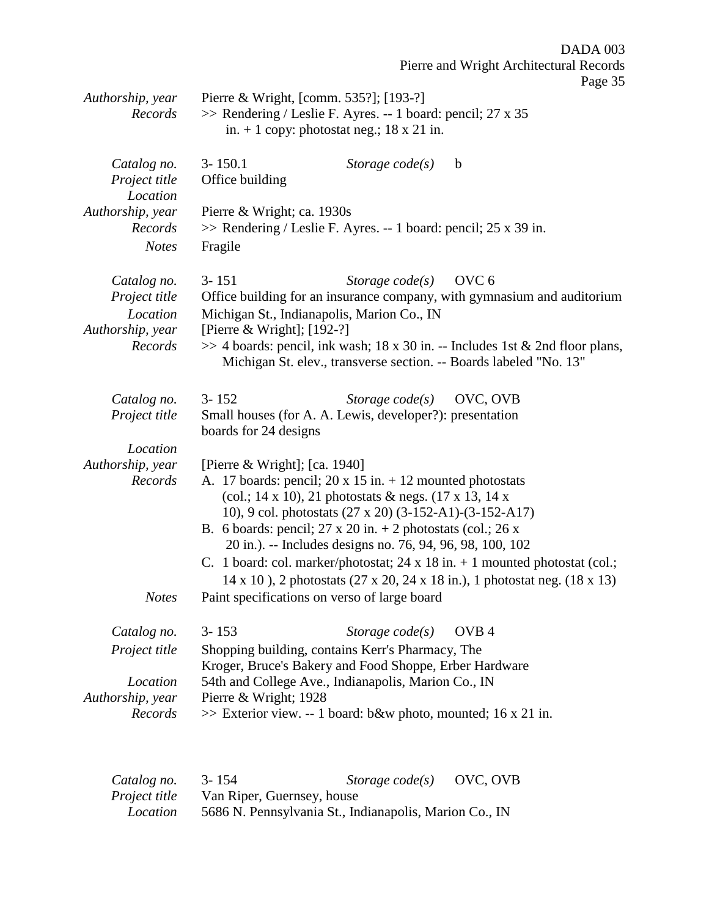| Authorship, year                         | $1 \mu_{\rm SU} 30$<br>Pierre & Wright, [comm. 535?]; [193-?]                                                                                          |
|------------------------------------------|--------------------------------------------------------------------------------------------------------------------------------------------------------|
| Records                                  | >> Rendering / Leslie F. Ayres. -- 1 board: pencil; 27 x 35<br>in. $+ 1$ copy: photostat neg.; 18 x 21 in.                                             |
| Catalog no.<br>Project title<br>Location | $3 - 150.1$<br>Storage $code(s)$<br>$\mathbf b$<br>Office building                                                                                     |
| Authorship, year                         | Pierre & Wright; ca. 1930s                                                                                                                             |
| Records                                  | $\gg$ Rendering / Leslie F. Ayres. -- 1 board: pencil; 25 x 39 in.                                                                                     |
| <b>Notes</b>                             | Fragile                                                                                                                                                |
| Catalog no.                              | OVC <sub>6</sub><br>$3 - 151$<br>Storage $code(s)$                                                                                                     |
| Project title<br>Location                | Office building for an insurance company, with gymnasium and auditorium<br>Michigan St., Indianapolis, Marion Co., IN                                  |
| Authorship, year                         | [Pierre & Wright]; $[192-?]$                                                                                                                           |
| Records                                  | $\gg$ 4 boards: pencil, ink wash; 18 x 30 in. -- Includes 1st & 2nd floor plans,<br>Michigan St. elev., transverse section. -- Boards labeled "No. 13" |
| Catalog no.                              | OVC, OVB<br>$3 - 152$<br>Storage $code(s)$                                                                                                             |
| Project title                            | Small houses (for A. A. Lewis, developer?): presentation<br>boards for 24 designs                                                                      |
| Location                                 |                                                                                                                                                        |
| Authorship, year<br>Records              | [Pierre & Wright]; [ca. 1940]<br>A. 17 boards: pencil; $20 \times 15$ in. $+ 12$ mounted photostats                                                    |
|                                          | (col.; 14 x 10), 21 photostats & negs. $(17 \times 13, 14 \times$                                                                                      |
|                                          | 10), 9 col. photostats (27 x 20) (3-152-A1)-(3-152-A17)                                                                                                |
|                                          | B. 6 boards: pencil; $27 \times 20$ in. $+ 2$ photostats (col.; $26 \times$<br>20 in.). -- Includes designs no. 76, 94, 96, 98, 100, 102               |
|                                          | C. 1 board: col. marker/photostat; $24 \times 18$ in. $+ 1$ mounted photostat (col.;                                                                   |
|                                          | 14 x 10), 2 photostats (27 x 20, 24 x 18 in.), 1 photostat neg. (18 x 13)                                                                              |
| <b>Notes</b>                             | Paint specifications on verso of large board                                                                                                           |
| Catalog no.                              | $3 - 153$<br>Storage $code(s)$<br>OVB <sub>4</sub>                                                                                                     |
| Project title                            | Shopping building, contains Kerr's Pharmacy, The<br>Kroger, Bruce's Bakery and Food Shoppe, Erber Hardware                                             |
| Location                                 | 54th and College Ave., Indianapolis, Marion Co., IN                                                                                                    |
| Authorship, year                         | Pierre & Wright; 1928                                                                                                                                  |
| Records                                  | >> Exterior view. -- 1 board: b&w photo, mounted; 16 x 21 in.                                                                                          |
|                                          |                                                                                                                                                        |

| Catalog no.          | $3 - 154$                  | Storage $code(s)$                                      | OVC, OVB |
|----------------------|----------------------------|--------------------------------------------------------|----------|
| <i>Project title</i> | Van Riper, Guernsey, house |                                                        |          |
| Location             |                            | 5686 N. Pennsylvania St., Indianapolis, Marion Co., IN |          |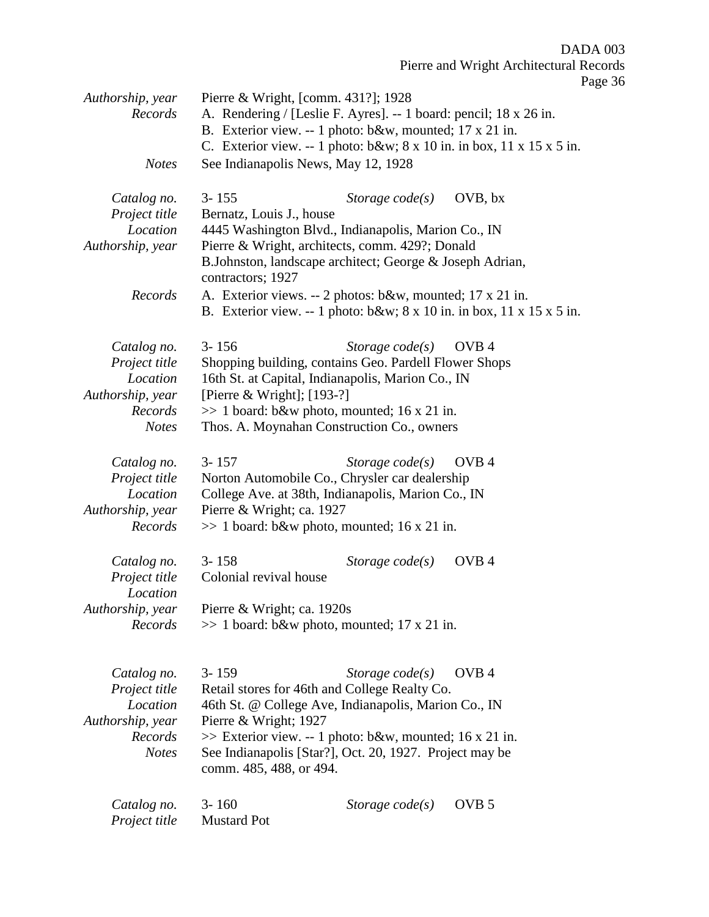| Authorship, year<br>Records<br><b>Notes</b>                                             | Pierre & Wright, [comm. 431?]; 1928<br>See Indianapolis News, May 12, 1928 | A. Rendering / [Leslie F. Ayres]. -- 1 board: pencil; 18 x 26 in.<br>B. Exterior view. -- 1 photo: b&w, mounted; 17 x 21 in.                                                                                                                         | C. Exterior view. -- 1 photo: $b\&w$ ; $8 \times 10$ in. in box, $11 \times 15 \times 5$ in.            |
|-----------------------------------------------------------------------------------------|----------------------------------------------------------------------------|------------------------------------------------------------------------------------------------------------------------------------------------------------------------------------------------------------------------------------------------------|---------------------------------------------------------------------------------------------------------|
| Catalog no.<br>Project title<br>Location<br>Authorship, year<br>Records                 | $3 - 155$<br>Bernatz, Louis J., house<br>contractors; 1927                 | Storage $code(s)$<br>4445 Washington Blvd., Indianapolis, Marion Co., IN<br>Pierre & Wright, architects, comm. 429?; Donald<br>B.Johnston, landscape architect; George & Joseph Adrian,<br>A. Exterior views. -- 2 photos: b&w, mounted; 17 x 21 in. | OVB, bx<br>B. Exterior view. -- 1 photo: $b\&w$ ; $8 \times 10$ in. in box, $11 \times 15 \times 5$ in. |
| Catalog no.<br>Project title<br>Location<br>Authorship, year<br>Records<br><b>Notes</b> | $3 - 156$<br>[Pierre & Wright]; $[193-?]$                                  | Storage $code(s)$<br>Shopping building, contains Geo. Pardell Flower Shops<br>16th St. at Capital, Indianapolis, Marion Co., IN<br>$\gg$ 1 board: b&w photo, mounted; 16 x 21 in.<br>Thos. A. Moynahan Construction Co., owners                      | OVB <sub>4</sub>                                                                                        |
| Catalog no.<br>Project title<br>Location<br>Authorship, year<br>Records                 | $3 - 157$<br>Pierre & Wright; ca. 1927                                     | Storage $code(s)$<br>Norton Automobile Co., Chrysler car dealership<br>College Ave. at 38th, Indianapolis, Marion Co., IN<br>$\gg$ 1 board: b&w photo, mounted; 16 x 21 in.                                                                          | OVB <sub>4</sub>                                                                                        |
| Catalog no.<br>Project title<br>Location<br>Authorship, year<br>Records                 | $3 - 158$<br>Colonial revival house<br>Pierre & Wright; ca. 1920s          | Storage $code(s)$<br>$\gg$ 1 board: b&w photo, mounted; 17 x 21 in.                                                                                                                                                                                  | OVB <sub>4</sub>                                                                                        |
| Catalog no.<br>Project title<br>Location<br>Authorship, year<br>Records<br><b>Notes</b> | $3 - 159$<br>Pierre & Wright; 1927<br>comm. 485, 488, or 494.              | Storage $code(s)$<br>Retail stores for 46th and College Realty Co.<br>46th St. @ College Ave, Indianapolis, Marion Co., IN<br>$\gg$ Exterior view. -- 1 photo: b&w, mounted; 16 x 21 in.<br>See Indianapolis [Star?], Oct. 20, 1927. Project may be  | OVB <sub>4</sub>                                                                                        |
| Catalog no.<br>Project title                                                            | $3 - 160$<br><b>Mustard Pot</b>                                            | Storage $code(s)$                                                                                                                                                                                                                                    | OVB <sub>5</sub>                                                                                        |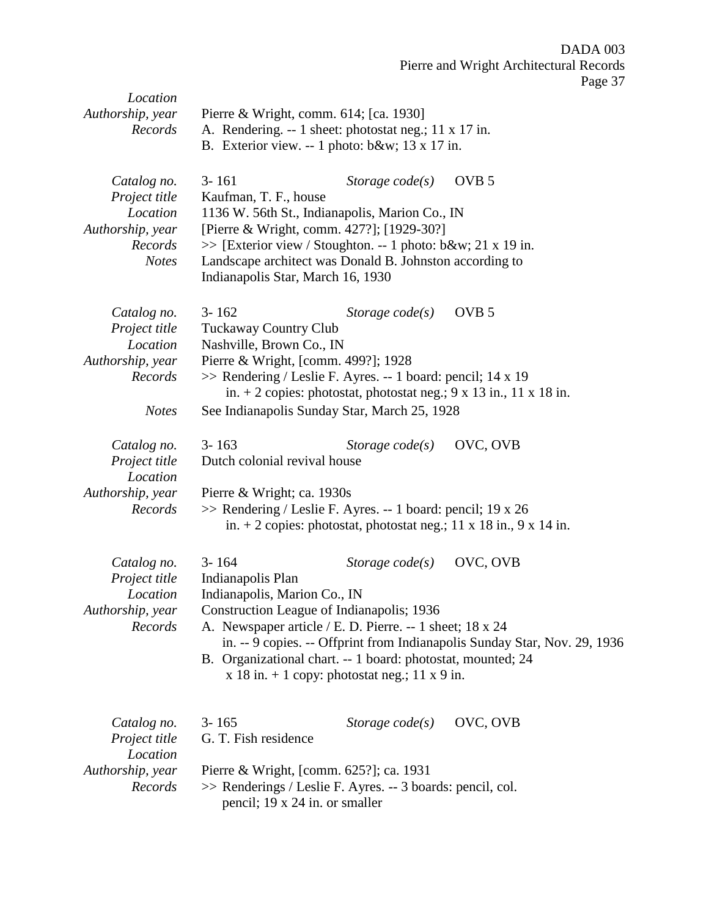| Location<br>Authorship, year<br>Records                                                 | Pierre & Wright, comm. 614; [ca. 1930]<br>A. Rendering. -- 1 sheet: photostat neg.; 11 x 17 in.<br>B. Exterior view. -- 1 photo: b&w 13 x 17 in.                                                                                                                                                |                                                                      |                                                                                               |
|-----------------------------------------------------------------------------------------|-------------------------------------------------------------------------------------------------------------------------------------------------------------------------------------------------------------------------------------------------------------------------------------------------|----------------------------------------------------------------------|-----------------------------------------------------------------------------------------------|
| Catalog no.<br>Project title<br>Location<br>Authorship, year<br>Records<br><b>Notes</b> | $3 - 161$<br>Kaufman, T. F., house<br>1136 W. 56th St., Indianapolis, Marion Co., IN<br>[Pierre & Wright, comm. 427?]; [1929-30?]<br>>> [Exterior view / Stoughton. -- 1 photo: b&w 21 x 19 in.<br>Landscape architect was Donald B. Johnston according to<br>Indianapolis Star, March 16, 1930 | Storage $code(s)$                                                    | OVB <sub>5</sub>                                                                              |
| Catalog no.<br>Project title<br>Location<br>Authorship, year<br>Records<br><b>Notes</b> | $3 - 162$<br><b>Tuckaway Country Club</b><br>Nashville, Brown Co., IN<br>Pierre & Wright, [comm. 499?]; 1928<br>>> Rendering / Leslie F. Ayres. -- 1 board: pencil; 14 x 19<br>See Indianapolis Sunday Star, March 25, 1928                                                                     | Storage $code(s)$                                                    | OVB <sub>5</sub><br>in. + 2 copies: photostat, photostat neg.; $9 \times 13$ in., 11 x 18 in. |
| Catalog no.<br>Project title<br>Location<br>Authorship, year<br>Records                 | $3 - 163$<br>Dutch colonial revival house<br>Pierre & Wright; ca. 1930s<br>>> Rendering / Leslie F. Ayres. -- 1 board: pencil; 19 x 26                                                                                                                                                          | Storage $code(s)$                                                    | OVC, OVB<br>in. + 2 copies: photostat, photostat neg.; 11 x 18 in., 9 x 14 in.                |
| Catalog no.<br>Project title<br>Location<br>Authorship, year<br>Records                 | $3 - 164$<br>Indianapolis Plan<br>Indianapolis, Marion Co., IN<br>Construction League of Indianapolis; 1936<br>A. Newspaper article / E. D. Pierre. -- 1 sheet; 18 x 24<br>B. Organizational chart. -- 1 board: photostat, mounted; 24                                                          | Storage $code(s)$<br>$x$ 18 in. + 1 copy: photostat neg.; 11 x 9 in. | OVC, OVB<br>in. -- 9 copies. -- Offprint from Indianapolis Sunday Star, Nov. 29, 1936         |
| Catalog no.<br>Project title<br>Location<br>Authorship, year<br>Records                 | $3 - 165$<br>G. T. Fish residence<br>Pierre & Wright, [comm. 625?]; ca. 1931<br>>> Renderings / Leslie F. Ayres. -- 3 boards: pencil, col.<br>pencil; 19 x 24 in. or smaller                                                                                                                    | Storage $code(s)$                                                    | OVC, OVB                                                                                      |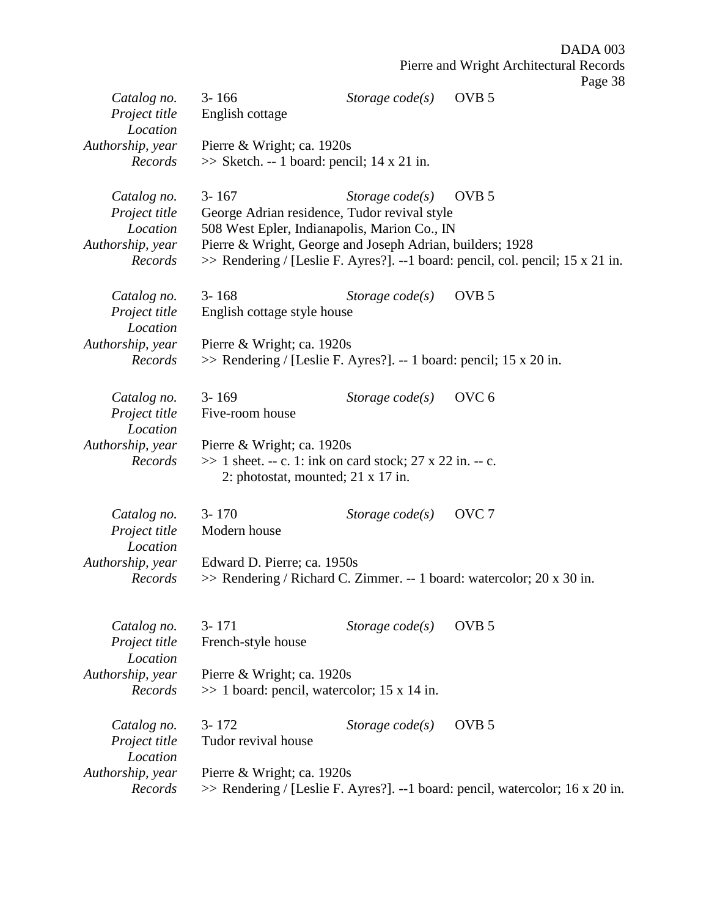|                                          |                                                                                                           |                   | Page 38                                                                        |
|------------------------------------------|-----------------------------------------------------------------------------------------------------------|-------------------|--------------------------------------------------------------------------------|
| Catalog no.<br>Project title             | $3 - 166$<br>English cottage                                                                              | Storage $code(s)$ | OVB <sub>5</sub>                                                               |
| Location                                 |                                                                                                           |                   |                                                                                |
| Authorship, year<br>Records              | Pierre & Wright; ca. 1920s<br>$\gg$ Sketch. -- 1 board: pencil; 14 x 21 in.                               |                   |                                                                                |
| Catalog no.                              | $3 - 167$                                                                                                 | Storage $code(s)$ | OVB <sub>5</sub>                                                               |
| Project title                            | George Adrian residence, Tudor revival style                                                              |                   |                                                                                |
| Location<br>Authorship, year             | 508 West Epler, Indianapolis, Marion Co., IN<br>Pierre & Wright, George and Joseph Adrian, builders; 1928 |                   |                                                                                |
| Records                                  |                                                                                                           |                   | >> Rendering / [Leslie F. Ayres?]. --1 board: pencil, col. pencil; 15 x 21 in. |
| Catalog no.<br>Project title<br>Location | $3 - 168$<br>English cottage style house                                                                  | Storage $code(s)$ | OVB <sub>5</sub>                                                               |
| Authorship, year                         | Pierre & Wright; ca. 1920s                                                                                |                   |                                                                                |
| Records                                  | >> Rendering / [Leslie F. Ayres?]. -- 1 board: pencil; 15 x 20 in.                                        |                   |                                                                                |
| Catalog no.                              | $3 - 169$                                                                                                 | Storage $code(s)$ | OVC <sub>6</sub>                                                               |
| Project title<br>Location                | Five-room house                                                                                           |                   |                                                                                |
| Authorship, year                         | Pierre & Wright; ca. 1920s                                                                                |                   |                                                                                |
| Records                                  | $\gg$ 1 sheet. -- c. 1: ink on card stock; 27 x 22 in. -- c.<br>2: photostat, mounted; $21 \times 17$ in. |                   |                                                                                |
| Catalog no.                              | $3 - 170$                                                                                                 | Storage $code(s)$ | OVC <sub>7</sub>                                                               |
| Project title<br>Location                | Modern house                                                                                              |                   |                                                                                |
| Authorship, year                         | Edward D. Pierre; ca. 1950s                                                                               |                   |                                                                                |
| Records                                  |                                                                                                           |                   | $\gg$ Rendering / Richard C. Zimmer. -- 1 board: watercolor; 20 x 30 in.       |
| Catalog no.                              | $3 - 171$                                                                                                 | Storage $code(s)$ | OVB <sub>5</sub>                                                               |
| Project title<br>Location                | French-style house                                                                                        |                   |                                                                                |
| Authorship, year                         | Pierre & Wright; ca. 1920s                                                                                |                   |                                                                                |
| Records                                  | $\gg$ 1 board: pencil, watercolor; 15 x 14 in.                                                            |                   |                                                                                |
| Catalog no.                              | $3 - 172$                                                                                                 | Storage $code(s)$ | OVB <sub>5</sub>                                                               |
| Project title<br>Location                | Tudor revival house                                                                                       |                   |                                                                                |
| Authorship, year                         | Pierre & Wright; ca. 1920s                                                                                |                   |                                                                                |
| Records                                  |                                                                                                           |                   | >> Rendering / [Leslie F. Ayres?]. --1 board: pencil, watercolor; 16 x 20 in.  |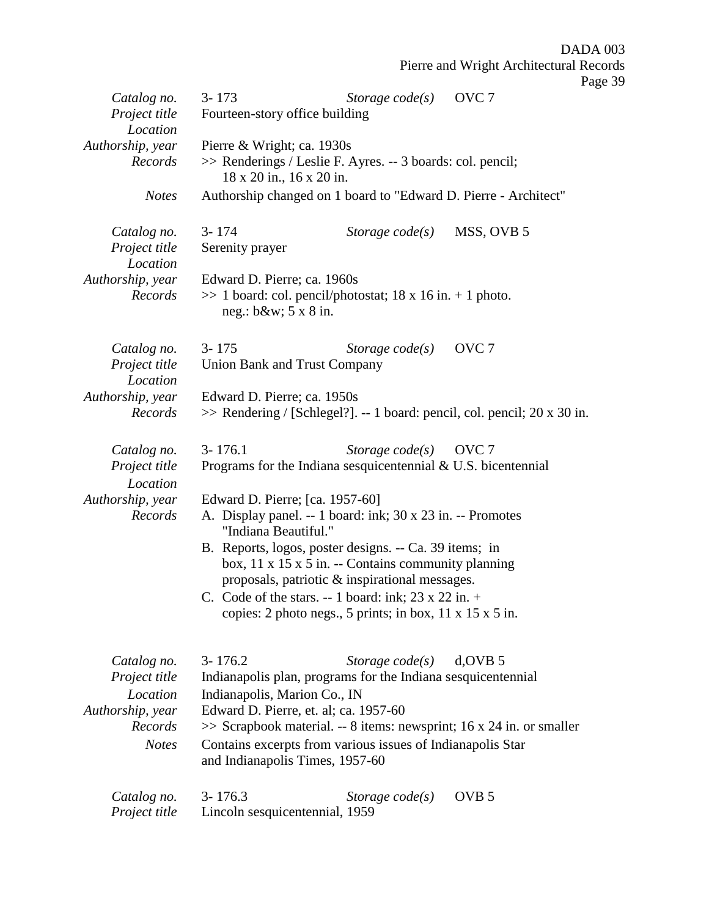Pierre and Wright Architectural Records Page 39 *Catalog no.* 3- 173 *Storage code(s)* OVC 7 *Project title* Fourteen-story office building *Location Authorship, year* Pierre & Wright; ca. 1930s *Records* >> Renderings / Leslie F. Ayres. -- 3 boards: col. pencil; 18 x 20 in., 16 x 20 in. *Notes* Authorship changed on 1 board to "Edward D. Pierre - Architect" *Catalog no.* 3- 174 *Storage code(s)* MSS, OVB 5 *Project title* Serenity prayer *Location Authorship, year* Edward D. Pierre; ca. 1960s *Records*  $\gg$  1 board: col. pencil/photostat; 18 x 16 in. + 1 photo. neg.: b&w; 5 x 8 in. *Catalog no.* 3- 175 *Storage code(s)* OVC 7 *Project title* Union Bank and Trust Company *Location Authorship, year* Edward D. Pierre; ca. 1950s *Records* >> Rendering / [Schlegel?]. -- 1 board: pencil, col. pencil; 20 x 30 in. *Catalog no.* 3- 176.1 *Storage code(s)* OVC 7 *Project title* Programs for the Indiana sesquicentennial & U.S. bicentennial *Location Authorship, year* Edward D. Pierre; [ca. 1957-60] *Records* A. Display panel. -- 1 board: ink; 30 x 23 in. -- Promotes "Indiana Beautiful." B. Reports, logos, poster designs. -- Ca. 39 items; in box, 11 x 15 x 5 in. -- Contains community planning proposals, patriotic & inspirational messages. C. Code of the stars.  $-1$  board: ink; 23 x 22 in.  $+$ copies: 2 photo negs., 5 prints; in box,  $11 \times 15 \times 5$  in. *Catalog no.* 3- 176.2 *Storage code(s)* d,OVB 5 *Project title* Indianapolis plan, programs for the Indiana sesquicentennial *Location* Indianapolis, Marion Co., IN *Authorship, year* Edward D. Pierre, et. al; ca. 1957-60 *Records* >> Scrapbook material. -- 8 items: newsprint; 16 x 24 in. or smaller *Notes* Contains excerpts from various issues of Indianapolis Star and Indianapolis Times, 1957-60 *Catalog no.* 3- 176.3 *Storage code(s)* OVB 5 *Project title* Lincoln sesquicentennial, 1959

DADA 003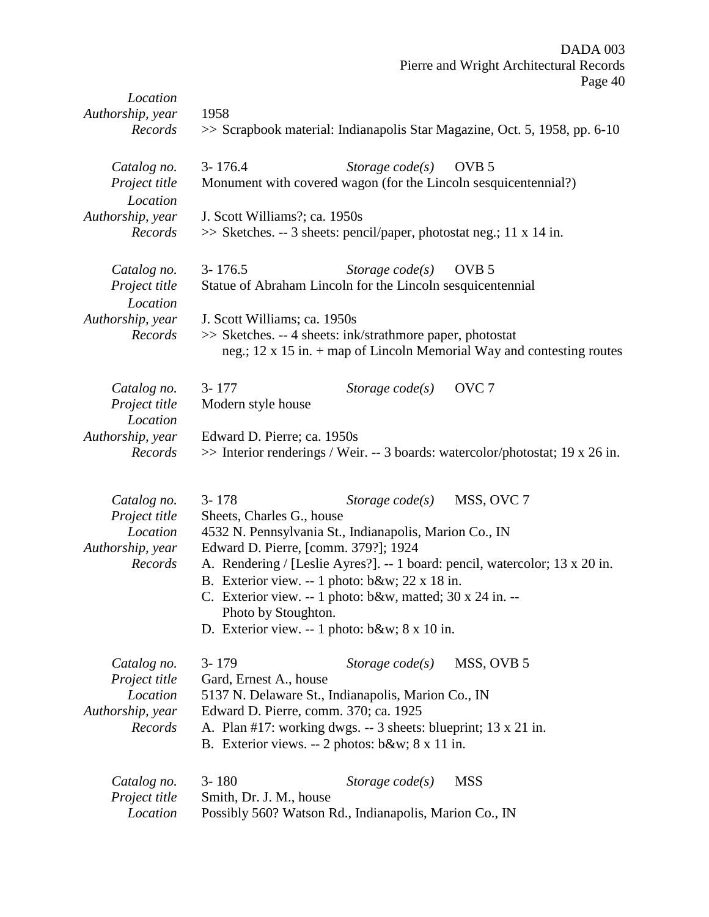|                                                              |                                        |                                                                                                                                                                                                                 | Pierre and Wright Architectural Records<br>Page 40                            |
|--------------------------------------------------------------|----------------------------------------|-----------------------------------------------------------------------------------------------------------------------------------------------------------------------------------------------------------------|-------------------------------------------------------------------------------|
| Location<br>Authorship, year<br>Records                      | 1958                                   |                                                                                                                                                                                                                 | >> Scrapbook material: Indianapolis Star Magazine, Oct. 5, 1958, pp. 6-10     |
| Catalog no.<br>Project title<br>Location                     | $3 - 176.4$                            | Storage $code(s)$<br>Monument with covered wagon (for the Lincoln sesquicentennial?)                                                                                                                            | OVB <sub>5</sub>                                                              |
| Authorship, year<br>Records                                  | J. Scott Williams?; ca. 1950s          | $\gg$ Sketches. -- 3 sheets: pencil/paper, photostat neg.; 11 x 14 in.                                                                                                                                          |                                                                               |
| Catalog no.<br>Project title<br>Location                     | $3 - 176.5$                            | Storage $code(s)$<br>Statue of Abraham Lincoln for the Lincoln sesquicentennial                                                                                                                                 | OVB <sub>5</sub>                                                              |
| Authorship, year<br>Records                                  | J. Scott Williams; ca. 1950s           | >> Sketches. -- 4 sheets: ink/strathmore paper, photostat                                                                                                                                                       | neg.; $12 \times 15$ in. + map of Lincoln Memorial Way and contesting routes  |
| Catalog no.<br>Project title<br>Location                     | $3 - 177$<br>Modern style house        | Storage $code(s)$                                                                                                                                                                                               | OVC <sub>7</sub>                                                              |
| Authorship, year<br>Records                                  | Edward D. Pierre; ca. 1950s            |                                                                                                                                                                                                                 | >> Interior renderings / Weir. -- 3 boards: watercolor/photostat; 19 x 26 in. |
| Catalog no.<br>Project title<br>Location<br>Authorship, year | $3 - 178$<br>Sheets, Charles G., house | Storage $code(s)$<br>4532 N. Pennsylvania St., Indianapolis, Marion Co., IN<br>Edward D. Pierre, [comm. 379?]; 1924                                                                                             | MSS, OVC 7                                                                    |
| Records                                                      | Photo by Stoughton.                    | B. Exterior view. -- 1 photo: $b&w$ ; 22 x 18 in.<br>C. Exterior view. -- 1 photo: b&w, matted; 30 x 24 in. --<br>D. Exterior view. -- 1 photo: b&w 8 x 10 in.                                                  | A. Rendering / [Leslie Ayres?]. -- 1 board: pencil, watercolor; 13 x 20 in.   |
| Catalog no.<br>Project title                                 | $3 - 179$<br>Gard, Ernest A., house    | Storage $code(s)$                                                                                                                                                                                               | MSS, OVB 5                                                                    |
| Location<br>Authorship, year<br>Records                      |                                        | 5137 N. Delaware St., Indianapolis, Marion Co., IN<br>Edward D. Pierre, comm. 370; ca. 1925<br>A. Plan #17: working dwgs. -- 3 sheets: blueprint; 13 x 21 in.<br>B. Exterior views. -- 2 photos: b&w 8 x 11 in. |                                                                               |
| Catalog no.<br>Project title<br>Location                     | $3 - 180$<br>Smith, Dr. J. M., house   | Storage $code(s)$<br>Possibly 560? Watson Rd., Indianapolis, Marion Co., IN                                                                                                                                     | <b>MSS</b>                                                                    |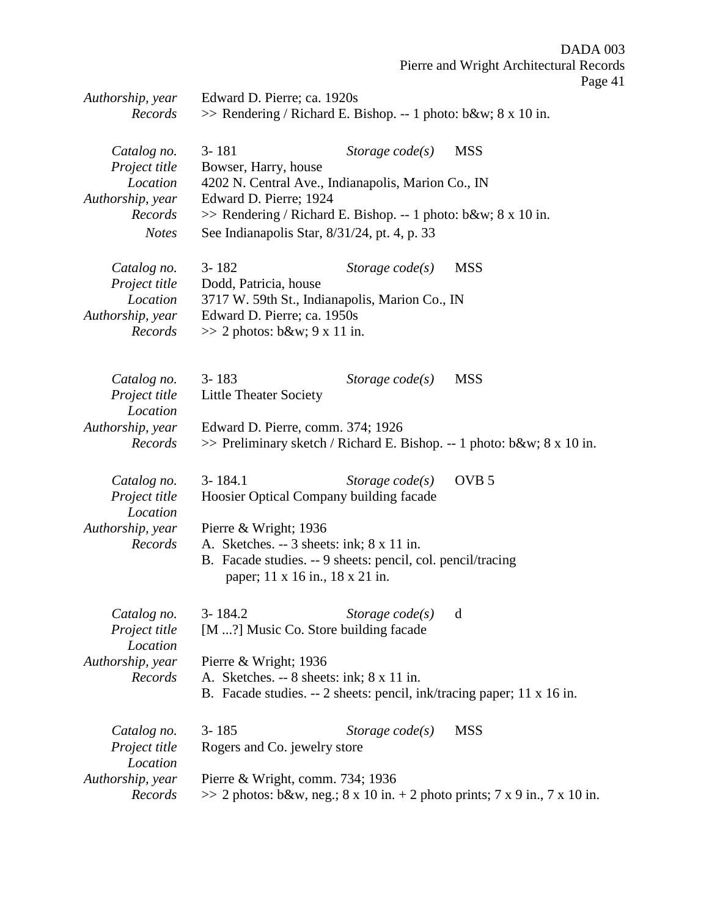| Authorship, year<br>Records              | Edward D. Pierre; ca. 1920s<br>$\gg$ Rendering / Richard E. Bishop. -- 1 photo: b&w 8 x 10 in.                                                        |                   |                                                                               |  |
|------------------------------------------|-------------------------------------------------------------------------------------------------------------------------------------------------------|-------------------|-------------------------------------------------------------------------------|--|
|                                          |                                                                                                                                                       |                   |                                                                               |  |
| Catalog no.<br>Project title             | $3 - 181$<br>Bowser, Harry, house                                                                                                                     | Storage $code(s)$ | <b>MSS</b>                                                                    |  |
| Location<br>Authorship, year             | 4202 N. Central Ave., Indianapolis, Marion Co., IN<br>Edward D. Pierre; 1924                                                                          |                   |                                                                               |  |
| Records<br><b>Notes</b>                  | $\gg$ Rendering / Richard E. Bishop. -- 1 photo: b&w 8 x 10 in.<br>See Indianapolis Star, 8/31/24, pt. 4, p. 33                                       |                   |                                                                               |  |
| Catalog no.<br>Project title             | $3 - 182$<br>Dodd, Patricia, house                                                                                                                    | Storage $code(s)$ | <b>MSS</b>                                                                    |  |
| Location<br>Authorship, year             | 3717 W. 59th St., Indianapolis, Marion Co., IN<br>Edward D. Pierre; ca. 1950s                                                                         |                   |                                                                               |  |
| Records                                  | $\gg$ 2 photos: b&w 9 x 11 in.                                                                                                                        |                   |                                                                               |  |
| Catalog no.<br>Project title<br>Location | $3 - 183$<br><b>Little Theater Society</b>                                                                                                            | Storage $code(s)$ | <b>MSS</b>                                                                    |  |
| Authorship, year<br>Records              | Edward D. Pierre, comm. 374; 1926                                                                                                                     |                   | >> Preliminary sketch / Richard E. Bishop. -- 1 photo: b&w 8 x 10 in.         |  |
| Catalog no.<br>Project title<br>Location | $3 - 184.1$<br>Hoosier Optical Company building facade                                                                                                | Storage $code(s)$ | OVB <sub>5</sub>                                                              |  |
| Authorship, year                         | Pierre & Wright; 1936                                                                                                                                 |                   |                                                                               |  |
| Records                                  | A. Sketches. $-3$ sheets: ink; $8 \times 11$ in.<br>B. Facade studies. -- 9 sheets: pencil, col. pencil/tracing<br>paper; 11 x 16 in., 18 x 21 in.    |                   |                                                                               |  |
| Catalog no.<br>Project title<br>Location | 3-184.2<br>[M ?] Music Co. Store building facade                                                                                                      | Storage $code(s)$ | d                                                                             |  |
| Authorship, year<br>Records              | Pierre & Wright; $1936$<br>A. Sketches. $-8$ sheets: ink; $8 \times 11$ in.<br>B. Facade studies. -- 2 sheets: pencil, ink/tracing paper; 11 x 16 in. |                   |                                                                               |  |
|                                          |                                                                                                                                                       |                   |                                                                               |  |
| Catalog no.<br>Project title             | $3 - 185$<br>Rogers and Co. jewelry store                                                                                                             | Storage $code(s)$ | <b>MSS</b>                                                                    |  |
| Location<br>Authorship, year<br>Records  | Pierre & Wright, comm. 734; 1936                                                                                                                      |                   | $\gg$ 2 photos: b&w, neg.; 8 x 10 in. + 2 photo prints; 7 x 9 in., 7 x 10 in. |  |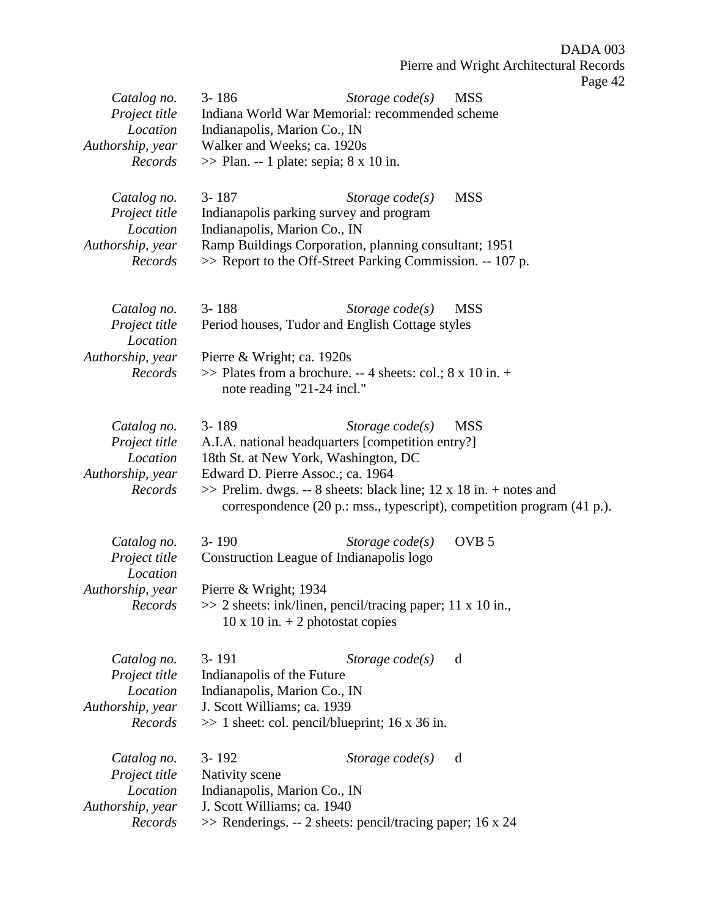| Catalog no.                  | $3 - 186$                                                                                                          | Storage $code(s)$ | $\mathbf{u}_{\mathcal{D}}$<br><b>MSS</b>                               |
|------------------------------|--------------------------------------------------------------------------------------------------------------------|-------------------|------------------------------------------------------------------------|
| Project title<br>Location    | Indiana World War Memorial: recommended scheme<br>Indianapolis, Marion Co., IN                                     |                   |                                                                        |
| Authorship, year             | Walker and Weeks; ca. 1920s                                                                                        |                   |                                                                        |
| Records                      | $\gg$ Plan. -- 1 plate: sepia; 8 x 10 in.                                                                          |                   |                                                                        |
| Catalog no.                  | $3 - 187$                                                                                                          | Storage $code(s)$ | <b>MSS</b>                                                             |
| Project title                | Indianapolis parking survey and program                                                                            |                   |                                                                        |
| Location                     | Indianapolis, Marion Co., IN                                                                                       |                   |                                                                        |
| Authorship, year<br>Records  | Ramp Buildings Corporation, planning consultant; 1951<br>>> Report to the Off-Street Parking Commission. -- 107 p. |                   |                                                                        |
|                              |                                                                                                                    |                   |                                                                        |
| Catalog no.                  | $3 - 188$                                                                                                          | Storage $code(s)$ | <b>MSS</b>                                                             |
| Project title<br>Location    | Period houses, Tudor and English Cottage styles                                                                    |                   |                                                                        |
| Authorship, year             | Pierre & Wright; ca. 1920s                                                                                         |                   |                                                                        |
| Records                      | $\gg$ Plates from a brochure. -- 4 sheets: col.; 8 x 10 in. +<br>note reading "21-24 incl."                        |                   |                                                                        |
| Catalog no.                  | $3 - 189$                                                                                                          | Storage $code(s)$ | <b>MSS</b>                                                             |
| Project title                | A.I.A. national headquarters [competition entry?]                                                                  |                   |                                                                        |
| Location<br>Authorship, year | 18th St. at New York, Washington, DC<br>Edward D. Pierre Assoc.; ca. 1964                                          |                   |                                                                        |
| Records                      | $\gg$ Prelim. dwgs. -- 8 sheets: black line; 12 x 18 in. + notes and                                               |                   |                                                                        |
|                              |                                                                                                                    |                   | correspondence (20 p.: mss., typescript), competition program (41 p.). |
| Catalog no.                  | $3 - 190$                                                                                                          | Storage $code(s)$ | OVB <sub>5</sub>                                                       |
| Project title<br>Location    | Construction League of Indianapolis logo                                                                           |                   |                                                                        |
| Authorship, year             | Pierre & Wright; 1934                                                                                              |                   |                                                                        |
| Records                      | >> 2 sheets: ink/linen, pencil/tracing paper; 11 x 10 in.,<br>$10 \times 10$ in. $+ 2$ photostat copies            |                   |                                                                        |
| Catalog no.                  | $3 - 191$                                                                                                          | Storage $code(s)$ | d                                                                      |
| Project title                | Indianapolis of the Future                                                                                         |                   |                                                                        |
| Location<br>Authorship, year | Indianapolis, Marion Co., IN<br>J. Scott Williams; ca. 1939                                                        |                   |                                                                        |
| Records                      | $\gg$ 1 sheet: col. pencil/blueprint; 16 x 36 in.                                                                  |                   |                                                                        |
| Catalog no.                  | $3 - 192$                                                                                                          | Storage $code(s)$ | d                                                                      |
| Project title                | Nativity scene                                                                                                     |                   |                                                                        |
| Location<br>Authorship, year | Indianapolis, Marion Co., IN<br>J. Scott Williams; ca. 1940                                                        |                   |                                                                        |
| Records                      | $\gg$ Renderings. -- 2 sheets: pencil/tracing paper; 16 x 24                                                       |                   |                                                                        |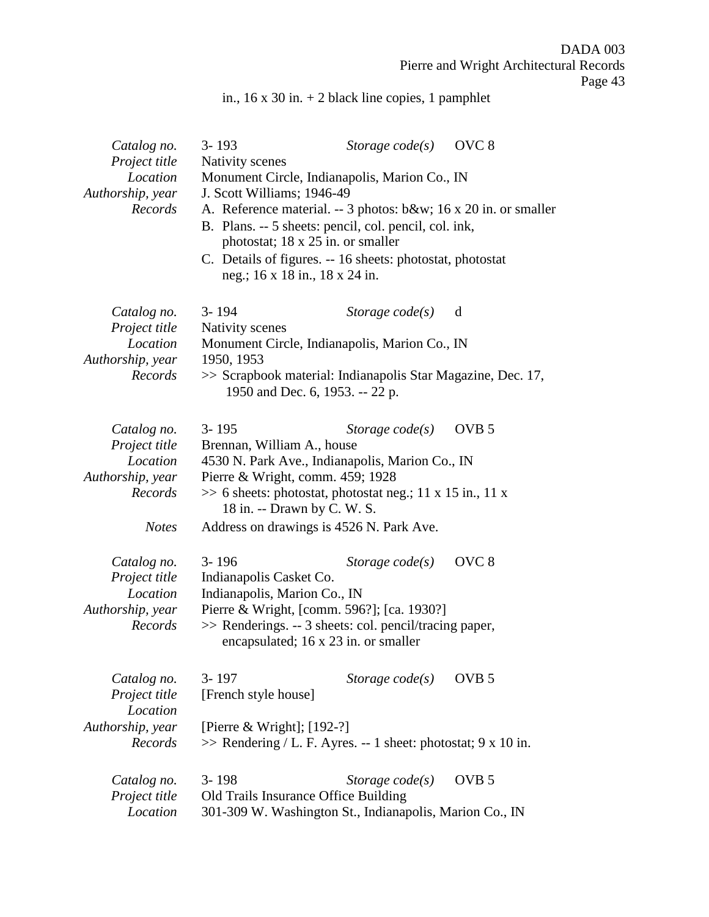in., 16 x 30 in. + 2 black line copies, 1 pamphlet

| Catalog no.<br>Project title             | $3 - 193$<br>Nativity scenes                                                                                                                                 | Storage $code(s)$ | OVC <sub>8</sub> |  |  |
|------------------------------------------|--------------------------------------------------------------------------------------------------------------------------------------------------------------|-------------------|------------------|--|--|
| Location<br>Authorship, year             | Monument Circle, Indianapolis, Marion Co., IN<br>J. Scott Williams; 1946-49                                                                                  |                   |                  |  |  |
| Records                                  | A. Reference material. -- 3 photos: b&w 16 x 20 in. or smaller<br>B. Plans. -- 5 sheets: pencil, col. pencil, col. ink,<br>photostat; 18 x 25 in. or smaller |                   |                  |  |  |
|                                          | C. Details of figures. -- 16 sheets: photostat, photostat<br>neg.; 16 x 18 in., 18 x 24 in.                                                                  |                   |                  |  |  |
| Catalog no.<br>Project title             | $3 - 194$<br>Nativity scenes                                                                                                                                 | Storage $code(s)$ | d                |  |  |
| Location<br>Authorship, year             | Monument Circle, Indianapolis, Marion Co., IN<br>1950, 1953                                                                                                  |                   |                  |  |  |
| Records                                  | >> Scrapbook material: Indianapolis Star Magazine, Dec. 17,<br>1950 and Dec. 6, 1953. -- 22 p.                                                               |                   |                  |  |  |
| Catalog no.<br>Project title             | $3 - 195$                                                                                                                                                    | Storage $code(s)$ | OVB <sub>5</sub> |  |  |
| Location<br>Authorship, year             | Brennan, William A., house<br>4530 N. Park Ave., Indianapolis, Marion Co., IN<br>Pierre & Wright, comm. 459; 1928                                            |                   |                  |  |  |
| Records                                  | $\gg$ 6 sheets: photostat, photostat neg.; 11 x 15 in., 11 x<br>18 in. -- Drawn by C. W. S.                                                                  |                   |                  |  |  |
| <b>Notes</b>                             | Address on drawings is 4526 N. Park Ave.                                                                                                                     |                   |                  |  |  |
| Catalog no.<br>Project title<br>Location | $3 - 196$<br>Indianapolis Casket Co.<br>Indianapolis, Marion Co., IN                                                                                         | Storage $code(s)$ | OVC <sub>8</sub> |  |  |
| Authorship, year<br>Records              | Pierre & Wright, [comm. 596?]; [ca. 1930?]<br>>> Renderings. -- 3 sheets: col. pencil/tracing paper,<br>encapsulated; 16 x 23 in. or smaller                 |                   |                  |  |  |
| Catalog no.<br>Project title<br>Location | $3 - 197$<br>[French style house]                                                                                                                            | Storage $code(s)$ | OVB <sub>5</sub> |  |  |
| Authorship, year<br>Records              | [Pierre & Wright]; $[192-?]$<br>$\gg$ Rendering / L. F. Ayres. -- 1 sheet: photostat; 9 x 10 in.                                                             |                   |                  |  |  |
| Catalog no.<br>Project title             | $3 - 198$<br>Old Trails Insurance Office Building                                                                                                            | Storage $code(s)$ | OVB <sub>5</sub> |  |  |
| Location                                 | 301-309 W. Washington St., Indianapolis, Marion Co., IN                                                                                                      |                   |                  |  |  |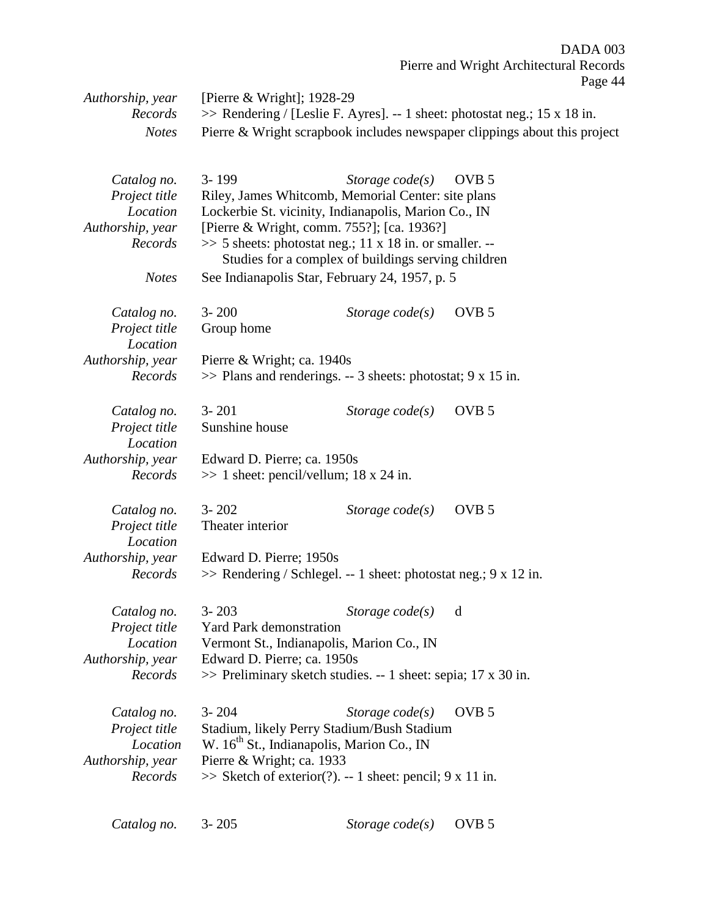| Authorship, year<br>Records<br><b>Notes</b>                                             | [Pierre $& Wright$ ]; 1928-29<br>$\gg$ Rendering / [Leslie F. Ayres]. -- 1 sheet: photostat neg.; 15 x 18 in.<br>Pierre & Wright scrapbook includes newspaper clippings about this project                                                                                                                                                   |                   |                  | . |
|-----------------------------------------------------------------------------------------|----------------------------------------------------------------------------------------------------------------------------------------------------------------------------------------------------------------------------------------------------------------------------------------------------------------------------------------------|-------------------|------------------|---|
|                                                                                         |                                                                                                                                                                                                                                                                                                                                              |                   |                  |   |
| Catalog no.<br>Project title<br>Location<br>Authorship, year<br>Records<br><b>Notes</b> | $3 - 199$<br>Riley, James Whitcomb, Memorial Center: site plans<br>Lockerbie St. vicinity, Indianapolis, Marion Co., IN<br>[Pierre & Wright, comm. 755?]; [ca. 1936?]<br>$\gg$ 5 sheets: photostat neg.; 11 x 18 in. or smaller. --<br>Studies for a complex of buildings serving children<br>See Indianapolis Star, February 24, 1957, p. 5 | Storage $code(s)$ | OVB <sub>5</sub> |   |
| Catalog no.<br>Project title                                                            | $3 - 200$<br>Group home                                                                                                                                                                                                                                                                                                                      | Storage $code(s)$ | OVB <sub>5</sub> |   |
| Location<br>Authorship, year<br>Records                                                 | Pierre & Wright; ca. 1940s<br>$\gg$ Plans and renderings. -- 3 sheets: photostat; 9 x 15 in.                                                                                                                                                                                                                                                 |                   |                  |   |
| Catalog no.<br>Project title<br>Location                                                | $3 - 201$<br>Sunshine house                                                                                                                                                                                                                                                                                                                  | Storage $code(s)$ | OVB <sub>5</sub> |   |
| Authorship, year<br>Records                                                             | Edward D. Pierre; ca. 1950s<br>$\gg$ 1 sheet: pencil/vellum; 18 x 24 in.                                                                                                                                                                                                                                                                     |                   |                  |   |
| Catalog no.<br>Project title<br>Location                                                | $3 - 202$<br>Theater interior                                                                                                                                                                                                                                                                                                                | Storage $code(s)$ | OVB <sub>5</sub> |   |
| Authorship, year<br>Records                                                             | Edward D. Pierre; 1950s<br>$\gg$ Rendering / Schlegel. -- 1 sheet: photostat neg.; 9 x 12 in.                                                                                                                                                                                                                                                |                   |                  |   |
| Catalog no.<br>Project title<br>Location<br>Authorship, year<br>Records                 | $3 - 203$<br><b>Yard Park demonstration</b><br>Vermont St., Indianapolis, Marion Co., IN<br>Edward D. Pierre; ca. 1950s<br>$\gg$ Preliminary sketch studies. -- 1 sheet: sepia; 17 x 30 in.                                                                                                                                                  | Storage $code(s)$ | d                |   |
| Catalog no.<br>Project title<br>Location<br>Authorship, year<br>Records                 | $3 - 204$<br>Stadium, likely Perry Stadium/Bush Stadium<br>W. 16 <sup>th</sup> St., Indianapolis, Marion Co., IN<br>Pierre & Wright; ca. 1933<br>$\gg$ Sketch of exterior(?). -- 1 sheet: pencil; 9 x 11 in.                                                                                                                                 | Storage $code(s)$ | OVB <sub>5</sub> |   |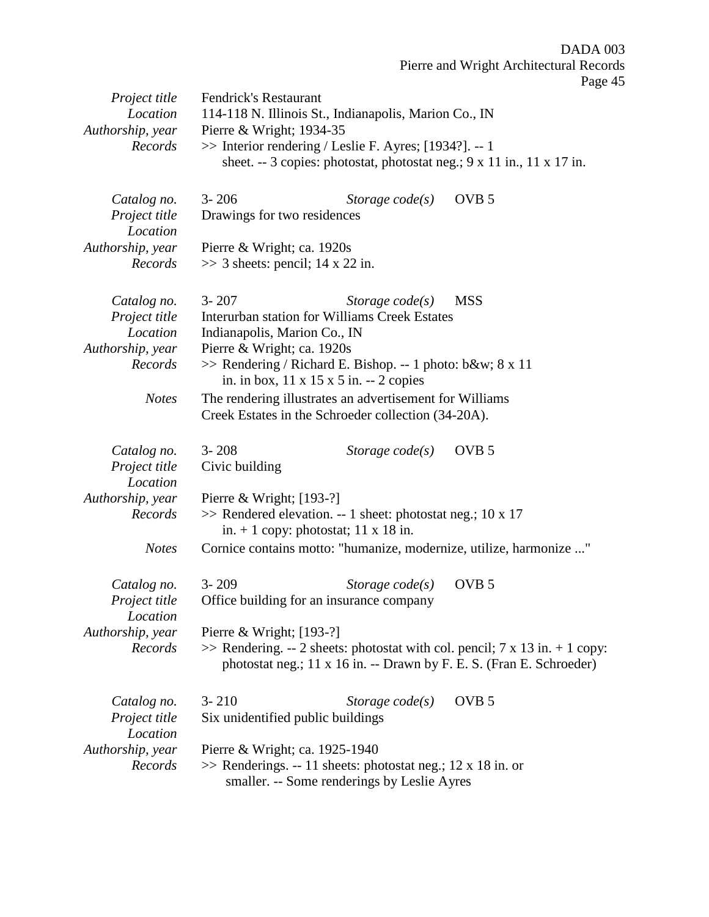| Project title<br>Location<br>Authorship, year<br>Records                | <b>Fendrick's Restaurant</b><br>114-118 N. Illinois St., Indianapolis, Marion Co., IN<br>Pierre & Wright; 1934-35<br>$\gg$ Interior rendering / Leslie F. Ayres; [1934?]. -- 1<br>sheet. $-3$ copies: photostat, photostat neg.; $9 \times 11$ in., $11 \times 17$ in. |  |
|-------------------------------------------------------------------------|------------------------------------------------------------------------------------------------------------------------------------------------------------------------------------------------------------------------------------------------------------------------|--|
| Catalog no.<br>Project title<br>Location                                | OVB <sub>5</sub><br>$3 - 206$<br>Storage code(s)<br>Drawings for two residences                                                                                                                                                                                        |  |
| Authorship, year<br>Records                                             | Pierre & Wright; ca. 1920s<br>$\gg$ 3 sheets: pencil; 14 x 22 in.                                                                                                                                                                                                      |  |
| Catalog no.<br>Project title<br>Location<br>Authorship, year<br>Records | $3 - 207$<br><b>MSS</b><br>Storage $code(s)$<br>Interurban station for Williams Creek Estates<br>Indianapolis, Marion Co., IN<br>Pierre & Wright; ca. 1920s<br>>> Rendering / Richard E. Bishop. -- 1 photo: b&w 8 x 11                                                |  |
| <b>Notes</b>                                                            | in. in box, 11 x 15 x 5 in. -- 2 copies<br>The rendering illustrates an advertisement for Williams<br>Creek Estates in the Schroeder collection (34-20A).                                                                                                              |  |
| Catalog no.<br>Project title<br>Location                                | $3 - 208$<br>OVB <sub>5</sub><br>Storage $code(s)$<br>Civic building                                                                                                                                                                                                   |  |
| Authorship, year<br>Records                                             | Pierre & Wright; $[193-?]$<br>>> Rendered elevation. -- 1 sheet: photostat neg.; 10 x 17<br>in. $+ 1$ copy: photostat; 11 x 18 in.                                                                                                                                     |  |
| <b>Notes</b>                                                            | Cornice contains motto: "humanize, modernize, utilize, harmonize "                                                                                                                                                                                                     |  |
| Catalog no.<br>Project title<br>Location                                | $3 - 209$<br>Storage $code(s)$<br>OVB <sub>5</sub><br>Office building for an insurance company                                                                                                                                                                         |  |
| Authorship, year<br>Records                                             | Pierre & Wright; $[193-?]$<br>$\gg$ Rendering. -- 2 sheets: photostat with col. pencil; 7 x 13 in. + 1 copy:<br>photostat neg.; 11 x 16 in. -- Drawn by F. E. S. (Fran E. Schroeder)                                                                                   |  |
| Catalog no.<br>Project title<br>Location                                | OVB <sub>5</sub><br>$3 - 210$<br>Storage $code(s)$<br>Six unidentified public buildings                                                                                                                                                                                |  |
| Authorship, year<br>Records                                             | Pierre & Wright; ca. 1925-1940<br>$\gg$ Renderings. -- 11 sheets: photostat neg.; 12 x 18 in. or<br>smaller. -- Some renderings by Leslie Ayres                                                                                                                        |  |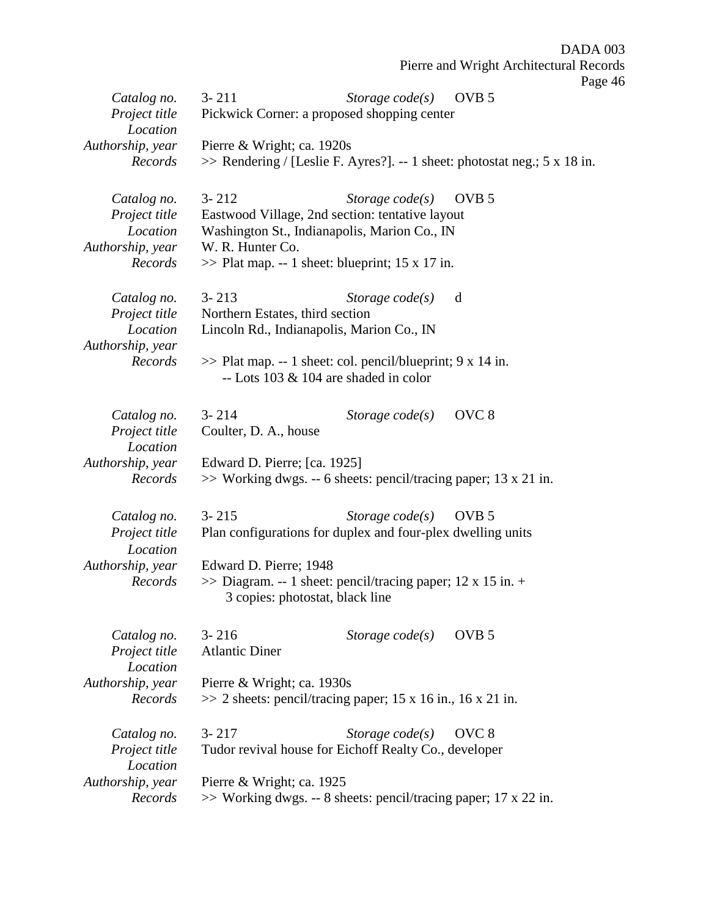|                           |                                 |                                                                                                           | DADA 003                                                                  |  |
|---------------------------|---------------------------------|-----------------------------------------------------------------------------------------------------------|---------------------------------------------------------------------------|--|
|                           |                                 |                                                                                                           | Pierre and Wright Architectural Records                                   |  |
|                           |                                 |                                                                                                           | Page 46                                                                   |  |
| Catalog no.               | $3 - 211$                       | Storage $code(s)$                                                                                         | OVB <sub>5</sub>                                                          |  |
| Project title<br>Location |                                 | Pickwick Corner: a proposed shopping center                                                               |                                                                           |  |
| Authorship, year          | Pierre & Wright; ca. 1920s      |                                                                                                           |                                                                           |  |
| Records                   |                                 |                                                                                                           | >> Rendering / [Leslie F. Ayres?]. -- 1 sheet: photostat neg.; 5 x 18 in. |  |
| Catalog no.               | $3 - 212$                       | Storage $code(s)$                                                                                         | OVB <sub>5</sub>                                                          |  |
| Project title             |                                 | Eastwood Village, 2nd section: tentative layout                                                           |                                                                           |  |
| Location                  |                                 | Washington St., Indianapolis, Marion Co., IN                                                              |                                                                           |  |
| Authorship, year          | W. R. Hunter Co.                |                                                                                                           |                                                                           |  |
| Records                   |                                 | $\gg$ Plat map. -- 1 sheet: blueprint; 15 x 17 in.                                                        |                                                                           |  |
| Catalog no.               | $3 - 213$                       | Storage $code(s)$                                                                                         | d                                                                         |  |
| Project title             | Northern Estates, third section |                                                                                                           |                                                                           |  |
| Location                  |                                 | Lincoln Rd., Indianapolis, Marion Co., IN                                                                 |                                                                           |  |
| Authorship, year          |                                 |                                                                                                           |                                                                           |  |
| Records                   |                                 | $\gg$ Plat map. -- 1 sheet: col. pencil/blueprint; 9 x 14 in.<br>-- Lots $103 \& 104$ are shaded in color |                                                                           |  |
| Catalog no.               | $3 - 214$                       | Storage $code(s)$                                                                                         | OVC <sub>8</sub>                                                          |  |
| Project title             | Coulter, D. A., house           |                                                                                                           |                                                                           |  |
| Location                  |                                 |                                                                                                           |                                                                           |  |
| Authorship, year          | Edward D. Pierre; [ca. 1925]    |                                                                                                           |                                                                           |  |
| Records                   |                                 | $\gg$ Working dwgs. -- 6 sheets: pencil/tracing paper; 13 x 21 in.                                        |                                                                           |  |
| Catalog no.               | $3 - 215$                       | Storage $code(s)$                                                                                         | OVB <sub>5</sub>                                                          |  |
| Project title             |                                 | Plan configurations for duplex and four-plex dwelling units                                               |                                                                           |  |
| Location                  |                                 |                                                                                                           |                                                                           |  |
| Authorship, year          | Edward D. Pierre; 1948          |                                                                                                           |                                                                           |  |
| Records                   |                                 | $\gg$ Diagram. -- 1 sheet: pencil/tracing paper; 12 x 15 in. +<br>3 copies: photostat, black line         |                                                                           |  |
| Catalog no.               | $3 - 216$                       | Storage $code(s)$                                                                                         | OVB <sub>5</sub>                                                          |  |
| Project title             | <b>Atlantic Diner</b>           |                                                                                                           |                                                                           |  |
| Location                  |                                 |                                                                                                           |                                                                           |  |
| Authorship, year          | Pierre & Wright; ca. 1930s      |                                                                                                           |                                                                           |  |
| Records                   |                                 | $\gg$ 2 sheets: pencil/tracing paper; 15 x 16 in., 16 x 21 in.                                            |                                                                           |  |
| Catalog no.               | $3 - 217$                       | Storage $code(s)$                                                                                         | OVC <sub>8</sub>                                                          |  |
| Project title             |                                 | Tudor revival house for Eichoff Realty Co., developer                                                     |                                                                           |  |
| Location                  |                                 |                                                                                                           |                                                                           |  |
| Authorship, year          | Pierre & Wright; ca. 1925       |                                                                                                           |                                                                           |  |
| Records                   |                                 | $\gg$ Working dwgs. -- 8 sheets: pencil/tracing paper; 17 x 22 in.                                        |                                                                           |  |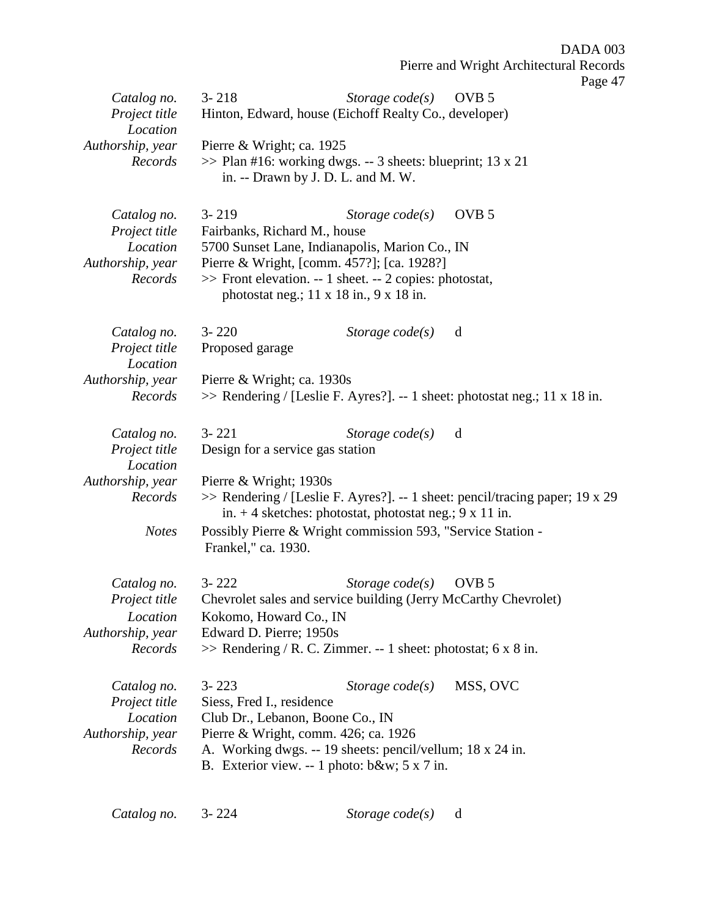Pierre and Wright Architectural Records Page 47 *Catalog no.* 3- 218 *Storage code(s)* OVB 5 *Project title* Hinton, Edward, house (Eichoff Realty Co., developer) *Location Authorship, year* Pierre & Wright; ca. 1925 *Records* >> Plan #16: working dwgs. -- 3 sheets: blueprint; 13 x 21 in. -- Drawn by J. D. L. and M. W. *Catalog no.* 3- 219 *Storage code(s)* OVB 5 *Project title* Fairbanks, Richard M., house *Location* 5700 Sunset Lane, Indianapolis, Marion Co., IN *Authorship, year* Pierre & Wright, [comm. 457?]; [ca. 1928?] *Records* >> Front elevation. -- 1 sheet. -- 2 copies: photostat, photostat neg.; 11 x 18 in., 9 x 18 in. *Catalog no.* 3- 220 *Storage code(s)* d *Project title* Proposed garage *Location Authorship, year* Pierre & Wright; ca. 1930s *Records* >> Rendering / [Leslie F. Ayres?]. -- 1 sheet: photostat neg.; 11 x 18 in. *Catalog no.* 3- 221 *Storage code(s)* d *Project title* Design for a service gas station *Location Authorship, year* Pierre & Wright; 1930s *Records* >> Rendering / [Leslie F. Ayres?]. -- 1 sheet: pencil/tracing paper; 19 x 29 in.  $+4$  sketches: photostat, photostat neg.;  $9 \times 11$  in. *Notes* Possibly Pierre & Wright commission 593, "Service Station - Frankel," ca. 1930. *Catalog no.* 3- 222 *Storage code(s)* OVB 5 *Project title* Chevrolet sales and service building (Jerry McCarthy Chevrolet) *Location* Kokomo, Howard Co., IN *Authorship, year* Edward D. Pierre; 1950s *Records* >> Rendering / R. C. Zimmer. -- 1 sheet: photostat; 6 x 8 in. *Catalog no.* 3- 223 *Storage code(s)* MSS, OVC *Project title* Siess, Fred I., residence *Location* Club Dr., Lebanon, Boone Co., IN *Authorship, year* Pierre & Wright, comm. 426; ca. 1926 *Records* A. Working dwgs. -- 19 sheets: pencil/vellum; 18 x 24 in. B. Exterior view. -- 1 photo: b&w; 5 x 7 in.

DADA 003

*Catalog no.* 3- 224 *Storage code(s)* d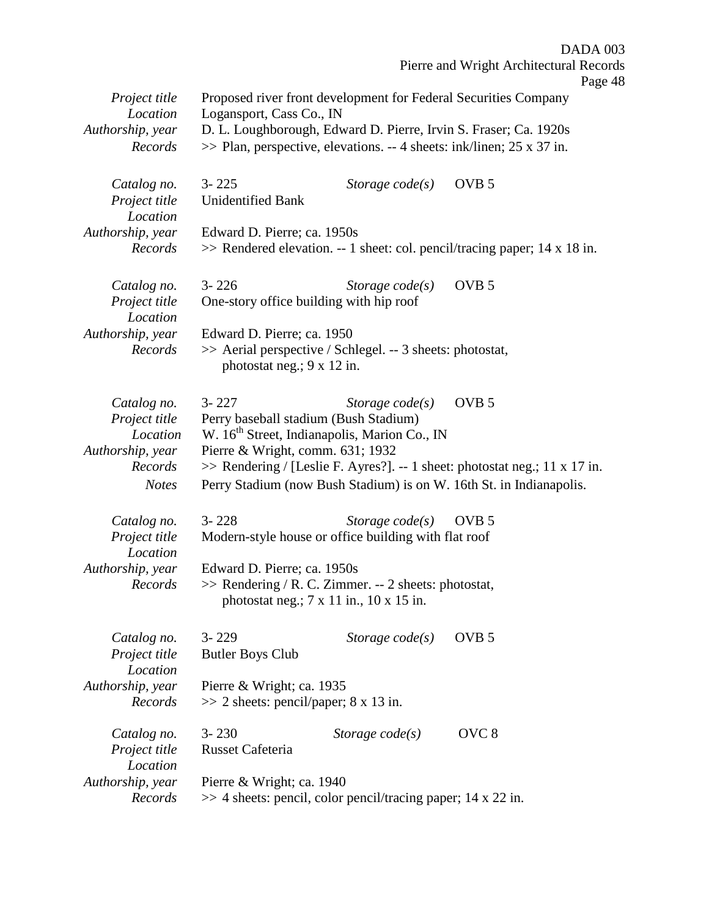|                                                              |                                                                                                                                                                         |                   | DADA 003                                                                                                                                          |
|--------------------------------------------------------------|-------------------------------------------------------------------------------------------------------------------------------------------------------------------------|-------------------|---------------------------------------------------------------------------------------------------------------------------------------------------|
|                                                              |                                                                                                                                                                         |                   | Pierre and Wright Architectural Records<br>Page 48                                                                                                |
| Project title<br>Location<br>Authorship, year<br>Records     | Proposed river front development for Federal Securities Company<br>Logansport, Cass Co., IN<br>$\gg$ Plan, perspective, elevations. -- 4 sheets: ink/linen; 25 x 37 in. |                   | D. L. Loughborough, Edward D. Pierre, Irvin S. Fraser; Ca. 1920s                                                                                  |
|                                                              |                                                                                                                                                                         |                   |                                                                                                                                                   |
| Catalog no.<br>Project title<br>Location                     | $3 - 225$<br><b>Unidentified Bank</b>                                                                                                                                   | Storage $code(s)$ | OVB <sub>5</sub>                                                                                                                                  |
| Authorship, year<br>Records                                  | Edward D. Pierre; ca. 1950s                                                                                                                                             |                   | $\gg$ Rendered elevation. -- 1 sheet: col. pencil/tracing paper; 14 x 18 in.                                                                      |
| Catalog no.<br>Project title<br>Location                     | $3 - 226$<br>One-story office building with hip roof                                                                                                                    | Storage $code(s)$ | OVB <sub>5</sub>                                                                                                                                  |
| Authorship, year<br>Records                                  | Edward D. Pierre; ca. 1950<br>>> Aerial perspective / Schlegel. -- 3 sheets: photostat,<br>photostat neg.; 9 x 12 in.                                                   |                   |                                                                                                                                                   |
| Catalog no.<br>Project title<br>Location<br>Authorship, year | $3 - 227$<br>Perry baseball stadium (Bush Stadium)<br>W. 16 <sup>th</sup> Street, Indianapolis, Marion Co., IN<br>Pierre & Wright, comm. 631; 1932                      | Storage $code(s)$ | OVB <sub>5</sub>                                                                                                                                  |
| Records<br><b>Notes</b>                                      |                                                                                                                                                                         |                   | >> Rendering / [Leslie F. Ayres?]. -- 1 sheet: photostat neg.; 11 x 17 in.<br>Perry Stadium (now Bush Stadium) is on W. 16th St. in Indianapolis. |
| Catalog no.<br>Project title<br>Location                     | $3 - 228$<br>Modern-style house or office building with flat roof                                                                                                       | Storage $code(s)$ | OVB <sub>5</sub>                                                                                                                                  |
| Authorship, year                                             | Edward D. Pierre; ca. 1950s                                                                                                                                             |                   |                                                                                                                                                   |
| Records                                                      | >> Rendering / R. C. Zimmer. -- 2 sheets: photostat,<br>photostat neg.; $7 \times 11$ in., $10 \times 15$ in.                                                           |                   |                                                                                                                                                   |
| Catalog no.<br>Project title<br>Location                     | $3 - 229$<br><b>Butler Boys Club</b>                                                                                                                                    | Storage $code(s)$ | OVB <sub>5</sub>                                                                                                                                  |
| Authorship, year<br>Records                                  | Pierre & Wright; ca. 1935<br>$\gg$ 2 sheets: pencil/paper; 8 x 13 in.                                                                                                   |                   |                                                                                                                                                   |
| Catalog no.<br>Project title<br>Location                     | $3 - 230$<br>Russet Cafeteria                                                                                                                                           | Storage $code(s)$ | OVC <sub>8</sub>                                                                                                                                  |
| Authorship, year<br>Records                                  | Pierre & Wright; ca. 1940<br>$\gg$ 4 sheets: pencil, color pencil/tracing paper; 14 x 22 in.                                                                            |                   |                                                                                                                                                   |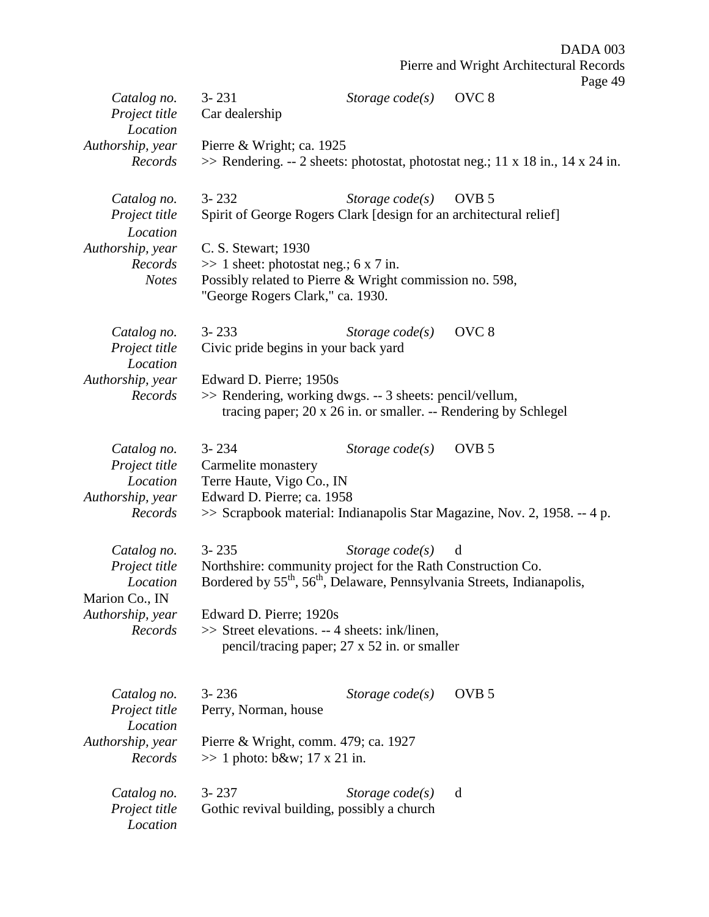|                                                              |                                                                                             |                                                                                                                                                                                     | Pierre and Wright Architectural Records | Page 49 |
|--------------------------------------------------------------|---------------------------------------------------------------------------------------------|-------------------------------------------------------------------------------------------------------------------------------------------------------------------------------------|-----------------------------------------|---------|
| Catalog no.<br>Project title<br>Location                     | $3 - 231$<br>Car dealership                                                                 | Storage $code(s)$                                                                                                                                                                   | OVC <sub>8</sub>                        |         |
| Authorship, year<br>Records                                  | Pierre & Wright; ca. 1925                                                                   | $\gg$ Rendering. -- 2 sheets: photostat, photostat neg.; 11 x 18 in., 14 x 24 in.                                                                                                   |                                         |         |
| Catalog no.<br>Project title<br>Location<br>Authorship, year | $3 - 232$<br>C. S. Stewart; 1930                                                            | Storage $code(s)$<br>Spirit of George Rogers Clark [design for an architectural relief]                                                                                             | OVB <sub>5</sub>                        |         |
| Records<br><b>Notes</b>                                      | $\gg$ 1 sheet: photostat neg.; 6 x 7 in.<br>"George Rogers Clark," ca. 1930.                | Possibly related to Pierre & Wright commission no. 598,                                                                                                                             |                                         |         |
| Catalog no.<br>Project title<br>Location                     | $3 - 233$<br>Civic pride begins in your back yard                                           | Storage $code(s)$                                                                                                                                                                   | OVC <sub>8</sub>                        |         |
| Authorship, year<br>Records                                  | Edward D. Pierre; 1950s                                                                     | >> Rendering, working dwgs. -- 3 sheets: pencil/vellum,<br>tracing paper; 20 x 26 in. or smaller. -- Rendering by Schlegel                                                          |                                         |         |
| Catalog no.<br>Project title<br>Location<br>Authorship, year | $3 - 234$<br>Carmelite monastery<br>Terre Haute, Vigo Co., IN<br>Edward D. Pierre; ca. 1958 | Storage $code(s)$                                                                                                                                                                   | OVB <sub>5</sub>                        |         |
| Records                                                      |                                                                                             | >> Scrapbook material: Indianapolis Star Magazine, Nov. 2, 1958. -- 4 p.                                                                                                            |                                         |         |
| Catalog no.<br>Project title<br>Location<br>Marion Co., IN   | $3 - 235$                                                                                   | Storage $code(s)$<br>Northshire: community project for the Rath Construction Co.<br>Bordered by 55 <sup>th</sup> , 56 <sup>th</sup> , Delaware, Pennsylvania Streets, Indianapolis, | d                                       |         |
| Authorship, year<br>Records                                  | Edward D. Pierre; 1920s                                                                     | >> Street elevations. -- 4 sheets: ink/linen,<br>pencil/tracing paper; 27 x 52 in. or smaller                                                                                       |                                         |         |
| Catalog no.<br>Project title<br>Location                     | $3 - 236$<br>Perry, Norman, house                                                           | Storage $code(s)$                                                                                                                                                                   | OVB <sub>5</sub>                        |         |
| Authorship, year<br>Records                                  | Pierre & Wright, comm. 479; ca. 1927<br>$\gg$ 1 photo: b&w 17 x 21 in.                      |                                                                                                                                                                                     |                                         |         |
| Catalog no.<br>Project title<br>Location                     | $3 - 237$                                                                                   | Storage $code(s)$<br>Gothic revival building, possibly a church                                                                                                                     | d                                       |         |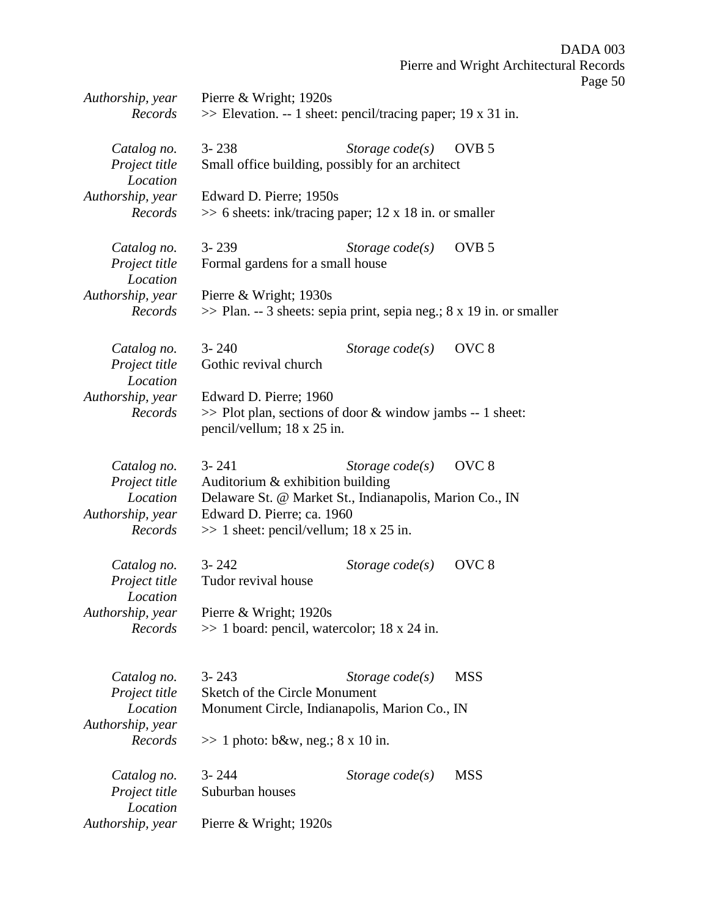| Authorship, year<br>Records                                             | Pierre & Wright; 1920s<br>$\gg$ Elevation. -- 1 sheet: pencil/tracing paper; 19 x 31 in.                                                                                            |                   |                  |
|-------------------------------------------------------------------------|-------------------------------------------------------------------------------------------------------------------------------------------------------------------------------------|-------------------|------------------|
| Catalog no.<br>Project title<br>Location                                | $3 - 238$<br>Small office building, possibly for an architect                                                                                                                       | Storage $code(s)$ | OVB <sub>5</sub> |
| Authorship, year<br>Records                                             | Edward D. Pierre; 1950s<br>$\gg$ 6 sheets: ink/tracing paper; 12 x 18 in. or smaller                                                                                                |                   |                  |
| Catalog no.<br>Project title<br>Location                                | $3 - 239$<br>Formal gardens for a small house                                                                                                                                       | Storage $code(s)$ | OVB <sub>5</sub> |
| Authorship, year<br>Records                                             | Pierre & Wright; 1930s<br>$\gg$ Plan. -- 3 sheets: sepia print, sepia neg.; 8 x 19 in. or smaller                                                                                   |                   |                  |
| Catalog no.<br>Project title<br>Location                                | $3 - 240$<br>Gothic revival church                                                                                                                                                  | Storage $code(s)$ | OVC <sub>8</sub> |
| Authorship, year<br>Records                                             | Edward D. Pierre; 1960<br>$\gg$ Plot plan, sections of door & window jambs -- 1 sheet:<br>pencil/vellum; 18 x 25 in.                                                                |                   |                  |
| Catalog no.<br>Project title<br>Location<br>Authorship, year<br>Records | $3 - 241$<br>Auditorium & exhibition building<br>Delaware St. @ Market St., Indianapolis, Marion Co., IN<br>Edward D. Pierre; ca. 1960<br>$\gg$ 1 sheet: pencil/vellum; 18 x 25 in. | Storage $code(s)$ | OVC <sub>8</sub> |
| Catalog no.<br>Project title<br>Location<br>Authorship, year            | $3 - 242$<br>Tudor revival house<br>Pierre & Wright; 1920s                                                                                                                          | Storage $code(s)$ | OVC <sub>8</sub> |
| Records                                                                 | $\gg$ 1 board: pencil, watercolor; 18 x 24 in.                                                                                                                                      |                   |                  |
| Catalog no.<br>Project title                                            | $3 - 243$<br>Sketch of the Circle Monument                                                                                                                                          | Storage $code(s)$ | <b>MSS</b>       |
| Location<br>Authorship, year<br>Records                                 | Monument Circle, Indianapolis, Marion Co., IN<br>$\gg$ 1 photo: b&w, neg.; 8 x 10 in.                                                                                               |                   |                  |
| Catalog no.<br>Project title<br>Location                                | $3 - 244$<br>Suburban houses                                                                                                                                                        | Storage $code(s)$ | <b>MSS</b>       |
| Authorship, year                                                        | Pierre & Wright; 1920s                                                                                                                                                              |                   |                  |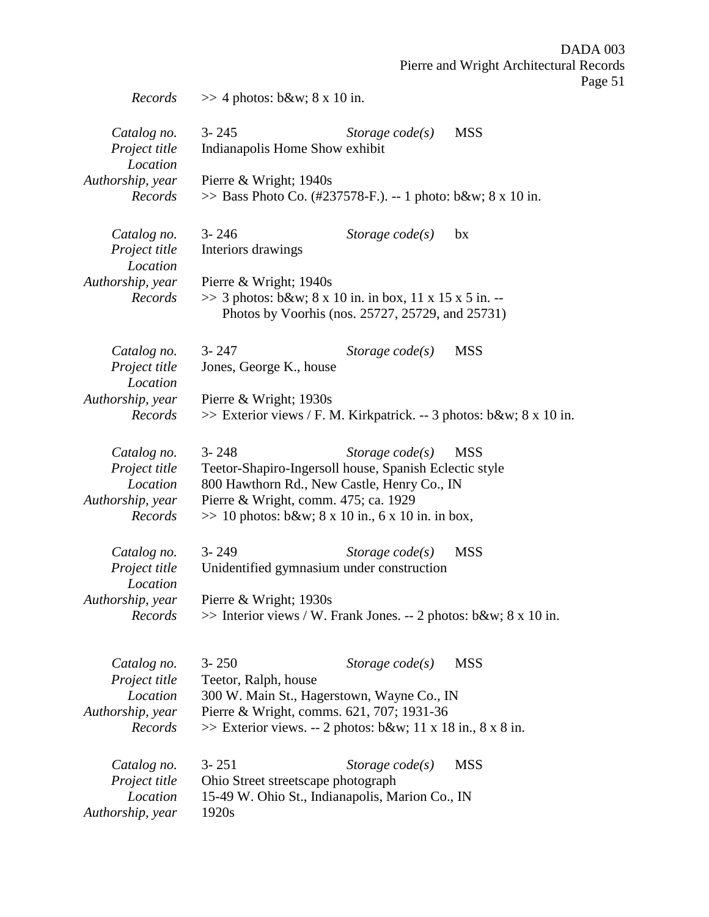| Records                                                                 | $\gg$ 4 photos: b&w 8 x 10 in.                                                                                                                                                                                    |                   |            |
|-------------------------------------------------------------------------|-------------------------------------------------------------------------------------------------------------------------------------------------------------------------------------------------------------------|-------------------|------------|
| Catalog no.<br>Project title<br>Location<br>Authorship, year<br>Records | $3 - 245$<br>Indianapolis Home Show exhibit<br>Pierre & Wright; 1940s<br>$\gg$ Bass Photo Co. (#237578-F.). -- 1 photo: b&w 8 x 10 in.                                                                            | Storage $code(s)$ | <b>MSS</b> |
| Catalog no.<br>Project title<br>Location<br>Authorship, year<br>Records | $3 - 246$<br>Interiors drawings<br>Pierre & Wright; 1940s<br>>> 3 photos: b&w 8 x 10 in. in box, 11 x 15 x 5 in. --                                                                                               | Storage $code(s)$ | bx         |
|                                                                         | Photos by Voorhis (nos. 25727, 25729, and 25731)                                                                                                                                                                  |                   |            |
| Catalog no.<br>Project title<br>Location                                | $3 - 247$<br>Jones, George K., house                                                                                                                                                                              | Storage $code(s)$ | <b>MSS</b> |
| Authorship, year<br>Records                                             | Pierre & Wright; 1930s<br>$\gg$ Exterior views / F. M. Kirkpatrick. -- 3 photos: b&w 8 x 10 in.                                                                                                                   |                   |            |
| Catalog no.<br>Project title<br>Location<br>Authorship, year<br>Records | $3 - 248$<br>Teetor-Shapiro-Ingersoll house, Spanish Eclectic style<br>800 Hawthorn Rd., New Castle, Henry Co., IN<br>Pierre & Wright, comm. 475; ca. 1929<br>$\gg 10$ photos: b&w 8 x 10 in., 6 x 10 in. in box, | Storage $code(s)$ | <b>MSS</b> |
| Catalog no.<br>Project title<br>Location                                | $3 - 249$<br>Unidentified gymnasium under construction                                                                                                                                                            | Storage $code(s)$ | <b>MSS</b> |
| Authorship, year<br>Records                                             | Pierre & Wright; $1930s$<br>$\gg$ Interior views / W. Frank Jones. -- 2 photos: b&w 8 x 10 in.                                                                                                                    |                   |            |
| Catalog no.<br>Project title<br>Location<br>Authorship, year<br>Records | $3 - 250$<br>Teetor, Ralph, house<br>300 W. Main St., Hagerstown, Wayne Co., IN<br>Pierre & Wright, comms. 621, 707; 1931-36<br>$\gg$ Exterior views. -- 2 photos: b&w 11 x 18 in., 8 x 8 in.                     | Storage $code(s)$ | <b>MSS</b> |
| Catalog no.<br>Project title<br>Location<br>Authorship, year            | $3 - 251$<br>Ohio Street streetscape photograph<br>15-49 W. Ohio St., Indianapolis, Marion Co., IN<br>1920s                                                                                                       | Storage $code(s)$ | <b>MSS</b> |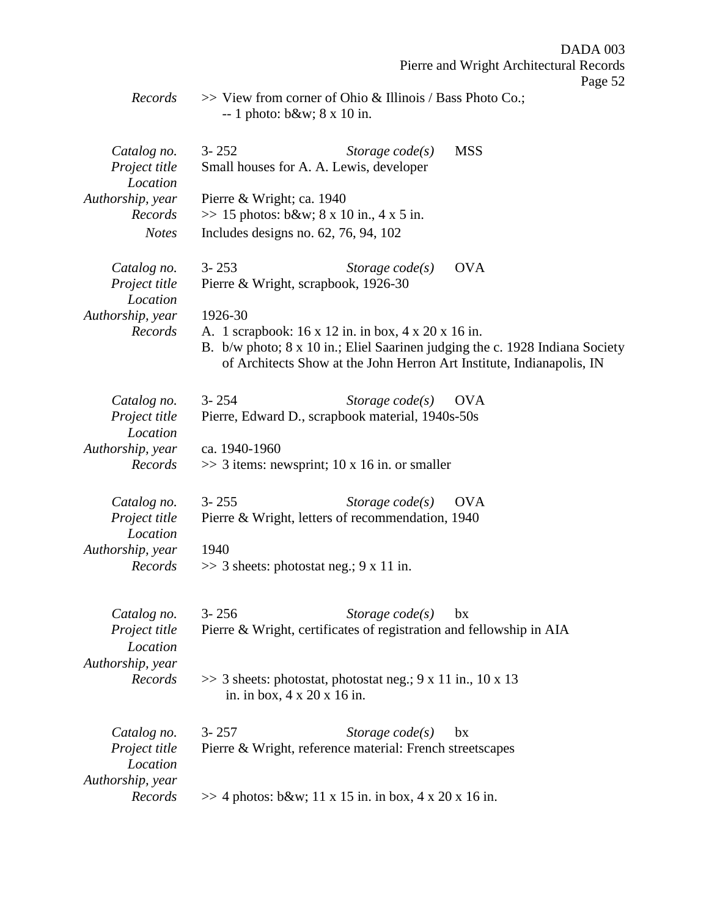*Records* >> View from corner of Ohio & Illinois / Bass Photo Co.; -- 1 photo: b&w; 8 x 10 in.

| Catalog no.<br>Project title<br>Location<br>Authorship, year<br>Records<br><b>Notes</b> | $3 - 252$<br>Storage $code(s)$<br><b>MSS</b><br>Small houses for A. A. Lewis, developer<br>Pierre & Wright; ca. 1940<br>$\gg$ 15 photos: b&w 8 x 10 in., 4 x 5 in.<br>Includes designs no. 62, 76, 94, 102                                                                                                     |
|-----------------------------------------------------------------------------------------|----------------------------------------------------------------------------------------------------------------------------------------------------------------------------------------------------------------------------------------------------------------------------------------------------------------|
| Catalog no.<br>Project title<br>Location<br>Authorship, year<br>Records                 | $3 - 253$<br><b>OVA</b><br>Storage $code(s)$<br>Pierre & Wright, scrapbook, 1926-30<br>1926-30<br>A. 1 scrapbook: 16 x 12 in. in box, 4 x 20 x 16 in.<br>B. b/w photo; 8 x 10 in.; Eliel Saarinen judging the c. 1928 Indiana Society<br>of Architects Show at the John Herron Art Institute, Indianapolis, IN |
| Catalog no.<br>Project title<br>Location<br>Authorship, year<br>Records                 | $3 - 254$<br>Storage $code(s)$<br><b>OVA</b><br>Pierre, Edward D., scrapbook material, 1940s-50s<br>ca. 1940-1960<br>$\gg$ 3 items: newsprint; 10 x 16 in. or smaller                                                                                                                                          |
| Catalog no.<br>Project title<br>Location<br>Authorship, year<br>Records                 | $3 - 255$<br>Storage $code(s)$<br><b>OVA</b><br>Pierre & Wright, letters of recommendation, 1940<br>1940<br>$\gg$ 3 sheets: photostat neg.; 9 x 11 in.                                                                                                                                                         |
| Catalog no.<br>Project title<br>Location<br>Authorship, year<br>Records                 | $3 - 256$<br>Storage $code(s)$<br>bx<br>Pierre & Wright, certificates of registration and fellowship in AIA<br>$\gg$ 3 sheets: photostat, photostat neg.; 9 x 11 in., 10 x 13<br>in. in box, 4 x 20 x 16 in.                                                                                                   |
| Catalog no.<br>Project title<br>Location<br>Authorship, year<br>Records                 | $3 - 257$<br>Storage $code(s)$<br>bx<br>Pierre & Wright, reference material: French streetscapes<br>$\gg$ 4 photos: b&w 11 x 15 in. in box, 4 x 20 x 16 in.                                                                                                                                                    |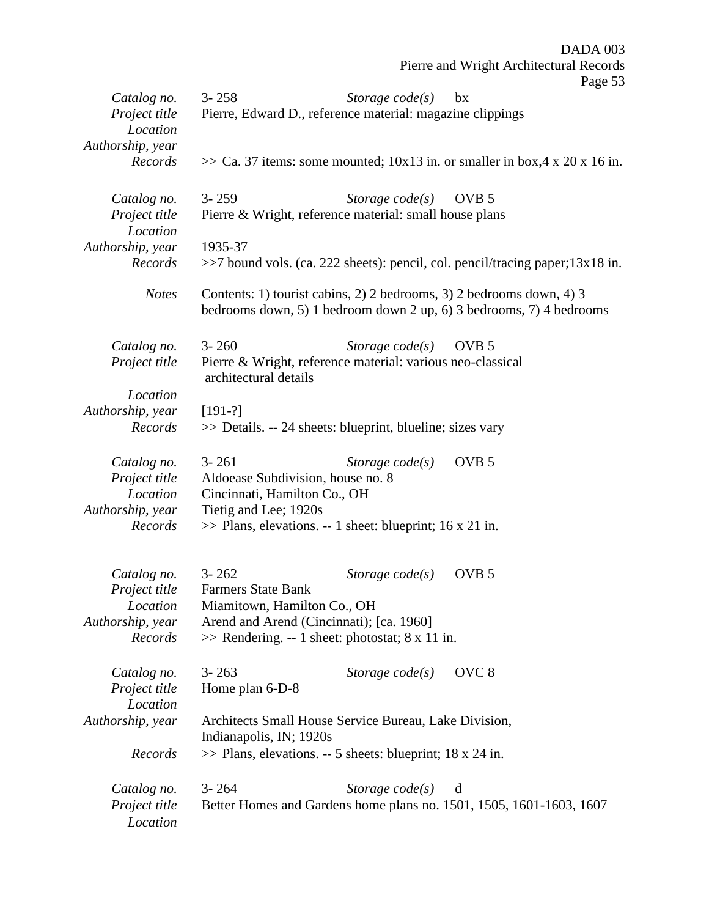|                  |                                          |                                                              | Pierre and Wright Architectural Records<br>Page 53                                                                                          |  |
|------------------|------------------------------------------|--------------------------------------------------------------|---------------------------------------------------------------------------------------------------------------------------------------------|--|
| Catalog no.      | $3 - 258$                                | Storage $code(s)$                                            | bx                                                                                                                                          |  |
| Project title    |                                          | Pierre, Edward D., reference material: magazine clippings    |                                                                                                                                             |  |
| Location         |                                          |                                                              |                                                                                                                                             |  |
| Authorship, year |                                          |                                                              |                                                                                                                                             |  |
| Records          |                                          |                                                              | $\gg$ Ca. 37 items: some mounted; 10x13 in. or smaller in box, 4 x 20 x 16 in.                                                              |  |
| Catalog no.      | $3 - 259$                                | Storage $code(s)$                                            | OVB <sub>5</sub>                                                                                                                            |  |
| Project title    |                                          | Pierre & Wright, reference material: small house plans       |                                                                                                                                             |  |
| Location         |                                          |                                                              |                                                                                                                                             |  |
| Authorship, year | 1935-37                                  |                                                              |                                                                                                                                             |  |
| Records          |                                          |                                                              | $\gg$ 7 bound vols. (ca. 222 sheets): pencil, col. pencil/tracing paper; 13x18 in.                                                          |  |
| <b>Notes</b>     |                                          |                                                              | Contents: 1) tourist cabins, 2) 2 bedrooms, 3) 2 bedrooms down, 4) 3<br>bedrooms down, 5) 1 bedroom down 2 up, 6) 3 bedrooms, 7) 4 bedrooms |  |
| Catalog no.      | $3 - 260$                                | Storage $code(s)$                                            | OVB <sub>5</sub>                                                                                                                            |  |
| Project title    | architectural details                    | Pierre & Wright, reference material: various neo-classical   |                                                                                                                                             |  |
| Location         |                                          |                                                              |                                                                                                                                             |  |
| Authorship, year | $[191-?]$                                |                                                              |                                                                                                                                             |  |
| Records          |                                          | >> Details. -- 24 sheets: blueprint, blueline; sizes vary    |                                                                                                                                             |  |
| Catalog no.      | $3 - 261$                                | Storage $code(s)$                                            | OVB <sub>5</sub>                                                                                                                            |  |
| Project title    | Aldoease Subdivision, house no. 8        |                                                              |                                                                                                                                             |  |
| Location         | Cincinnati, Hamilton Co., OH             |                                                              |                                                                                                                                             |  |
| Authorship, year | Tietig and Lee; 1920s                    |                                                              |                                                                                                                                             |  |
| Records          |                                          | $\gg$ Plans, elevations. -- 1 sheet: blueprint; 16 x 21 in.  |                                                                                                                                             |  |
| Catalog no.      | $3 - 262$                                | Storage code(s)                                              | OVB <sub>5</sub>                                                                                                                            |  |
| Project title    | <b>Farmers State Bank</b>                |                                                              |                                                                                                                                             |  |
| Location         | Miamitown, Hamilton Co., OH              |                                                              |                                                                                                                                             |  |
| Authorship, year | Arend and Arend (Cincinnati); [ca. 1960] |                                                              |                                                                                                                                             |  |
| Records          |                                          | $\gg$ Rendering. -- 1 sheet: photostat; 8 x 11 in.           |                                                                                                                                             |  |
|                  |                                          |                                                              |                                                                                                                                             |  |
| Catalog no.      | $3 - 263$                                | Storage $code(s)$                                            | OVC <sub>8</sub>                                                                                                                            |  |
| Project title    | Home plan 6-D-8                          |                                                              |                                                                                                                                             |  |
| Location         |                                          |                                                              |                                                                                                                                             |  |
| Authorship, year | Indianapolis, IN; 1920s                  | Architects Small House Service Bureau, Lake Division,        |                                                                                                                                             |  |
| Records          |                                          | $\gg$ Plans, elevations. -- 5 sheets: blueprint; 18 x 24 in. |                                                                                                                                             |  |
| Catalog no.      | $3 - 264$                                | Storage $code(s)$                                            | d                                                                                                                                           |  |
| Project title    |                                          |                                                              | Better Homes and Gardens home plans no. 1501, 1505, 1601-1603, 1607                                                                         |  |
| Location         |                                          |                                                              |                                                                                                                                             |  |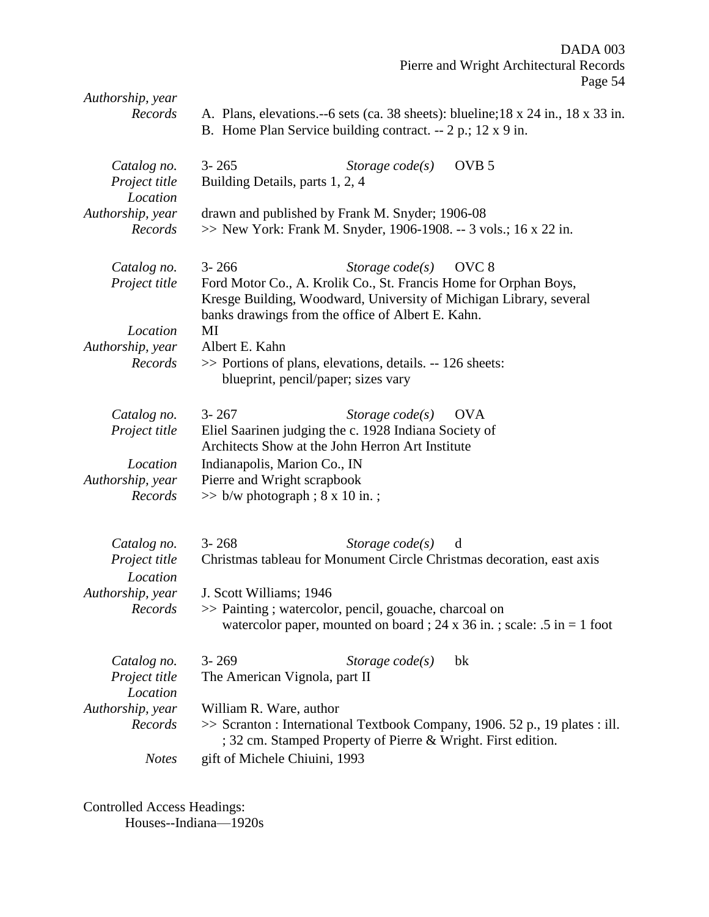| Authorship, year<br>Records              | A. Plans, elevations.--6 sets (ca. 38 sheets): blueline; 18 x 24 in., 18 x 33 in.<br>B. Home Plan Service building contract. -- 2 p.; 12 x 9 in.                                                                                                  |
|------------------------------------------|---------------------------------------------------------------------------------------------------------------------------------------------------------------------------------------------------------------------------------------------------|
| Catalog no.<br>Project title<br>Location | OVB <sub>5</sub><br>$3 - 265$<br>Storage $code(s)$<br>Building Details, parts 1, 2, 4                                                                                                                                                             |
| Authorship, year<br>Records              | drawn and published by Frank M. Snyder; 1906-08<br>>> New York: Frank M. Snyder, 1906-1908. -- 3 vols.; 16 x 22 in.                                                                                                                               |
| Catalog no.<br>Project title             | $3 - 266$<br>Storage $code(s)$<br>OVC <sub>8</sub><br>Ford Motor Co., A. Krolik Co., St. Francis Home for Orphan Boys,<br>Kresge Building, Woodward, University of Michigan Library, several<br>banks drawings from the office of Albert E. Kahn. |
| Location<br>Authorship, year<br>Records  | MI<br>Albert E. Kahn<br>>> Portions of plans, elevations, details. -- 126 sheets:<br>blueprint, pencil/paper; sizes vary                                                                                                                          |
| Catalog no.<br>Project title             | $3 - 267$<br>Storage $code(s)$<br><b>OVA</b><br>Eliel Saarinen judging the c. 1928 Indiana Society of<br>Architects Show at the John Herron Art Institute                                                                                         |
| Location<br>Authorship, year<br>Records  | Indianapolis, Marion Co., IN<br>Pierre and Wright scrapbook<br>$\gg$ b/w photograph ; 8 x 10 in.;                                                                                                                                                 |
| Catalog no.<br>Project title<br>Location | $3 - 268$<br>Storage $code(s)$<br>d<br>Christmas tableau for Monument Circle Christmas decoration, east axis                                                                                                                                      |
| Authorship, year<br>Records              | J. Scott Williams; 1946<br>>> Painting ; watercolor, pencil, gouache, charcoal on<br>watercolor paper, mounted on board; 24 x 36 in.; scale: .5 in = 1 foot                                                                                       |
| Catalog no.<br>Project title<br>Location | $3 - 269$<br>Storage $code(s)$<br>bk<br>The American Vignola, part II                                                                                                                                                                             |
| Authorship, year<br>Records              | William R. Ware, author<br>>> Scranton : International Textbook Company, 1906. 52 p., 19 plates : ill.<br>; 32 cm. Stamped Property of Pierre & Wright. First edition.                                                                            |
| <b>Notes</b>                             | gift of Michele Chiuini, 1993                                                                                                                                                                                                                     |

Controlled Access Headings: Houses--Indiana—1920s